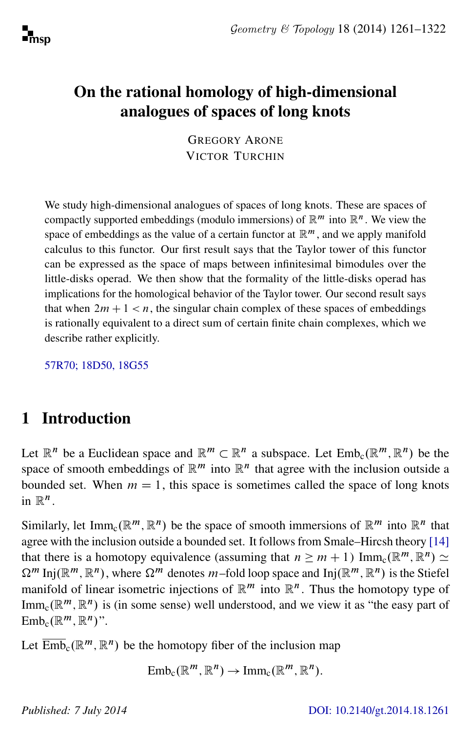# On the rational homology of high-dimensional analogues of spaces of long knots

GREGORY ARONE VICTOR TURCHIN

We study high-dimensional analogues of spaces of long knots. These are spaces of compactly supported embeddings (modulo immersions) of  $\mathbb{R}^m$  into  $\mathbb{R}^n$ . We view the space of embeddings as the value of a certain functor at  $\mathbb{R}^m$ , and we apply manifold calculus to this functor. Our first result says that the Taylor tower of this functor can be expressed as the space of maps between infinitesimal bimodules over the little-disks operad. We then show that the formality of the little-disks operad has implications for the homological behavior of the Taylor tower. Our second result says that when  $2m + 1 < n$ , the singular chain complex of these spaces of embeddings is rationally equivalent to a direct sum of certain finite chain complexes, which we describe rather explicitly.

[57R70; 18D50, 18G55](http://www.ams.org/mathscinet/search/mscdoc.html?code=57R70, 18D50, 18G55)

# 1 Introduction

Let  $\mathbb{R}^n$  be a Euclidean space and  $\mathbb{R}^m \subset \mathbb{R}^n$  a subspace. Let  $\text{Emb}_c(\mathbb{R}^m, \mathbb{R}^n)$  be the space of smooth embeddings of  $\mathbb{R}^m$  into  $\mathbb{R}^n$  that agree with the inclusion outside a bounded set. When  $m = 1$ , this space is sometimes called the space of long knots in  $\mathbb{R}^n$ .

Similarly, let Imm<sub>c</sub>( $\mathbb{R}^m$ ,  $\mathbb{R}^n$ ) be the space of smooth immersions of  $\mathbb{R}^m$  into  $\mathbb{R}^n$  that agree with the inclusion outside a bounded set. It follows from Smale–Hircsh theory [\[14\]](#page-60-0) that there is a homotopy equivalence (assuming that  $n \ge m + 1$ ) Imm<sub>c</sub>( $\mathbb{R}^m$ ,  $\mathbb{R}^n$ )  $\simeq$  $\Omega^m$  Inj $(\mathbb{R}^m, \mathbb{R}^n)$ , where  $\Omega^m$  denotes m-fold loop space and Inj $(\mathbb{R}^m, \mathbb{R}^n)$  is the Stiefel manifold of linear isometric injections of  $\mathbb{R}^m$  into  $\mathbb{R}^n$ . Thus the homotopy type of Imm<sub>c</sub>( $\mathbb{R}^m$ ,  $\mathbb{R}^n$ ) is (in some sense) well understood, and we view it as "the easy part of  $\text{Emb}_c(\mathbb{R}^m, \mathbb{R}^n)$ ".

Let  $\overline{\mathrm{Emb}}_c(\mathbb{R}^m, \mathbb{R}^n)$  be the homotopy fiber of the inclusion map

 $\text{Emb}_c(\mathbb{R}^m, \mathbb{R}^n) \to \text{Imm}_c(\mathbb{R}^m, \mathbb{R}^n).$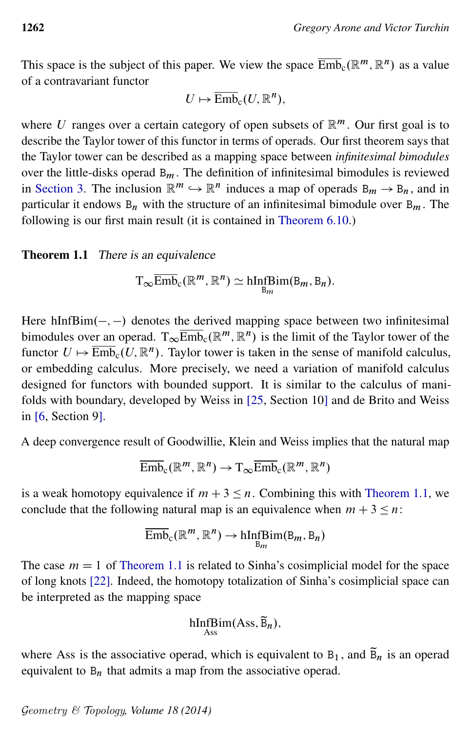This space is the subject of this paper. We view the space  $\overline{\text{Emb}}_c(\mathbb{R}^m, \mathbb{R}^n)$  as a value of a contravariant functor

$$
U\mapsto \overline{\text{Emb}}_{\mathbf{c}}(U,\mathbb{R}^n),
$$

where U ranges over a certain category of open subsets of  $\mathbb{R}^m$ . Our first goal is to describe the Taylor tower of this functor in terms of operads. Our first theorem says that the Taylor tower can be described as a mapping space between *infinitesimal bimodules* over the little-disks operad  $B_m$ . The definition of infinitesimal bimodules is reviewed in [Section 3.](#page-10-0) The inclusion  $\mathbb{R}^m \hookrightarrow \mathbb{R}^n$  induces a map of operads  $B_m \to B_n$ , and in particular it endows  $B_n$  with the structure of an infinitesimal bimodule over  $B_m$ . The following is our first main result (it is contained in [Theorem 6.10.](#page-31-0))

#### <span id="page-1-0"></span>**Theorem 1.1** There is an equivalence

$$
T_{\infty}\overline{\text{Emb}}_{c}(\mathbb{R}^{m},\mathbb{R}^{n})\simeq \underset{B_{m}}{\text{hInfBim}}(B_{m},B_{n}).
$$

Here  $hInfBim(-, -)$  denotes the derived mapping space between two infinitesimal bimodules over an operad.  $T_{\infty}$  $\overline{\text{Emb}}_{c}$  ( $\mathbb{R}^{m}$ ,  $\mathbb{R}^{n}$ ) is the limit of the Taylor tower of the functor  $U \mapsto \overline{\text{Emb}}_{c}(U, \mathbb{R}^{n})$ . Taylor tower is taken in the sense of manifold calculus, or embedding calculus. More precisely, we need a variation of manifold calculus designed for functors with bounded support. It is similar to the calculus of manifolds with boundary, developed by Weiss in [\[25,](#page-61-0) Section 10] and de Brito and Weiss in [\[6,](#page-60-1) Section 9].

A deep convergence result of Goodwillie, Klein and Weiss implies that the natural map

$$
\overline{\mathrm{Emb}}_{\mathrm{c}}(\mathbb{R}^m, \mathbb{R}^n) \to \mathrm{T}_{\infty} \overline{\mathrm{Emb}}_{\mathrm{c}}(\mathbb{R}^m, \mathbb{R}^n)
$$

is a weak homotopy equivalence if  $m + 3 \le n$ . Combining this with [Theorem 1.1,](#page-1-0) we conclude that the following natural map is an equivalence when  $m + 3 \le n$ :

$$
\overline{\text{Emb}}_{\text{c}}(\mathbb{R}^m, \mathbb{R}^n) \to \text{hInf}\text{Bim}(\text{B}_m, \text{B}_n)
$$

The case  $m = 1$  of [Theorem 1.1](#page-1-0) is related to Sinha's cosimplicial model for the space of long knots [\[22\]](#page-61-1). Indeed, the homotopy totalization of Sinha's cosimplicial space can be interpreted as the mapping space

$$
\underset{\text{Ass}}{\text{hInfBim}}(\text{Ass}, \widetilde{B}_n),
$$

where Ass is the associative operad, which is equivalent to  $B_1$ , and  $\widetilde{B}_n$  is an operad equivalent to  $B_n$  that admits a map from the associative operad.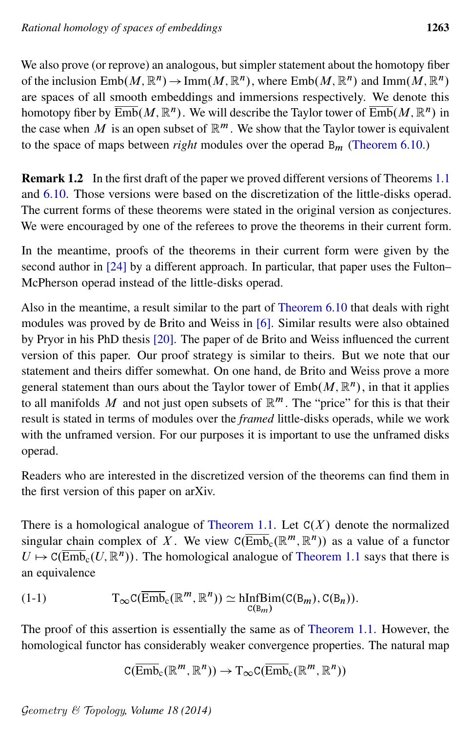We also prove (or reprove) an analogous, but simpler statement about the homotopy fiber of the inclusion  $\text{Emb}(M,\mathbb{R}^n) \to \text{Imm}(M,\mathbb{R}^n)$ , where  $\text{Emb}(M,\mathbb{R}^n)$  and  $\text{Imm}(M,\mathbb{R}^n)$ are spaces of all smooth embeddings and immersions respectively. We denote this homotopy fiber by  $\overline{\mathrm{Emb}}(M,\mathbb{R}^n)$  . We will describe the Taylor tower of  $\overline{\mathrm{Emb}}(M,\mathbb{R}^n)$  in the case when M is an open subset of  $\mathbb{R}^m$ . We show that the Taylor tower is equivalent to the space of maps between *right* modules over the operad  $B_m$  [\(Theorem 6.10.](#page-31-0))

<span id="page-2-1"></span>Remark 1.2 In the first draft of the paper we proved different versions of Theorems [1.1](#page-1-0) and [6.10.](#page-31-0) Those versions were based on the discretization of the little-disks operad. The current forms of these theorems were stated in the original version as conjectures. We were encouraged by one of the referees to prove the theorems in their current form.

In the meantime, proofs of the theorems in their current form were given by the second author in [\[24\]](#page-61-2) by a different approach. In particular, that paper uses the Fulton– McPherson operad instead of the little-disks operad.

Also in the meantime, a result similar to the part of [Theorem 6.10](#page-31-0) that deals with right modules was proved by de Brito and Weiss in [\[6\]](#page-60-1). Similar results were also obtained by Pryor in his PhD thesis [\[20\]](#page-61-3). The paper of de Brito and Weiss influenced the current version of this paper. Our proof strategy is similar to theirs. But we note that our statement and theirs differ somewhat. On one hand, de Brito and Weiss prove a more general statement than ours about the Taylor tower of  $\text{Emb}(M, \mathbb{R}^n)$ , in that it applies to all manifolds M and not just open subsets of  $\mathbb{R}^m$ . The "price" for this is that their result is stated in terms of modules over the *framed* little-disks operads, while we work with the unframed version. For our purposes it is important to use the unframed disks operad.

Readers who are interested in the discretized version of the theorems can find them in the first version of this paper on arXiv.

There is a homological analogue of [Theorem 1.1.](#page-1-0) Let  $C(X)$  denote the normalized singular chain complex of X. We view  $C(\overline{\text{Emb}}_c(\mathbb{R}^m, \mathbb{R}^n))$  as a value of a functor  $U \mapsto C(\overline{\text{Emb}}_c(U, \mathbb{R}^n))$ . The homological analogue of [Theorem 1.1](#page-1-0) says that there is an equivalence

<span id="page-2-0"></span>(1-1) 
$$
T_{\infty}C(\overline{\text{Emb}}_{c}(\mathbb{R}^{m},\mathbb{R}^{n})) \simeq \underset{C(B_{m})}{\text{hInfBim}}(C(B_{m}),C(B_{n})).
$$

The proof of this assertion is essentially the same as of [Theorem 1.1.](#page-1-0) However, the homological functor has considerably weaker convergence properties. The natural map

$$
\mathrm{C}(\overline{\mathrm{Emb}}_{\mathrm{c}}(\mathbb{R}^m, \mathbb{R}^n)) \to \mathrm{T}_{\infty}\mathrm{C}(\overline{\mathrm{Emb}}_{\mathrm{c}}(\mathbb{R}^m, \mathbb{R}^n))
$$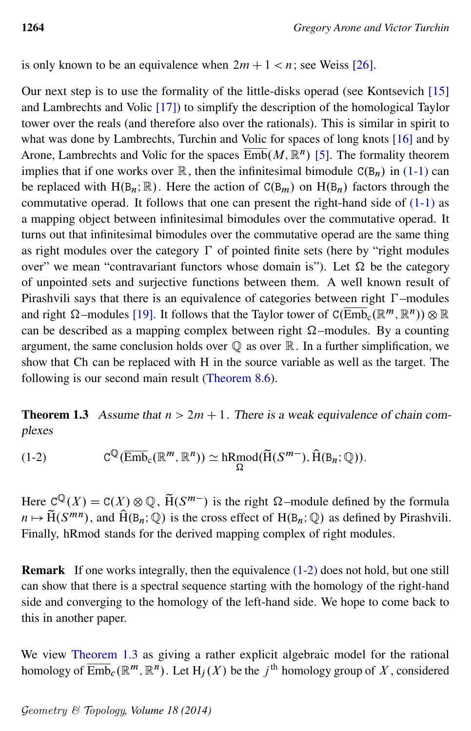is only known to be an equivalence when  $2m + 1 < n$ ; see Weiss [\[26\]](#page-61-4).

Our next step is to use the formality of the little-disks operad (see Kontsevich [\[15\]](#page-60-2) and Lambrechts and Volic [\[17\]](#page-60-3)) to simplify the description of the homological Taylor tower over the reals (and therefore also over the rationals). This is similar in spirit to what was done by Lambrechts, Turchin and Volic for spaces of long knots [\[16\]](#page-60-4) and by Arone, Lambrechts and Volic for the spaces  $\overline{\mathrm{Emb}}(M,\mathbb{R}^n)$  [\[5\]](#page-60-5). The formality theorem implies that if one works over  $\mathbb R$ , then the infinitesimal bimodule  $C(B_n)$  in [\(1-1\)](#page-2-0) can be replaced with H( $B_n$ ; R). Here the action of  $C(B_m)$  on  $H(B_n)$  factors through the commutative operad. It follows that one can present the right-hand side of [\(1-1\)](#page-2-0) as a mapping object between infinitesimal bimodules over the commutative operad. It turns out that infinitesimal bimodules over the commutative operad are the same thing as right modules over the category  $\Gamma$  of pointed finite sets (here by "right modules over" we mean "contravariant functors whose domain is"). Let  $\Omega$  be the category of unpointed sets and surjective functions between them. A well known result of Pirashvili says that there is an equivalence of categories between right  $\Gamma$ -modules and right  $\Omega$ -modules [\[19\]](#page-61-5). It follows that the Taylor tower of  $C(\overline{Emb}_c(\mathbb{R}^m, \mathbb{R}^n)) \otimes \mathbb{R}$ can be described as a mapping complex between right  $\Omega$ -modules. By a counting argument, the same conclusion holds over  $\mathbb Q$  as over  $\mathbb R$ . In a further simplification, we show that Ch can be replaced with H in the source variable as well as the target. The following is our second main result [\(Theorem 8.6\)](#page-40-0).

<span id="page-3-1"></span><span id="page-3-0"></span>**Theorem 1.3** Assume that  $n > 2m + 1$ . There is a weak equivalence of chain complexes

(1-2) 
$$
C^{\mathbb{Q}}(\overline{\text{Emb}}_{c}(\mathbb{R}^m, \mathbb{R}^n)) \simeq hRmod(\widetilde{H}(S^{m-}), \widehat{H}(B_n; \mathbb{Q})).
$$

Here  $C^{\mathbb{Q}}(X) = C(X) \otimes \mathbb{Q}$ ,  $\widetilde{H}(S^{m-})$  is the right  $\Omega$ -module defined by the formula  $n \mapsto \widetilde{H}(S^{mn})$ , and  $\widehat{H}(B_n; \mathbb{Q})$  is the cross effect of  $H(B_n; \mathbb{Q})$  as defined by Pirashvili. Finally, hRmod stands for the derived mapping complex of right modules.

Remark If one works integrally, then the equivalence [\(1-2\)](#page-3-0) does not hold, but one still can show that there is a spectral sequence starting with the homology of the right-hand side and converging to the homology of the left-hand side. We hope to come back to this in another paper.

We view [Theorem 1.3](#page-3-1) as giving a rather explicit algebraic model for the rational homology of  $\overline{\mathrm{Emb}}_c(\mathbb{R}^m,\mathbb{R}^n)$ . Let  $\mathrm{H}_j(X)$  be the  $j^{\mathrm{th}}$  homology group of  $X$ , considered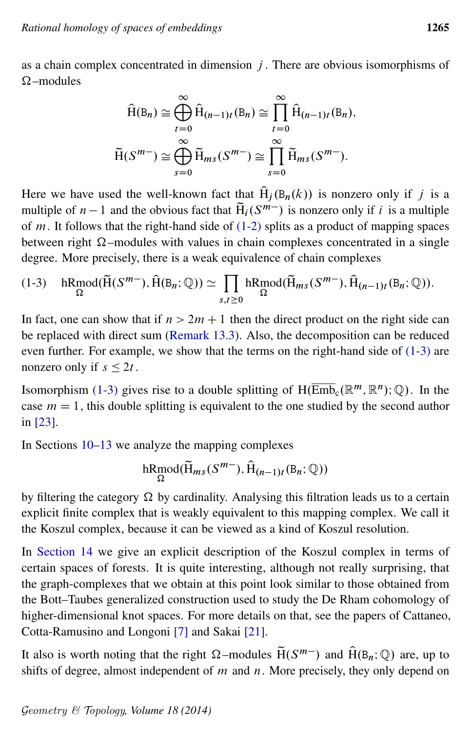as a chain complex concentrated in dimension  $j$ . There are obvious isomorphisms of  $\Omega$  –modules

<span id="page-4-0"></span>
$$
\widehat{H}(B_n) \cong \bigoplus_{t=0}^{\infty} \widehat{H}_{(n-1)t}(B_n) \cong \prod_{t=0}^{\infty} \widehat{H}_{(n-1)t}(B_n),
$$

$$
\widetilde{H}(S^{m-}) \cong \bigoplus_{s=0}^{\infty} \widetilde{H}_{ms}(S^{m-}) \cong \prod_{s=0}^{\infty} \widetilde{H}_{ms}(S^{m-}).
$$

Here we have used the well-known fact that  $\hat{H}_i(B_n(k))$  is nonzero only if j is a multiple of  $n-1$  and the obvious fact that  $\widetilde{H}_i(S^{m-})$  is nonzero only if i is a multiple of  $m$ . It follows that the right-hand side of  $(1-2)$  splits as a product of mapping spaces between right  $\Omega$ -modules with values in chain complexes concentrated in a single degree. More precisely, there is a weak equivalence of chain complexes

$$
(1-3) \quad \underset{\Omega}{\text{hRmod}}(\widetilde{H}(S^{m-}), \widehat{H}(B_n; \mathbb{Q})) \simeq \prod_{s,t \geq 0} \underset{\Omega}{\text{hRmod}}(\widetilde{H}_{ms}(S^{m-}), \widehat{H}_{(n-1)t}(B_n; \mathbb{Q})).
$$

In fact, one can show that if  $n > 2m + 1$  then the direct product on the right side can be replaced with direct sum [\(Remark 13.3\)](#page-55-0). Also, the decomposition can be reduced even further. For example, we show that the terms on the right-hand side of [\(1-3\)](#page-4-0) are nonzero only if  $s \leq 2t$ .

Isomorphism [\(1-3\)](#page-4-0) gives rise to a double splitting of  $H(\overline{\text{Emb}}_c(\mathbb{R}^m, \mathbb{R}^n); \mathbb{Q})$ . In the case  $m = 1$ , this double splitting is equivalent to the one studied by the second author in [\[23\]](#page-61-6).

In Sections [10–](#page-43-0)[13](#page-54-0) we analyze the mapping complexes

$$
\mathrm{hRmod}(\widetilde{\mathrm{H}}_{ms}(S^{m-}),\widehat{\mathrm{H}}_{(n-1)t}(\mathbb{B}_n;\mathbb{Q}))
$$

by filtering the category  $\Omega$  by cardinality. Analysing this filtration leads us to a certain explicit finite complex that is weakly equivalent to this mapping complex. We call it the Koszul complex, because it can be viewed as a kind of Koszul resolution.

In [Section 14](#page-57-0) we give an explicit description of the Koszul complex in terms of certain spaces of forests. It is quite interesting, although not really surprising, that the graph-complexes that we obtain at this point look similar to those obtained from the Bott–Taubes generalized construction used to study the De Rham cohomology of higher-dimensional knot spaces. For more details on that, see the papers of Cattaneo, Cotta-Ramusino and Longoni [\[7\]](#page-60-6) and Sakai [\[21\]](#page-61-7).

It also is worth noting that the right  $\Omega$ -modules  $\tilde{H}(S^{m-})$  and  $\hat{H}(B_n;\mathbb{Q})$  are, up to shifts of degree, almost independent of  $m$  and  $n$ . More precisely, they only depend on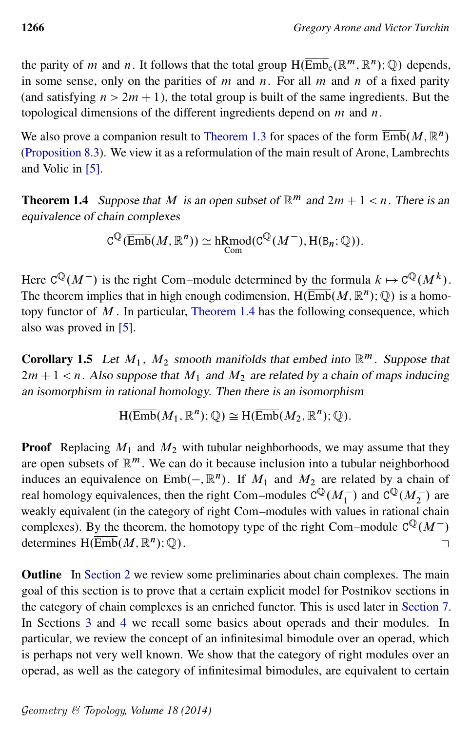the parity of *m* and *n*. It follows that the total group  $H(\overline{\text{Emb}}_c(\mathbb{R}^m, \mathbb{R}^n); \mathbb{Q})$  depends, in some sense, only on the parities of m and n. For all m and n of a fixed parity (and satisfying  $n > 2m + 1$ ), the total group is built of the same ingredients. But the topological dimensions of the different ingredients depend on  $m$  and  $n$ .

We also prove a companion result to [Theorem 1.3](#page-3-1) for spaces of the form  $\overline{\mathrm{Emb}}(M,\mathbb{R}^n)$ [\(Proposition 8.3\)](#page-38-0). We view it as a reformulation of the main result of Arone, Lambrechts and Volic in [\[5\]](#page-60-5).

<span id="page-5-0"></span>**Theorem 1.4** Suppose that M is an open subset of  $\mathbb{R}^m$  and  $2m + 1 < n$ . There is an equivalence of chain complexes

$$
C^{\mathbb{Q}}(\overline{\mathrm{Emb}}(M,\mathbb{R}^n)) \simeq \mathrm{hRmod}(C^{\mathbb{Q}}(M^-),\mathrm{H}(\mathtt{B}_n;\mathbb{Q})).
$$

Here  $C^{\mathbb{Q}}(M^-)$  is the right Com–module determined by the formula  $k \mapsto C^{\mathbb{Q}}(M^k)$ . The theorem implies that in high enough codimension,  $H(\overline{\text{Emb}}(M,\mathbb{R}^n);\mathbb{Q})$  is a homotopy functor of  $M$ . In particular, [Theorem 1.4](#page-5-0) has the following consequence, which also was proved in [\[5\]](#page-60-5).

**Corollary 1.5** Let  $M_1$ ,  $M_2$  smooth manifolds that embed into  $\mathbb{R}^m$ . Suppose that  $2m + 1 < n$ . Also suppose that  $M_1$  and  $M_2$  are related by a chain of maps inducing an isomorphism in rational homology. Then there is an isomorphism

$$
\mathrm{H}(\overline{\mathrm{Emb}}(M_1,\mathbb{R}^n);\mathbb{Q})\cong\mathrm{H}(\overline{\mathrm{Emb}}(M_2,\mathbb{R}^n);\mathbb{Q}).
$$

**Proof** Replacing  $M_1$  and  $M_2$  with tubular neighborhoods, we may assume that they are open subsets of  $\mathbb{R}^m$ . We can do it because inclusion into a tubular neighborhood induces an equivalence on  $\overline{\text{Emb}}(-, \mathbb{R}^n)$ . If  $M_1$  and  $M_2$  are related by a chain of real homology equivalences, then the right Com–modules  $C^{\mathbb{Q}}(M_1^-)$  and  $C^{\mathbb{Q}}(M_2^-)$  are weakly equivalent (in the category of right Com–modules with values in rational chain complexes). By the theorem, the homotopy type of the right Com–module  $C^{\mathbb{Q}}(M^-)$ determines  $H(\overline{\text{Emb}}(M,\mathbb{R}^n);\mathbb{Q})$ .  $\Box$ 

Outline In [Section 2](#page-6-0) we review some preliminaries about chain complexes. The main goal of this section is to prove that a certain explicit model for Postnikov sections in the category of chain complexes is an enriched functor. This is used later in [Section 7.](#page-32-0) In Sections [3](#page-10-0) and [4](#page-14-0) we recall some basics about operads and their modules. In particular, we review the concept of an infinitesimal bimodule over an operad, which is perhaps not very well known. We show that the category of right modules over an operad, as well as the category of infinitesimal bimodules, are equivalent to certain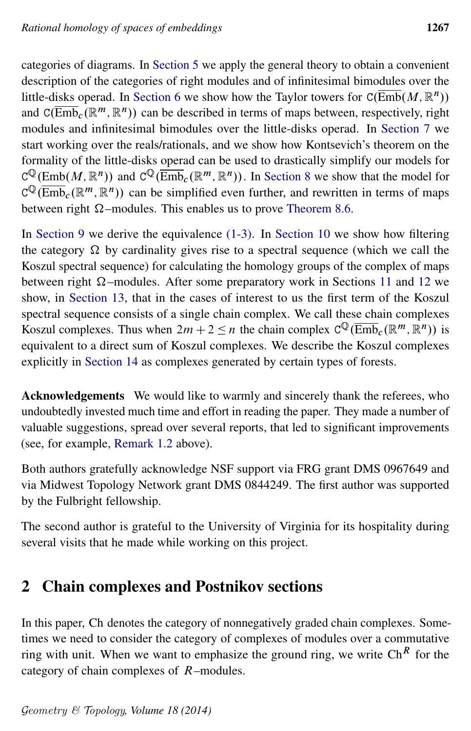categories of diagrams. In [Section 5](#page-19-0) we apply the general theory to obtain a convenient description of the categories of right modules and of infinitesimal bimodules over the little-disks operad. In [Section 6](#page-25-0) we show how the Taylor towers for  $C(\overline{\text{Emb}}(M,\mathbb{R}^n))$ and  $C(\overline{\text{Emb}}_c(\mathbb{R}^m, \mathbb{R}^n))$  can be described in terms of maps between, respectively, right modules and infinitesimal bimodules over the little-disks operad. In [Section 7](#page-32-0) we start working over the reals/rationals, and we show how Kontsevich's theorem on the formality of the little-disks operad can be used to drastically simplify our models for  $C^{\mathbb{Q}}(\text{Emb}(M, \mathbb{R}^n))$  and  $C^{\mathbb{Q}}(\overline{\text{Emb}}_c(\mathbb{R}^m, \mathbb{R}^n))$ . In [Section 8](#page-34-0) we show that the model for  $C^{Q}(\overline{\text{Emb}}_c(\mathbb{R}^m, \mathbb{R}^n))$  can be simplified even further, and rewritten in terms of maps between right  $\Omega$ -modules. This enables us to prove [Theorem 8.6.](#page-40-0)

In [Section 9](#page-41-0) we derive the equivalence  $(1-3)$ . In [Section 10](#page-43-0) we show how filtering the category  $\Omega$  by cardinality gives rise to a spectral sequence (which we call the Koszul spectral sequence) for calculating the homology groups of the complex of maps between right  $\Omega$ -modules. After some preparatory work in Sections [11](#page-49-0) and [12](#page-53-0) we show, in [Section 13,](#page-54-0) that in the cases of interest to us the first term of the Koszul spectral sequence consists of a single chain complex. We call these chain complexes Koszul complexes. Thus when  $2m + 2 \le n$  the chain complex  $C^{\mathbb{Q}}(\overline{\text{Emb}}_c(\mathbb{R}^m, \mathbb{R}^n))$  is equivalent to a direct sum of Koszul complexes. We describe the Koszul complexes explicitly in [Section 14](#page-57-0) as complexes generated by certain types of forests.

Acknowledgements We would like to warmly and sincerely thank the referees, who undoubtedly invested much time and effort in reading the paper. They made a number of valuable suggestions, spread over several reports, that led to significant improvements (see, for example, [Remark 1.2](#page-2-1) above).

Both authors gratefully acknowledge NSF support via FRG grant DMS 0967649 and via Midwest Topology Network grant DMS 0844249. The first author was supported by the Fulbright fellowship.

The second author is grateful to the University of Virginia for its hospitality during several visits that he made while working on this project.

# <span id="page-6-0"></span>2 Chain complexes and Postnikov sections

In this paper, Ch denotes the category of nonnegatively graded chain complexes. Sometimes we need to consider the category of complexes of modules over a commutative ring with unit. When we want to emphasize the ground ring, we write  $\text{Ch}^R$  for the category of chain complexes of R–modules.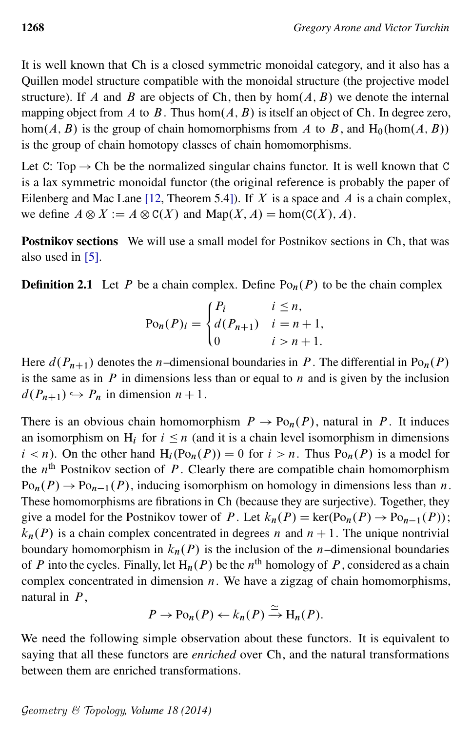It is well known that Ch is a closed symmetric monoidal category, and it also has a Quillen model structure compatible with the monoidal structure (the projective model structure). If A and B are objects of Ch, then by  $hom(A, B)$  we denote the internal mapping object from A to B. Thus hom $(A, B)$  is itself an object of Ch. In degree zero, hom $(A, B)$  is the group of chain homomorphisms from A to B, and H<sub>0</sub>(hom $(A, B)$ ) is the group of chain homotopy classes of chain homomorphisms.

Let C: Top  $\rightarrow$  Ch be the normalized singular chains functor. It is well known that C is a lax symmetric monoidal functor (the original reference is probably the paper of Eilenberg and Mac Lane [\[12,](#page-60-7) Theorem 5.4]). If X is a space and A is a chain complex, we define  $A \otimes X := A \otimes C(X)$  and  $\text{Map}(X, A) = \text{hom}(C(X), A)$ .

Postnikov sections We will use a small model for Postnikov sections in Ch, that was also used in [\[5\]](#page-60-5).

**Definition 2.1** Let P be a chain complex. Define  $Po_n(P)$  to be the chain complex

$$
Po_n(P)_i = \begin{cases} P_i & i \le n, \\ d(P_{n+1}) & i = n+1, \\ 0 & i > n+1. \end{cases}
$$

Here  $d(P_{n+1})$  denotes the n–dimensional boundaries in P. The differential in Po<sub>n</sub> $(P)$ is the same as in  $P$  in dimensions less than or equal to  $n$  and is given by the inclusion  $d(P_{n+1}) \hookrightarrow P_n$  in dimension  $n + 1$ .

There is an obvious chain homomorphism  $P \to Po_n(P)$ , natural in P. It induces an isomorphism on  $H_i$  for  $i \leq n$  (and it is a chain level isomorphism in dimensions  $i < n$ ). On the other hand  $H_i(Po_n(P)) = 0$  for  $i > n$ . Thus  $Po_n(P)$  is a model for the  $n<sup>th</sup>$  Postnikov section of P. Clearly there are compatible chain homomorphism  $Po_n(P) \to Po_{n-1}(P)$ , inducing isomorphism on homology in dimensions less than n. These homomorphisms are fibrations in Ch (because they are surjective). Together, they give a model for the Postnikov tower of P. Let  $k_n(P) = \text{ker}(P_{0n}(P) \rightarrow P_{0n-1}(P));$  $k_n(P)$  is a chain complex concentrated in degrees n and  $n + 1$ . The unique nontrivial boundary homomorphism in  $k_n(P)$  is the inclusion of the *n*–dimensional boundaries of P into the cycles. Finally, let  $H_n(P)$  be the  $n^{\text{th}}$  homology of P, considered as a chain complex concentrated in dimension  $n$ . We have a zigzag of chain homomorphisms, natural in  $P$ ,

$$
P \to \mathrm{Po}_n(P) \leftarrow k_n(P) \xrightarrow{\simeq} \mathrm{H}_n(P).
$$

<span id="page-7-0"></span>We need the following simple observation about these functors. It is equivalent to saying that all these functors are *enriched* over Ch, and the natural transformations between them are enriched transformations.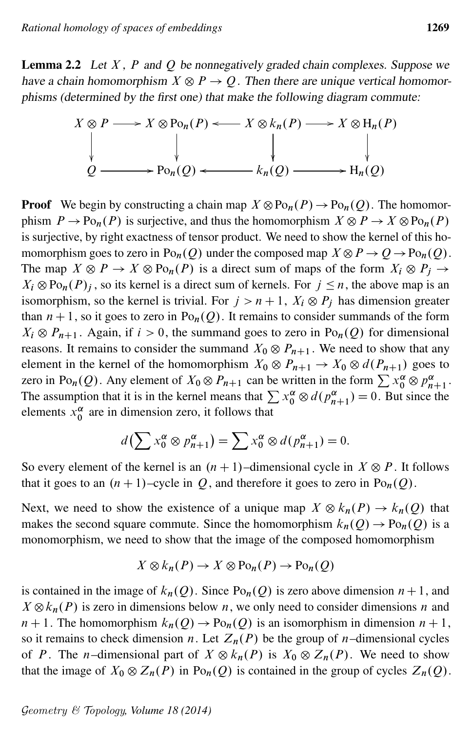**Lemma 2.2** Let  $X$ ,  $P$  and  $Q$  be nonnegatively graded chain complexes. Suppose we have a chain homomorphism  $X \otimes P \to Q$ . Then there are unique vertical homomorphisms (determined by the first one) that make the following diagram commute:

$$
X \otimes P \longrightarrow X \otimes \text{Po}_n(P) \longleftarrow X \otimes k_n(P) \longrightarrow X \otimes \text{H}_n(P)
$$
  
\n
$$
\downarrow \qquad \qquad \downarrow \qquad \qquad \downarrow
$$
  
\n
$$
Q \longrightarrow \text{Po}_n(Q) \longleftarrow k_n(Q) \longrightarrow \text{H}_n(Q)
$$

**Proof** We begin by constructing a chain map  $X \otimes \mathrm{Po}_n(P) \to \mathrm{Po}_n(Q)$ . The homomorphism  $P \to \text{Po}_n(P)$  is surjective, and thus the homomorphism  $X \otimes P \to X \otimes \text{Po}_n(P)$ is surjective, by right exactness of tensor product. We need to show the kernel of this homomorphism goes to zero in  $Po_n(Q)$  under the composed map  $X \otimes P \to Q \to Po_n(Q)$ . The map  $X \otimes P \to X \otimes Po_n(P)$  is a direct sum of maps of the form  $X_i \otimes P_j \to$  $X_i \otimes \text{Po}_n(P)_i$ , so its kernel is a direct sum of kernels. For  $j \leq n$ , the above map is an isomorphism, so the kernel is trivial. For  $j > n + 1$ ,  $X_i \otimes P_j$  has dimension greater than  $n + 1$ , so it goes to zero in Po<sub>n</sub> $(Q)$ . It remains to consider summands of the form  $X_i \otimes P_{n+1}$ . Again, if  $i > 0$ , the summand goes to zero in Po<sub>n</sub>(Q) for dimensional reasons. It remains to consider the summand  $X_0 \otimes P_{n+1}$ . We need to show that any element in the kernel of the homomorphism  $X_0 \otimes P_{n+1} \to X_0 \otimes d(P_{n+1})$  goes to zero in Po<sub>n</sub>(Q). Any element of  $X_0 \otimes P_{n+1}$  can be written in the form  $\sum x_0^{\alpha} \otimes p_{n+1}^{\alpha}$ . The assumption that it is in the kernel means that  $\sum x_0^{\alpha} \otimes d(p_{n+1}^{\alpha}) = 0$ . But since the elements  $x_0^{\alpha}$  are in dimension zero, it follows that

$$
d\left(\sum x_0^{\alpha} \otimes p_{n+1}^{\alpha}\right) = \sum x_0^{\alpha} \otimes d(p_{n+1}^{\alpha}) = 0.
$$

So every element of the kernel is an  $(n + 1)$ –dimensional cycle in  $X \otimes P$ . It follows that it goes to an  $(n + 1)$ –cycle in Q, and therefore it goes to zero in Po<sub>n</sub> $(Q)$ .

Next, we need to show the existence of a unique map  $X \otimes k_n(P) \to k_n(Q)$  that makes the second square commute. Since the homomorphism  $k_n(Q) \to Po_n(Q)$  is a monomorphism, we need to show that the image of the composed homomorphism

$$
X \otimes k_n(P) \to X \otimes \mathrm{Po}_n(P) \to \mathrm{Po}_n(Q)
$$

is contained in the image of  $k_n(Q)$ . Since Po<sub>n</sub> $(Q)$  is zero above dimension  $n+1$ , and  $X \otimes k_n(P)$  is zero in dimensions below n, we only need to consider dimensions n and  $n + 1$ . The homomorphism  $k_n(Q) \to Po_n(Q)$  is an isomorphism in dimension  $n + 1$ , so it remains to check dimension n. Let  $Z_n(P)$  be the group of n–dimensional cycles of P. The n-dimensional part of  $X \otimes k_n(P)$  is  $X_0 \otimes Z_n(P)$ . We need to show that the image of  $X_0 \otimes Z_n(P)$  in Po<sub>n</sub> $(Q)$  is contained in the group of cycles  $Z_n(Q)$ .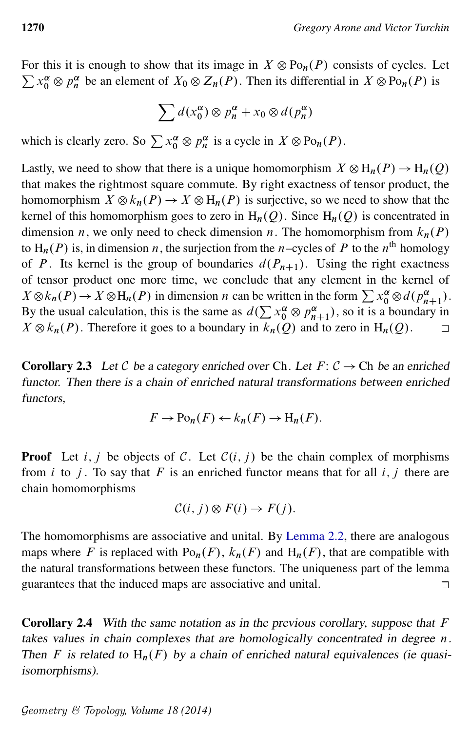For this it is enough to show that its image in  $X \otimes Po_n(P)$  consists of cycles. Let  $\sum x_0^{\alpha} \otimes p_n^{\alpha}$  be an element of  $X_0 \otimes Z_n(P)$ . Then its differential in  $X \otimes \text{Po}_n(P)$  is

$$
\sum d(x_0^{\alpha}) \otimes p_n^{\alpha} + x_0 \otimes d(p_n^{\alpha})
$$

which is clearly zero. So  $\sum x_0^{\alpha} \otimes p_n^{\alpha}$  is a cycle in  $X \otimes \text{Po}_n(P)$ .

Lastly, we need to show that there is a unique homomorphism  $X \otimes H_n(P) \to H_n(Q)$ that makes the rightmost square commute. By right exactness of tensor product, the homomorphism  $X \otimes k_n(P) \to X \otimes H_n(P)$  is surjective, so we need to show that the kernel of this homomorphism goes to zero in  $H_n(Q)$ . Since  $H_n(Q)$  is concentrated in dimension *n*, we only need to check dimension *n*. The homomorphism from  $k_n(P)$ to H<sub>n</sub>(P) is, in dimension n, the surjection from the n–cycles of P to the n<sup>th</sup> homology of P. Its kernel is the group of boundaries  $d(P_{n+1})$ . Using the right exactness of tensor product one more time, we conclude that any element in the kernel of  $X \otimes k_n(P) \to X \otimes H_n(P)$  in dimension *n* can be written in the form  $\sum x_0^{\alpha} \otimes d(p_{n+1}^{\alpha})$ . By the usual calculation, this is the same as  $d(\sum x_0^{\alpha} \otimes p_{n+1}^{\alpha})$ , so it is a boundary in  $X \otimes k_n(P)$ . Therefore it goes to a boundary in  $k_n(Q)$  and to zero in  $H_n(Q)$ .  $\Box$ 

**Corollary 2.3** Let C be a category enriched over Ch. Let  $F: C \to$  Ch be an enriched functor. Then there is a chain of enriched natural transformations between enriched functors,

$$
F \to \mathrm{Po}_n(F) \leftarrow k_n(F) \to \mathrm{H}_n(F).
$$

**Proof** Let i, j be objects of C. Let  $C(i, j)$  be the chain complex of morphisms from i to j. To say that F is an enriched functor means that for all  $i, j$  there are chain homomorphisms

$$
\mathcal{C}(i, j) \otimes F(i) \to F(j).
$$

The homomorphisms are associative and unital. By [Lemma 2.2,](#page-7-0) there are analogous maps where F is replaced with  $Po_n(F)$ ,  $k_n(F)$  and  $H_n(F)$ , that are compatible with the natural transformations between these functors. The uniqueness part of the lemma guarantees that the induced maps are associative and unital.  $\Box$ 

<span id="page-9-0"></span>**Corollary 2.4** With the same notation as in the previous corollary, suppose that  $F$ takes values in chain complexes that are homologically concentrated in degree  $n$ . Then F is related to  $H_n(F)$  by a chain of enriched natural equivalences (ie quasiisomorphisms).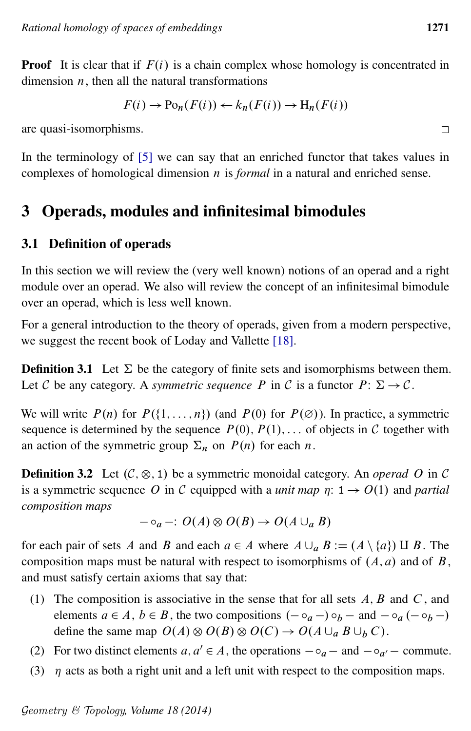**Proof** It is clear that if  $F(i)$  is a chain complex whose homology is concentrated in dimension  $n_1$ , then all the natural transformations

$$
F(i) \to \mathrm{Po}_n(F(i)) \leftarrow k_n(F(i)) \to \mathrm{H}_n(F(i))
$$

are quasi-isomorphisms.

In the terminology of [\[5\]](#page-60-5) we can say that an enriched functor that takes values in complexes of homological dimension n is *formal* in a natural and enriched sense.

# <span id="page-10-0"></span>3 Operads, modules and infinitesimal bimodules

#### 3.1 Definition of operads

In this section we will review the (very well known) notions of an operad and a right module over an operad. We also will review the concept of an infinitesimal bimodule over an operad, which is less well known.

For a general introduction to the theory of operads, given from a modern perspective, we suggest the recent book of Loday and Vallette [\[18\]](#page-60-8).

**Definition 3.1** Let  $\Sigma$  be the category of finite sets and isomorphisms between them. Let C be any category. A *symmetric sequence* P in C is a functor  $P: \Sigma \to \mathcal{C}$ .

We will write  $P(n)$  for  $P({1, \ldots, n})$  (and  $P(0)$  for  $P(\emptyset)$ ). In practice, a symmetric sequence is determined by the sequence  $P(0), P(1), \ldots$  of objects in C together with an action of the symmetric group  $\Sigma_n$  on  $P(n)$  for each n.

**Definition 3.2** Let  $(C, \otimes, 1)$  be a symmetric monoidal category. An *operad* O in C is a symmetric sequence O in C equipped with a *unit map*  $\eta$ :  $1 \rightarrow O(1)$  and *partial composition maps*

$$
- \circ_a -: O(A) \otimes O(B) \to O(A \cup_a B)
$$

for each pair of sets A and B and each  $a \in A$  where  $A \cup_a B := (A \setminus \{a\}) \amalg B$ . The composition maps must be natural with respect to isomorphisms of  $(A, a)$  and of  $B$ , and must satisfy certain axioms that say that:

- (1) The composition is associative in the sense that for all sets  $A, B$  and  $C$ , and elements  $a \in A$ ,  $b \in B$ , the two compositions  $(-\circ_a -) \circ_b -$  and  $-\circ_a (-\circ_b -)$ define the same map  $O(A) \otimes O(B) \otimes O(C) \rightarrow O(A \cup_a B \cup_b C)$ .
- (2) For two distinct elements  $a, a' \in A$ , the operations  $-\circ_a -$  and  $-\circ_{a'} -$  commute.
- (3)  $\eta$  acts as both a right unit and a left unit with respect to the composition maps.

 $\Box$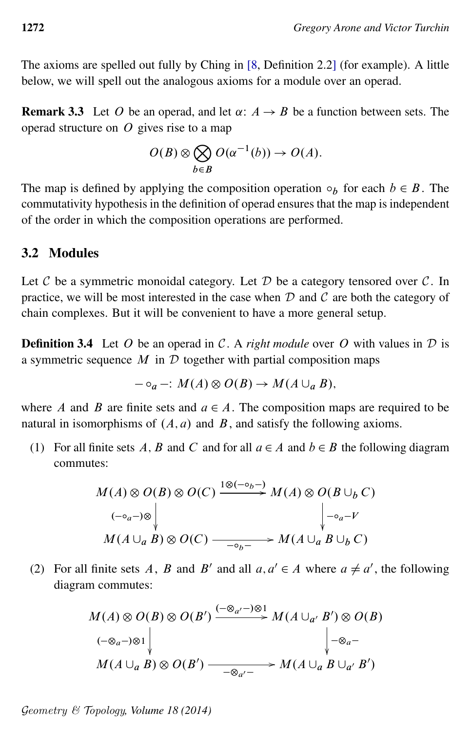The axioms are spelled out fully by Ching in [\[8,](#page-60-9) Definition 2.2] (for example). A little below, we will spell out the analogous axioms for a module over an operad.

<span id="page-11-0"></span>**Remark 3.3** Let O be an operad, and let  $\alpha: A \rightarrow B$  be a function between sets. The operad structure on  $O$  gives rise to a map

$$
O(B) \otimes \bigotimes_{b \in B} O(\alpha^{-1}(b)) \to O(A).
$$

The map is defined by applying the composition operation  $\circ_b$  for each  $b \in B$ . The commutativity hypothesis in the definition of operad ensures that the map is independent of the order in which the composition operations are performed.

#### 3.2 Modules

Let  $C$  be a symmetric monoidal category. Let  $D$  be a category tensored over  $C$ . In practice, we will be most interested in the case when  $D$  and  $C$  are both the category of chain complexes. But it will be convenient to have a more general setup.

**Definition 3.4** Let O be an operad in C. A *right module* over O with values in  $D$  is a symmetric sequence  $M$  in  $D$  together with partial composition maps

$$
- \circ_a - : M(A) \otimes O(B) \to M(A \cup_a B),
$$

where A and B are finite sets and  $a \in A$ . The composition maps are required to be natural in isomorphisms of  $(A, a)$  and  $B$ , and satisfy the following axioms.

(1) For all finite sets A, B and C and for all  $a \in A$  and  $b \in B$  the following diagram commutes:

$$
M(A) \otimes O(B) \otimes O(C) \xrightarrow{1 \otimes (-\circ_b -)} M(A) \otimes O(B \cup_b C)
$$
  
\n
$$
\downarrow \neg_{a} - V
$$
  
\n
$$
M(A \cup_a B) \otimes O(C) \xrightarrow{-\circ_b -} M(A \cup_a B \cup_b C)
$$

(2) For all finite sets A, B and B' and all  $a, a' \in A$  where  $a \neq a'$ , the following diagram commutes:

$$
M(A) \otimes O(B) \otimes O(B') \xrightarrow{(-\otimes_{a'} -)\otimes 1} M(A \cup_{a'} B') \otimes O(B)
$$
  
\n
$$
(-\otimes_{a} -)\otimes 1 \downarrow \qquad \qquad \downarrow -\otimes_{a} -
$$
  
\n
$$
M(A \cup_{a} B) \otimes O(B') \xrightarrow{-\otimes_{a'} -} M(A \cup_{a} B \cup_{a'} B')
$$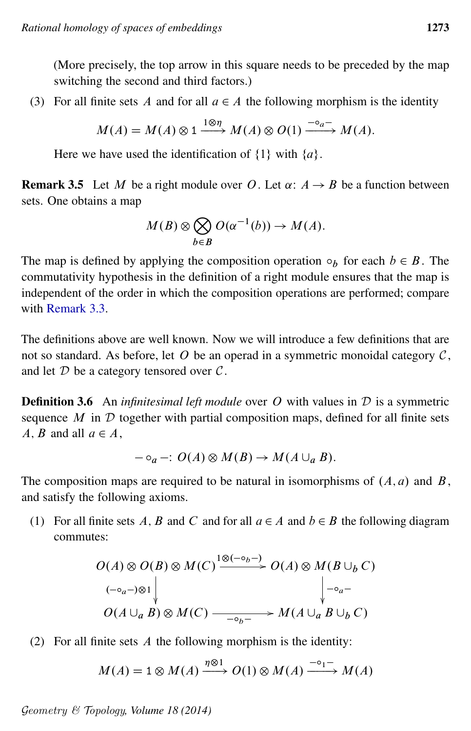(More precisely, the top arrow in this square needs to be preceded by the map switching the second and third factors.)

(3) For all finite sets A and for all  $a \in A$  the following morphism is the identity

$$
M(A) = M(A) \otimes 1 \xrightarrow{1 \otimes \eta} M(A) \otimes O(1) \xrightarrow{-\circ_a-} M(A).
$$

Here we have used the identification of  $\{1\}$  with  $\{a\}$ .

<span id="page-12-0"></span>**Remark 3.5** Let M be a right module over O. Let  $\alpha: A \rightarrow B$  be a function between sets. One obtains a map

$$
M(B) \otimes \bigotimes_{b \in B} O(\alpha^{-1}(b)) \to M(A).
$$

The map is defined by applying the composition operation  $\circ_b$  for each  $b \in B$ . The commutativity hypothesis in the definition of a right module ensures that the map is independent of the order in which the composition operations are performed; compare with [Remark 3.3.](#page-11-0)

The definitions above are well known. Now we will introduce a few definitions that are not so standard. As before, let  $O$  be an operad in a symmetric monoidal category  $C$ , and let  $D$  be a category tensored over  $C$ .

**Definition 3.6** An *infinitesimal left module* over O with values in D is a symmetric sequence  $M$  in  $D$  together with partial composition maps, defined for all finite sets A, B and all  $a \in A$ ,

$$
-\circ_a -\colon O(A)\otimes M(B) \to M(A\cup_a B).
$$

The composition maps are required to be natural in isomorphisms of  $(A, a)$  and  $B$ , and satisfy the following axioms.

(1) For all finite sets A, B and C and for all  $a \in A$  and  $b \in B$  the following diagram commutes:

$$
O(A) \otimes O(B) \otimes M(C) \xrightarrow{1 \otimes (-\circ_b -)} O(A) \otimes M(B \cup_b C)
$$
  
\n
$$
\downarrow \qquad \qquad \downarrow \qquad \qquad \downarrow \qquad \qquad \downarrow \qquad \downarrow \qquad \downarrow \qquad \downarrow \qquad \downarrow
$$
  
\n
$$
O(A \cup_a B) \otimes M(C) \xrightarrow{-(\circ_b -)} M(A \cup_a B \cup_b C)
$$

(2) For all finite sets  $A$  the following morphism is the identity:

$$
M(A) = 1 \otimes M(A) \xrightarrow{\eta \otimes 1} O(1) \otimes M(A) \xrightarrow{-\circ_1-} M(A)
$$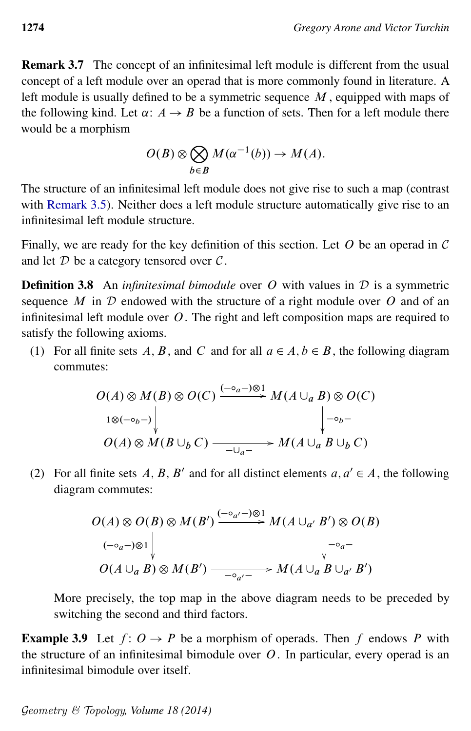Remark 3.7 The concept of an infinitesimal left module is different from the usual concept of a left module over an operad that is more commonly found in literature. A left module is usually defined to be a symmetric sequence  $M$ , equipped with maps of the following kind. Let  $\alpha: A \rightarrow B$  be a function of sets. Then for a left module there would be a morphism

$$
O(B) \otimes \bigotimes_{b \in B} M(\alpha^{-1}(b)) \to M(A).
$$

The structure of an infinitesimal left module does not give rise to such a map (contrast with [Remark 3.5\)](#page-12-0). Neither does a left module structure automatically give rise to an infinitesimal left module structure.

Finally, we are ready for the key definition of this section. Let  $O$  be an operad in  $C$ and let  $D$  be a category tensored over  $C$ .

**Definition 3.8** An *infinitesimal bimodule* over O with values in D is a symmetric sequence  $M$  in  $D$  endowed with the structure of a right module over  $O$  and of an infinitesimal left module over  $O$ . The right and left composition maps are required to satisfy the following axioms.

(1) For all finite sets A, B, and C and for all  $a \in A$ ,  $b \in B$ , the following diagram commutes:

$$
O(A) \otimes M(B) \otimes O(C) \xrightarrow{(-\circ_a -)\otimes 1} M(A \cup_a B) \otimes O(C)
$$
  
\n
$$
1 \otimes (-\circ_b -)
$$
  
\n
$$
O(A) \otimes M(B \cup_b C) \xrightarrow{-\cup_a -} M(A \cup_a B \cup_b C)
$$

(2) For all finite sets A, B, B' and for all distinct elements  $a, a' \in A$ , the following diagram commutes:

$$
O(A) \otimes O(B) \otimes M(B') \xrightarrow{(-\circ_{a'} -)\otimes 1} M(A \cup_{a'} B') \otimes O(B)
$$
  
\n
$$
(-\circ_{a} -)\otimes 1 \Big\downarrow \qquad \qquad \Big\downarrow -\circ_{a} -
$$
  
\n
$$
O(A \cup_{a} B) \otimes M(B') \xrightarrow{-\circ_{a'} -} M(A \cup_{a} B \cup_{a'} B')
$$

More precisely, the top map in the above diagram needs to be preceded by switching the second and third factors.

**Example 3.9** Let  $f: O \to P$  be a morphism of operads. Then f endows P with the structure of an infinitesimal bimodule over  $O$ . In particular, every operad is an infinitesimal bimodule over itself.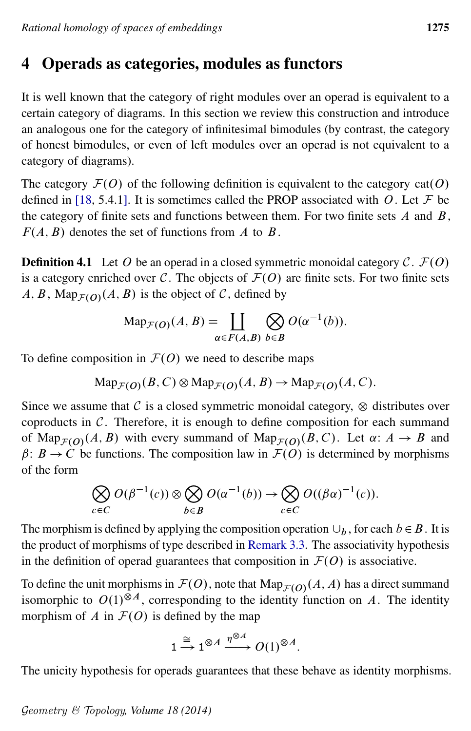# <span id="page-14-0"></span>4 Operads as categories, modules as functors

It is well known that the category of right modules over an operad is equivalent to a certain category of diagrams. In this section we review this construction and introduce an analogous one for the category of infinitesimal bimodules (by contrast, the category of honest bimodules, or even of left modules over an operad is not equivalent to a category of diagrams).

The category  $\mathcal{F}(O)$  of the following definition is equivalent to the category cat(O) defined in [\[18,](#page-60-8) 5.4.1]. It is sometimes called the PROP associated with O. Let  $\mathcal F$  be the category of finite sets and functions between them. For two finite sets  $A$  and  $B$ ,  $F(A, B)$  denotes the set of functions from A to B.

**Definition 4.1** Let O be an operad in a closed symmetric monoidal category C.  $\mathcal{F}(O)$ is a category enriched over C. The objects of  $\mathcal{F}(O)$  are finite sets. For two finite sets  $A, B$ , Map $_{\mathcal{F}(O)}(A, B)$  is the object of C, defined by

$$
\operatorname{Map}_{\mathcal{F}(O)}(A, B) = \coprod_{\alpha \in F(A, B)} \bigotimes_{b \in B} O(\alpha^{-1}(b)).
$$

To define composition in  $\mathcal{F}(O)$  we need to describe maps

$$
\mathrm{Map}_{\mathcal{F}(O)}(B, C) \otimes \mathrm{Map}_{\mathcal{F}(O)}(A, B) \to \mathrm{Map}_{\mathcal{F}(O)}(A, C).
$$

Since we assume that  $\mathcal C$  is a closed symmetric monoidal category,  $\otimes$  distributes over coproducts in  $C$ . Therefore, it is enough to define composition for each summand of Map<sub>F(O)</sub>(A, B) with every summand of Map<sub>F(O)</sub>(B, C). Let  $\alpha: A \to B$  and  $\beta: B \to C$  be functions. The composition law in  $\mathcal{F}(O)$  is determined by morphisms of the form

$$
\bigotimes_{c \in C} O(\beta^{-1}(c)) \otimes \bigotimes_{b \in B} O(\alpha^{-1}(b)) \to \bigotimes_{c \in C} O((\beta \alpha)^{-1}(c)).
$$

The morphism is defined by applying the composition operation  $\cup_b$ , for each  $b \in B$ . It is the product of morphisms of type described in [Remark 3.3.](#page-11-0) The associativity hypothesis in the definition of operad guarantees that composition in  $\mathcal{F}(O)$  is associative.

To define the unit morphisms in  $\mathcal{F}(O)$ , note that  $\mathrm{Map}_{\mathcal{F}(O)}(A, A)$  has a direct summand isomorphic to  $O(1)^{\otimes A}$ , corresponding to the identity function on A. The identity morphism of A in  $F(0)$  is defined by the map

$$
1 \xrightarrow{\cong} 1^{\otimes A} \xrightarrow{\eta^{\otimes A}} O(1)^{\otimes A}.
$$

The unicity hypothesis for operads guarantees that these behave as identity morphisms.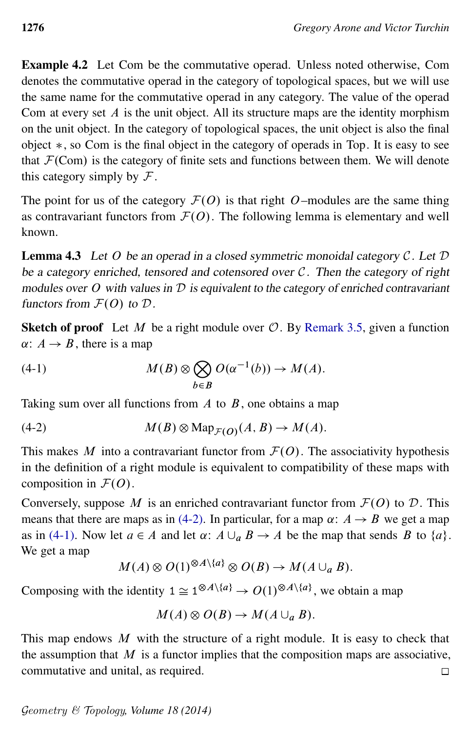<span id="page-15-2"></span>Example 4.2 Let Com be the commutative operad. Unless noted otherwise, Com denotes the commutative operad in the category of topological spaces, but we will use the same name for the commutative operad in any category. The value of the operad Com at every set  $A$  is the unit object. All its structure maps are the identity morphism on the unit object. In the category of topological spaces, the unit object is also the final object  $\ast$ , so Com is the final object in the category of operads in Top. It is easy to see that  $\mathcal{F}(\text{Com})$  is the category of finite sets and functions between them. We will denote this category simply by  $\mathcal F$ .

The point for us of the category  $\mathcal{F}(O)$  is that right O–modules are the same thing as contravariant functors from  $\mathcal{F}(O)$ . The following lemma is elementary and well known.

<span id="page-15-3"></span>**Lemma 4.3** Let O be an operad in a closed symmetric monoidal category  $C$ . Let  $D$ be a category enriched, tensored and cotensored over  $C$ . Then the category of right modules over  $O$  with values in  $D$  is equivalent to the category of enriched contravariant functors from  $\mathcal{F}(O)$  to  $\mathcal{D}$ .

<span id="page-15-1"></span>**Sketch of proof** Let M be a right module over  $\mathcal{O}$ . By [Remark 3.5,](#page-12-0) given a function  $\alpha: A \rightarrow B$ , there is a map

(4-1) 
$$
M(B) \otimes \bigotimes_{b \in B} O(\alpha^{-1}(b)) \to M(A).
$$

Taking sum over all functions from  $A$  to  $B$ , one obtains a map

(4-2) 
$$
M(B) \otimes \text{Map}_{\mathcal{F}(O)}(A, B) \to M(A).
$$

This makes M into a contravariant functor from  $\mathcal{F}(O)$ . The associativity hypothesis in the definition of a right module is equivalent to compatibility of these maps with composition in  $\mathcal{F}(O)$ .

Conversely, suppose M is an enriched contravariant functor from  $\mathcal{F}(O)$  to D. This means that there are maps as in [\(4-2\).](#page-15-0) In particular, for a map  $\alpha: A \rightarrow B$  we get a map as in [\(4-1\).](#page-15-1) Now let  $a \in A$  and let  $\alpha: A \cup_a B \rightarrow A$  be the map that sends B to  $\{a\}$ . We get a map

<span id="page-15-0"></span>
$$
M(A) \otimes O(1)^{\otimes A \setminus \{a\}} \otimes O(B) \to M(A \cup_a B).
$$

Composing with the identity  $1 \cong 1^{\otimes A \setminus \{a\}} \to O(1)^{\otimes A \setminus \{a\}}$ , we obtain a map

$$
M(A) \otimes O(B) \to M(A \cup_a B).
$$

This map endows  $M$  with the structure of a right module. It is easy to check that the assumption that  $M$  is a functor implies that the composition maps are associative, commutative and unital, as required.

$$
\Box
$$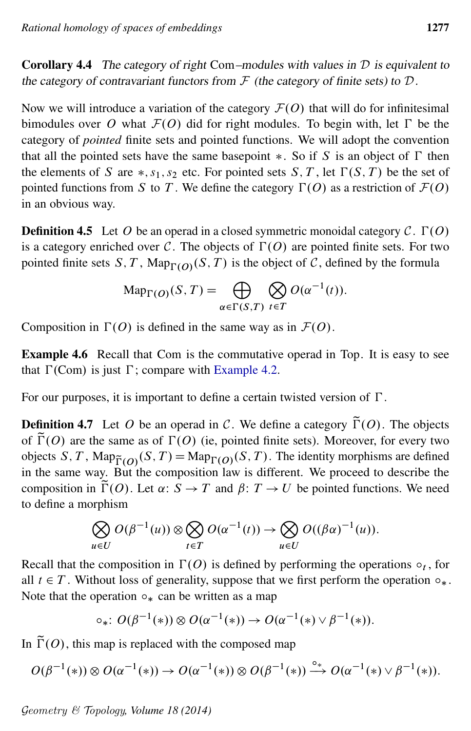<span id="page-16-1"></span>**Corollary 4.4** The category of right Com–modules with values in  $D$  is equivalent to the category of contravariant functors from  $\mathcal F$  (the category of finite sets) to  $\mathcal D$ .

Now we will introduce a variation of the category  $\mathcal{F}(O)$  that will do for infinitesimal bimodules over O what  $\mathcal{F}(O)$  did for right modules. To begin with, let  $\Gamma$  be the category of *pointed* finite sets and pointed functions. We will adopt the convention that all the pointed sets have the same basepoint  $\ast$ . So if S is an object of  $\Gamma$  then the elements of S are  $*, s_1, s_2$  etc. For pointed sets S, T, let  $\Gamma(S, T)$  be the set of pointed functions from S to T. We define the category  $\Gamma(O)$  as a restriction of  $\mathcal{F}(O)$ in an obvious way.

**Definition 4.5** Let O be an operad in a closed symmetric monoidal category C.  $\Gamma(O)$ is a category enriched over C. The objects of  $\Gamma(O)$  are pointed finite sets. For two pointed finite sets S, T,  $\text{Map}_{\Gamma(O)}(S, T)$  is the object of C, defined by the formula

$$
\operatorname{Map}_{\Gamma(O)}(S,T) = \bigoplus_{\alpha \in \Gamma(S,T)} \bigotimes_{t \in T} O(\alpha^{-1}(t)).
$$

Composition in  $\Gamma(O)$  is defined in the same way as in  $\mathcal{F}(O)$ .

Example 4.6 Recall that Com is the commutative operad in Top. It is easy to see that  $\Gamma$ (Com) is just  $\Gamma$ ; compare with [Example 4.2.](#page-15-2)

For our purposes, it is important to define a certain twisted version of  $\Gamma$ .

<span id="page-16-0"></span>**Definition 4.7** Let O be an operad in C. We define a category  $\tilde{\Gamma}(O)$ . The objects of  $\tilde{\Gamma}(O)$  are the same as of  $\Gamma(O)$  (ie, pointed finite sets). Moreover, for every two objects S, T, Map $_{\tilde{\Gamma}(O)}(S, T) = \text{Map}_{\Gamma(O)}(S, T)$ . The identity morphisms are defined in the same way. But the composition law is different. We proceed to describe the composition in  $\tilde{\Gamma}(O)$ . Let  $\alpha: S \to T$  and  $\beta: T \to U$  be pointed functions. We need to define a morphism

$$
\bigotimes_{u \in U} O(\beta^{-1}(u)) \otimes \bigotimes_{t \in T} O(\alpha^{-1}(t)) \to \bigotimes_{u \in U} O((\beta \alpha)^{-1}(u)).
$$

Recall that the composition in  $\Gamma$ (O) is defined by performing the operations  $\circ_t$ , for all  $t \in T$ . Without loss of generality, suppose that we first perform the operation  $\circ_*$ . Note that the operation  $\circ_*$  can be written as a map

$$
\circ_*\colon O(\beta^{-1}(*))\otimes O(\alpha^{-1}(*))\to O(\alpha^{-1}(*)\vee\beta^{-1}(*)).
$$

In  $\tilde{\Gamma}(O)$ , this map is replaced with the composed map

$$
O(\beta^{-1}(*))\otimes O(\alpha^{-1}(*))\to O(\alpha^{-1}(*))\otimes O(\beta^{-1}(*))\stackrel{\circ_*}{\longrightarrow} O(\alpha^{-1}(*)\vee\beta^{-1}(*)).
$$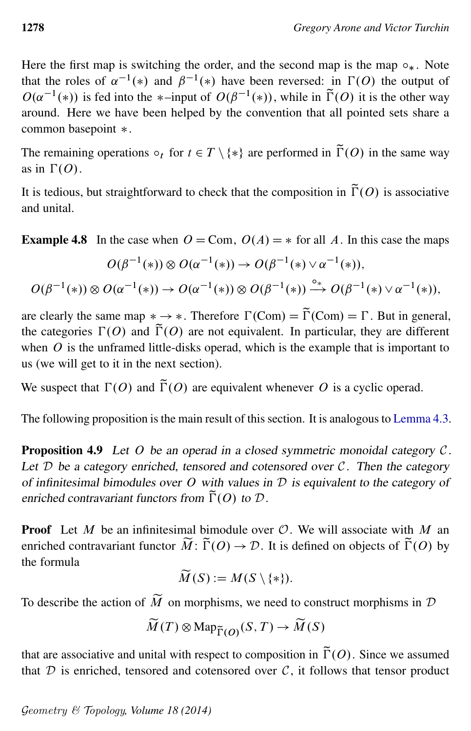Here the first map is switching the order, and the second map is the map  $\circ_*$ . Note that the roles of  $\alpha^{-1}(*)$  and  $\beta^{-1}(*)$  have been reversed: in  $\Gamma(0)$  the output of  $O(\alpha^{-1}(*))$  is fed into the \*-input of  $O(\beta^{-1}(*))$ , while in  $\tilde{\Gamma}(O)$  it is the other way around. Here we have been helped by the convention that all pointed sets share a common basepoint  $*$ .

The remaining operations  $\circ_t$  for  $t \in T \setminus \{*\}$  are performed in  $\tilde{\Gamma}(O)$  in the same way as in  $\Gamma(O)$ .

It is tedious, but straightforward to check that the composition in  $\tilde{\Gamma}(O)$  is associative and unital.

<span id="page-17-1"></span>**Example 4.8** In the case when  $O = \text{Com}$ ,  $O(A) = *$  for all A. In this case the maps

$$
O(\beta^{-1}(*))\otimes O(\alpha^{-1}(*))\to O(\beta^{-1}(*)\vee\alpha^{-1}(*)),
$$
  

$$
O(\beta^{-1}(*))\otimes O(\alpha^{-1}(*))\to O(\alpha^{-1}(*))\otimes O(\beta^{-1}(*))\stackrel{\circ_*}{\longrightarrow} O(\beta^{-1}(*)\vee\alpha^{-1}(*)),
$$

are clearly the same map  $* \rightarrow *$ . Therefore  $\Gamma(\text{Com}) = \widetilde{\Gamma}(\text{Com}) = \Gamma$ . But in general, the categories  $\Gamma(0)$  and  $\tilde{\Gamma}(0)$  are not equivalent. In particular, they are different when  $O$  is the unframed little-disks operad, which is the example that is important to us (we will get to it in the next section).

We suspect that  $\Gamma(O)$  and  $\tilde{\Gamma}(O)$  are equivalent whenever O is a cyclic operad.

<span id="page-17-0"></span>The following proposition is the main result of this section. It is analogous to [Lemma 4.3.](#page-15-3)

**Proposition 4.9** Let O be an operad in a closed symmetric monoidal category  $C$ . Let  $D$  be a category enriched, tensored and cotensored over  $C$ . Then the category of infinitesimal bimodules over O with values in  $D$  is equivalent to the category of enriched contravariant functors from  $\tilde{\Gamma}(O)$  to  $D$ .

**Proof** Let M be an infinitesimal bimodule over  $\mathcal{O}$ . We will associate with M an enriched contravariant functor  $\widetilde{M}$ :  $\widetilde{\Gamma}(O) \rightarrow \mathcal{D}$ . It is defined on objects of  $\widetilde{\Gamma}(O)$  by the formula

$$
\widetilde{M}(S):=M(S\setminus\{*\}).
$$

To describe the action of  $\widetilde{M}$  on morphisms, we need to construct morphisms in  $D$ 

$$
\widetilde{M}(T) \otimes \mathrm{Map}_{\widetilde{\Gamma}(O)}(S, T) \to \widetilde{M}(S)
$$

that are associative and unital with respect to composition in  $\tilde{\Gamma}(O)$ . Since we assumed that  $D$  is enriched, tensored and cotensored over  $C$ , it follows that tensor product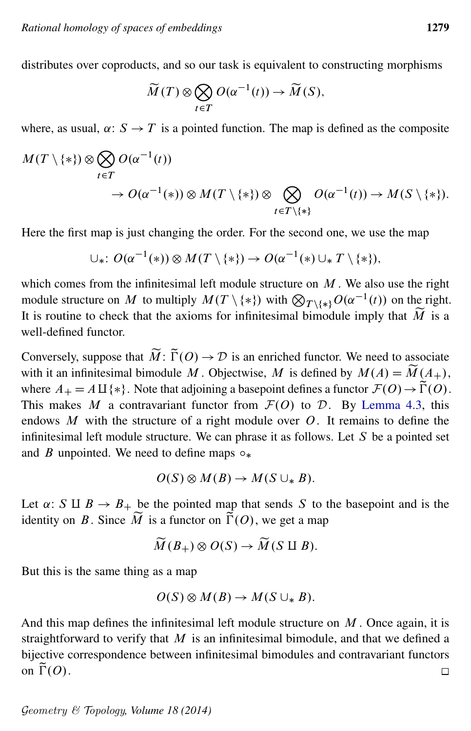distributes over coproducts, and so our task is equivalent to constructing morphisms

$$
\widetilde{M}(T) \otimes \bigotimes_{t \in T} O(\alpha^{-1}(t)) \to \widetilde{M}(S),
$$

where, as usual,  $\alpha: S \to T$  is a pointed function. The map is defined as the composite

$$
\begin{aligned} M(T \setminus \{*\}) &\otimes \bigotimes_{t \in T} O(\alpha^{-1}(t)) \\ &\to O(\alpha^{-1}(*) ) \otimes M(T \setminus \{*\}) \otimes \bigotimes_{t \in T \setminus \{*\}} O(\alpha^{-1}(t)) \to M(S \setminus \{*\}). \end{aligned}
$$

Here the first map is just changing the order. For the second one, we use the map

$$
\cup_*\colon O(\alpha^{-1}(*))\otimes M(T\setminus\{*\})\to O(\alpha^{-1}(*)\cup_* T\setminus\{*\}),
$$

which comes from the infinitesimal left module structure on  $M$ . We also use the right module structure on M to multiply  $M(T \setminus \{*\})$  with  $\bigotimes_{T \setminus \{*\}} O(\alpha^{-1}(t))$  on the right. It is routine to check that the axioms for infinitesimal bimodule imply that  $\widetilde{M}$  is a well-defined functor.

Conversely, suppose that  $\widetilde{M}$ :  $\widetilde{\Gamma}(O) \to \mathcal{D}$  is an enriched functor. We need to associate with it an infinitesimal bimodule M. Objectwise, M is defined by  $M(A) = \widetilde{M}(A_+),$ where  $A_{+} = A \amalg \{*\}$ . Note that adjoining a basepoint defines a functor  $\mathcal{F}(O) \rightarrow \tilde{\Gamma}(O)$ . This makes M a contravariant functor from  $\mathcal{F}(O)$  to D. By [Lemma 4.3,](#page-15-3) this endows  $M$  with the structure of a right module over  $O$ . It remains to define the infinitesimal left module structure. We can phrase it as follows. Let  $S$  be a pointed set and B unpointed. We need to define maps  $\circ_*$ 

$$
O(S) \otimes M(B) \to M(S \cup_* B).
$$

Let  $\alpha: S \amalg B \to B_+$  be the pointed map that sends S to the basepoint and is the identity on B. Since  $\widetilde{M}$  is a functor on  $\widetilde{\Gamma}(O)$ , we get a map

$$
\widetilde{M}(B_+) \otimes O(S) \to \widetilde{M}(S \amalg B).
$$

But this is the same thing as a map

$$
O(S) \otimes M(B) \to M(S \cup_* B).
$$

And this map defines the infinitesimal left module structure on  $M$ . Once again, it is straightforward to verify that  $M$  is an infinitesimal bimodule, and that we defined a bijective correspondence between infinitesimal bimodules and contravariant functors on  $\tilde{\Gamma}(O)$ .  $\Box$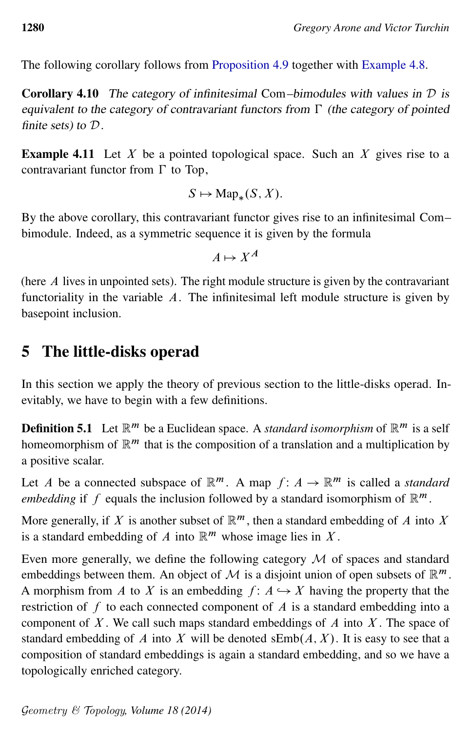<span id="page-19-2"></span>The following corollary follows from [Proposition 4.9](#page-17-0) together with [Example 4.8.](#page-17-1)

**Corollary 4.10** The category of infinitesimal Com–bimodules with values in  $D$  is equivalent to the category of contravariant functors from  $\Gamma$  (the category of pointed finite sets) to D.

**Example 4.11** Let X be a pointed topological space. Such an X gives rise to a contravariant functor from  $\Gamma$  to Top,

$$
S \mapsto \text{Map}_*(S, X).
$$

By the above corollary, this contravariant functor gives rise to an infinitesimal Com– bimodule. Indeed, as a symmetric sequence it is given by the formula

$$
A \mapsto X^A
$$

(here A lives in unpointed sets). The right module structure is given by the contravariant functoriality in the variable  $A$ . The infinitesimal left module structure is given by basepoint inclusion.

# <span id="page-19-0"></span>5 The little-disks operad

In this section we apply the theory of previous section to the little-disks operad. Inevitably, we have to begin with a few definitions.

<span id="page-19-1"></span>**Definition 5.1** Let  $\mathbb{R}^m$  be a Euclidean space. A *standard isomorphism* of  $\mathbb{R}^m$  is a self homeomorphism of  $\mathbb{R}^m$  that is the composition of a translation and a multiplication by a positive scalar.

Let A be a connected subspace of  $\mathbb{R}^m$ . A map  $f: A \to \mathbb{R}^m$  is called a *standard embedding* if f equals the inclusion followed by a standard isomorphism of  $\mathbb{R}^m$ .

More generally, if X is another subset of  $\mathbb{R}^m$ , then a standard embedding of A into X is a standard embedding of A into  $\mathbb{R}^m$  whose image lies in X.

Even more generally, we define the following category  $M$  of spaces and standard embeddings between them. An object of M is a disjoint union of open subsets of  $\mathbb{R}^m$ . A morphism from A to X is an embedding  $f: A \hookrightarrow X$  having the property that the restriction of  $f$  to each connected component of  $A$  is a standard embedding into a component of  $X$ . We call such maps standard embeddings of  $A$  into  $X$ . The space of standard embedding of A into X will be denoted  $\mathsf{sEmb}(A, X)$ . It is easy to see that a composition of standard embeddings is again a standard embedding, and so we have a topologically enriched category.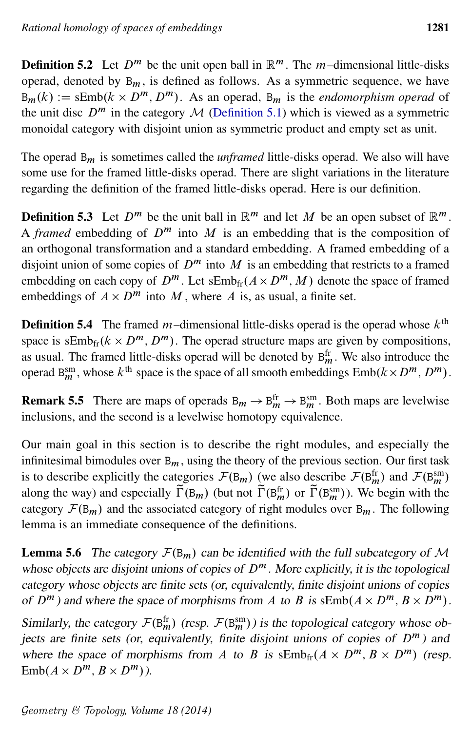**Definition 5.2** Let  $D^m$  be the unit open ball in  $\mathbb{R}^m$ . The m-dimensional little-disks operad, denoted by  $B_m$ , is defined as follows. As a symmetric sequence, we have  $B_m(k) := \text{sEmb}(k \times D^m, D^m)$ . As an operad,  $B_m$  is the *endomorphism operad* of the unit disc  $D^m$  in the category M [\(Definition 5.1\)](#page-19-1) which is viewed as a symmetric monoidal category with disjoint union as symmetric product and empty set as unit.

The operad B<sup>m</sup> is sometimes called the *unframed* little-disks operad. We also will have some use for the framed little-disks operad. There are slight variations in the literature regarding the definition of the framed little-disks operad. Here is our definition.

**Definition 5.3** Let  $D^m$  be the unit ball in  $\mathbb{R}^m$  and let M be an open subset of  $\mathbb{R}^m$ . A *framed* embedding of  $D^m$  into M is an embedding that is the composition of an orthogonal transformation and a standard embedding. A framed embedding of a disjoint union of some copies of  $D^m$  into M is an embedding that restricts to a framed embedding on each copy of  $D^m$ . Let  $\text{sEmb}_{\text{fr}}(A \times D^m, M)$  denote the space of framed embeddings of  $A \times D^m$  into M, where A is, as usual, a finite set.

**Definition 5.4** The framed *m*-dimensional little-disks operad is the operad whose  $k^{\text{th}}$ space is  $\text{sEmb}_{\text{fr}}(k \times D^m, D^m)$ . The operad structure maps are given by compositions, as usual. The framed little-disks operad will be denoted by  $B_m^{\text{fr}}$ . We also introduce the operad B<sup>sm</sup>, whose  $k^{\text{th}}$  space is the space of all smooth embeddings  $\text{Emb}(k \times D^m, D^m)$ .

**Remark 5.5** There are maps of operads  $B_m \to B_m^{\text{fr}} \to B_m^{\text{sm}}$ . Both maps are levelwise inclusions, and the second is a levelwise homotopy equivalence.

Our main goal in this section is to describe the right modules, and especially the infinitesimal bimodules over  $B_m$ , using the theory of the previous section. Our first task is to describe explicitly the categories  $\mathcal{F}(B_m)$  (we also describe  $\mathcal{F}(B_m^{\text{fr}})$  and  $\mathcal{F}(B_m^{\text{sm}})$ along the way) and especially  $\widetilde{\Gamma}(\mathbb{B}_m)$  (but not  $\widetilde{\Gamma}(\mathbb{B}_m^{\text{fr}})$  or  $\widetilde{\Gamma}(\mathbb{B}_m^{\text{sm}})$ ). We begin with the category  $\mathcal{F}(B_m)$  and the associated category of right modules over  $B_m$ . The following lemma is an immediate consequence of the definitions.

**Lemma 5.6** The category  $\mathcal{F}(B_m)$  can be identified with the full subcategory of M whose objects are disjoint unions of copies of  $D^m$ . More explicitly, it is the topological category whose objects are finite sets (or, equivalently, finite disjoint unions of copies of  $D^m$ ) and where the space of morphisms from A to B is  $\text{skimb}(A \times D^m, B \times D^m)$ .

Similarly, the category  $\mathcal{F}(\mathsf{B}_m^{\text{fr}})$  (resp.  $\mathcal{F}(\mathsf{B}_m^{\text{sm}})$ ) is the topological category whose objects are finite sets (or, equivalently, finite disjoint unions of copies of  $D^m$ ) and where the space of morphisms from A to B is  $\operatorname{sEmb}_{\text{fr}}(A \times D^m, B \times D^m)$  (resp.  $\text{Emb}(A \times D^m, B \times D^m)$ ).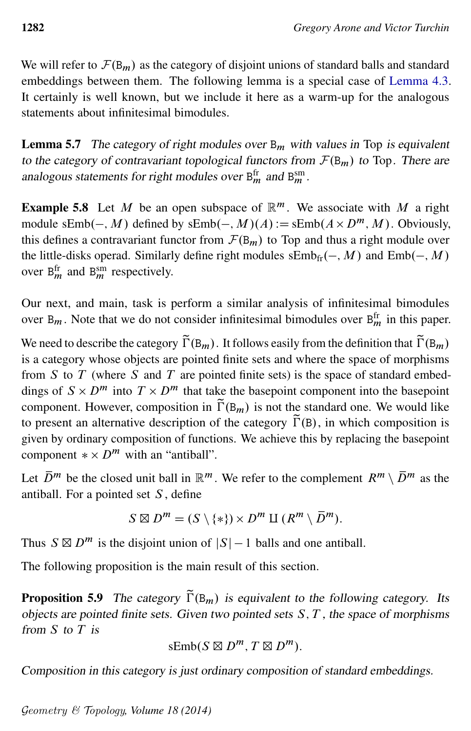We will refer to  $\mathcal{F}(B_m)$  as the category of disjoint unions of standard balls and standard embeddings between them. The following lemma is a special case of [Lemma 4.3.](#page-15-3) It certainly is well known, but we include it here as a warm-up for the analogous statements about infinitesimal bimodules.

<span id="page-21-1"></span>**Lemma 5.7** The category of right modules over  $B_m$  with values in Top is equivalent to the category of contravariant topological functors from  $\mathcal{F}(B_m)$  to Top. There are analogous statements for right modules over  $B_m^{\text{fr}}$  and  $B_m^{\text{sm}}$ .

**Example 5.8** Let M be an open subspace of  $\mathbb{R}^m$ . We associate with M a right module sEmb $(-, M)$  defined by sEmb $(-, M)(A) :=$ sEmb $(A \times D^m, M)$ . Obviously, this defines a contravariant functor from  $\mathcal{F}(B_m)$  to Top and thus a right module over the little-disks operad. Similarly define right modules  $sEmb_{fr}(-, M)$  and  $Emb(-, M)$ over  $B_m^{\text{fr}}$  and  $B_m^{\text{sm}}$  respectively.

Our next, and main, task is perform a similar analysis of infinitesimal bimodules over  $B_m$ . Note that we do not consider infinitesimal bimodules over  $B_m^{\text{fr}}$  in this paper.

We need to describe the category  $\tilde{\Gamma}(B_m)$ . It follows easily from the definition that  $\tilde{\Gamma}(B_m)$ is a category whose objects are pointed finite sets and where the space of morphisms from  $S$  to  $T$  (where  $S$  and  $T$  are pointed finite sets) is the space of standard embeddings of  $S \times D^m$  into  $T \times D^m$  that take the basepoint component into the basepoint component. However, composition in  $\tilde{\Gamma}(B_m)$  is not the standard one. We would like to present an alternative description of the category  $\tilde{\Gamma}(\mathbf{B})$ , in which composition is given by ordinary composition of functions. We achieve this by replacing the basepoint component  $\ast \times D^m$  with an "antiball".

Let  $\overline{D}^m$  be the closed unit ball in  $\mathbb{R}^m$ . We refer to the complement  $R^m \setminus \overline{D}^m$  as the antiball. For a pointed set  $S$ , define

$$
S \boxtimes Dm = (S \setminus \{*\}) \times Dm \amalg (Rm \setminus \overline{D}m).
$$

Thus  $S \boxtimes D^m$  is the disjoint union of  $|S| - 1$  balls and one antiball.

<span id="page-21-0"></span>The following proposition is the main result of this section.

**Proposition 5.9** The category  $\tilde{\Gamma}(\mathbf{B}_m)$  is equivalent to the following category. Its objects are pointed finite sets. Given two pointed sets  $S, T$ , the space of morphisms from  $S$  to  $T$  is

$$
\mathrm{sEmb}(S\boxtimes D^m, T\boxtimes D^m).
$$

Composition in this category is just ordinary composition of standard embeddings.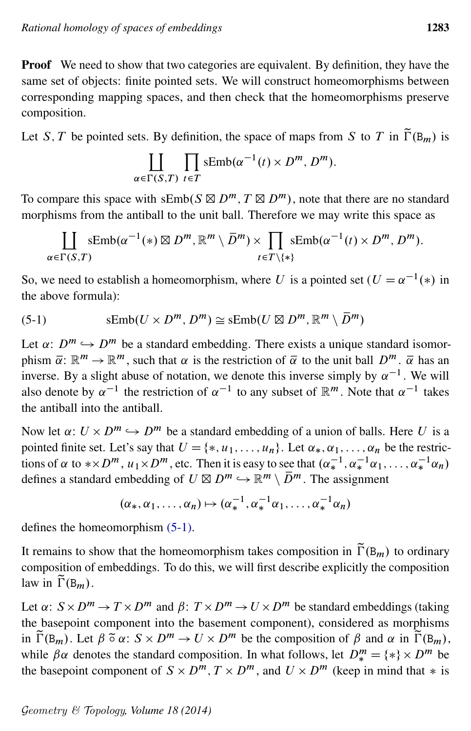Proof We need to show that two categories are equivalent. By definition, they have the same set of objects: finite pointed sets. We will construct homeomorphisms between corresponding mapping spaces, and then check that the homeomorphisms preserve composition.

Let S, T be pointed sets. By definition, the space of maps from S to T in  $\widetilde{\Gamma}(\mathbb{B}_m)$  is

$$
\coprod_{\alpha \in \Gamma(S,T)} \prod_{t \in T} \text{sEmb}(\alpha^{-1}(t) \times D^m, D^m).
$$

To compare this space with  $sEmb(S \boxtimes D^m, T \boxtimes D^m)$ , note that there are no standard morphisms from the antiball to the unit ball. Therefore we may write this space as

<span id="page-22-0"></span>
$$
\coprod_{\alpha \in \Gamma(S,T)} sEmb(\alpha^{-1}(*) \boxtimes D^m, \mathbb{R}^m \setminus \overline{D}^m) \times \prod_{t \in T \setminus \{*\}} sEmb(\alpha^{-1}(t) \times D^m, D^m).
$$

So, we need to establish a homeomorphism, where U is a pointed set  $(U = \alpha^{-1} (*)$  in the above formula):

(5-1) 
$$
\text{sEmb}(U \times D^m, D^m) \cong \text{sEmb}(U \boxtimes D^m, \mathbb{R}^m \setminus \overline{D}^m)
$$

Let  $\alpha: D^m \hookrightarrow D^m$  be a standard embedding. There exists a unique standard isomorphism  $\bar{\alpha}$ :  $\mathbb{R}^m \to \mathbb{R}^m$ , such that  $\alpha$  is the restriction of  $\bar{\alpha}$  to the unit ball  $D^m$ .  $\bar{\alpha}$  has an inverse. By a slight abuse of notation, we denote this inverse simply by  $\alpha^{-1}$ . We will also denote by  $\alpha^{-1}$  the restriction of  $\alpha^{-1}$  to any subset of  $\mathbb{R}^m$ . Note that  $\alpha^{-1}$  takes the antiball into the antiball.

Now let  $\alpha: U \times D^m \hookrightarrow D^m$  be a standard embedding of a union of balls. Here U is a pointed finite set. Let's say that  $U = \{*, u_1, \ldots, u_n\}$ . Let  $\alpha_*, \alpha_1, \ldots, \alpha_n$  be the restrictions of  $\alpha$  to  $*\times D^m$ ,  $u_1 \times D^m$ , etc. Then it is easy to see that  $(\alpha_*^{-1}, \alpha_*^{-1}\alpha_1, \ldots, \alpha_*^{-1}\alpha_n)$ defines a standard embedding of  $U \boxtimes D^m \hookrightarrow \mathbb{R}^m \setminus \overline{D}^m$ . The assignment

$$
(\alpha_*, \alpha_1, \ldots, \alpha_n) \mapsto (\alpha_*^{-1}, \alpha_*^{-1} \alpha_1, \ldots, \alpha_*^{-1} \alpha_n)
$$

defines the homeomorphism [\(5-1\).](#page-22-0)

It remains to show that the homeomorphism takes composition in  $\tilde{\Gamma}(B_m)$  to ordinary composition of embeddings. To do this, we will first describe explicitly the composition law in  $\widetilde{\Gamma}(\mathsf{B}_{m})$ .

Let  $\alpha: S \times D^m \to T \times D^m$  and  $\beta: T \times D^m \to U \times D^m$  be standard embeddings (taking the basepoint component into the basement component), considered as morphisms in  $\tilde{\Gamma}(\mathbb{B}_m)$ . Let  $\beta \tilde{\sigma} \alpha: S \times D^m \to U \times D^m$  be the composition of  $\beta$  and  $\alpha$  in  $\tilde{\Gamma}(\mathbb{B}_m)$ , while  $\beta \alpha$  denotes the standard composition. In what follows, let  $D_{*}^{m} = \{*\} \times D^{m}$  be the basepoint component of  $S \times D^m$ ,  $T \times D^m$ , and  $U \times D^m$  (keep in mind that  $*$  is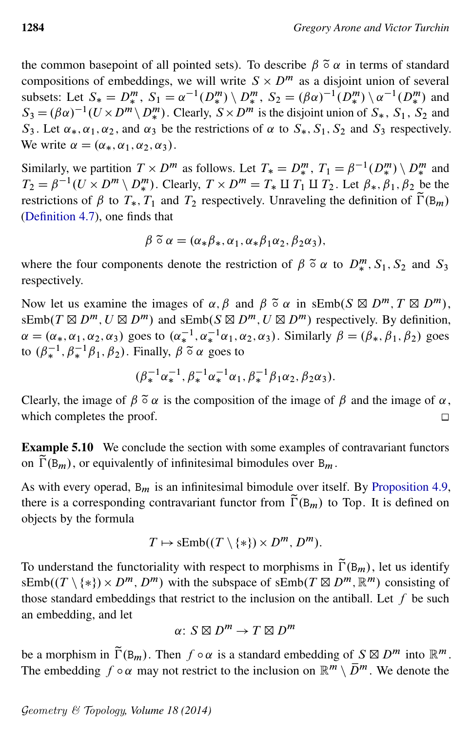the common basepoint of all pointed sets). To describe  $\beta \tilde{\circ} \alpha$  in terms of standard compositions of embeddings, we will write  $S \times D^m$  as a disjoint union of several subsets: Let  $S_* = D_*^m$ ,  $S_1 = \alpha^{-1}(D_*^m) \setminus D_*^m$ ,  $S_2 = (\beta \alpha)^{-1}(D_*^m) \setminus \alpha^{-1}(D_*^m)$  and  $S_3 = (\beta \alpha)^{-1} (U \times D^m \setminus D^m_*)$ . Clearly,  $S \times D^m$  is the disjoint union of  $S_*, S_1, S_2$  and  $S_3$ . Let  $\alpha_*, \alpha_1, \alpha_2$ , and  $\alpha_3$  be the restrictions of  $\alpha$  to  $S_*, S_1, S_2$  and  $S_3$  respectively. We write  $\alpha = (\alpha_*, \alpha_1, \alpha_2, \alpha_3)$ .

Similarly, we partition  $T \times D^m$  as follows. Let  $T_* = D_*^m$ ,  $T_1 = \beta^{-1}(D_*^m) \setminus D_*^m$  and  $T_2 = \beta^{-1}(U \times D^m \setminus D^m_*)$ . Clearly,  $T \times D^m = T_* \amalg T_1 \amalg T_2$ . Let  $\beta_*, \beta_1, \beta_2$  be the restrictions of  $\beta$  to  $T_*, T_1$  and  $T_2$  respectively. Unraveling the definition of  $\tilde{\Gamma}(\mathbf{B}_m)$ [\(Definition 4.7\)](#page-16-0), one finds that

$$
\beta \tilde{\circ} \alpha = (\alpha_* \beta_*, \alpha_1, \alpha_* \beta_1 \alpha_2, \beta_2 \alpha_3),
$$

where the four components denote the restriction of  $\beta$   $\tilde{\circ}$   $\alpha$  to  $D_{*}^{m}$ ,  $S_1$ ,  $S_2$  and  $S_3$ respectively.

Now let us examine the images of  $\alpha$ ,  $\beta$  and  $\beta$   $\tilde{\circ}$   $\alpha$  in sEmb(S  $\boxtimes$   $D^m$ ,  $T \boxtimes D^m$ ), sEmb( $T \boxtimes D^m$ ,  $U \boxtimes D^m$ ) and sEmb( $S \boxtimes D^m$ ,  $U \boxtimes D^m$ ) respectively. By definition,  $\alpha = (\alpha_*, \alpha_1, \alpha_2, \alpha_3)$  goes to  $(\alpha_*^{-1}, \alpha_*^{-1}\alpha_1, \alpha_2, \alpha_3)$ . Similarly  $\beta = (\beta_*, \beta_1, \beta_2)$  goes to  $(\beta_*^{-1}, \beta_*^{-1} \beta_1, \beta_2)$ . Finally,  $\beta \tilde{\circ} \alpha$  goes to

$$
(\beta_*^{-1}\alpha_*^{-1}, \beta_*^{-1}\alpha_*^{-1}\alpha_1, \beta_*^{-1}\beta_1\alpha_2, \beta_2\alpha_3).
$$

Clearly, the image of  $\beta \tilde{\circ} \alpha$  is the composition of the image of  $\beta$  and the image of  $\alpha$ , which completes the proof.  $\Box$ 

Example 5.10 We conclude the section with some examples of contravariant functors on  $\tilde{\Gamma}(\mathbf{B}_m)$ , or equivalently of infinitesimal bimodules over  $\mathbf{B}_m$ .

As with every operad,  $B_m$  is an infinitesimal bimodule over itself. By [Proposition 4.9,](#page-17-0) there is a corresponding contravariant functor from  $\tilde{\Gamma}(\mathbf{B}_{m})$  to Top. It is defined on objects by the formula

$$
T \mapsto \mathrm{sEmb}((T \setminus \{*\}) \times D^m, D^m).
$$

To understand the functoriality with respect to morphisms in  $\tilde{\Gamma}(B_m)$ , let us identify  $\text{sfimb}((T \setminus \{*\}) \times D^m, D^m)$  with the subspace of  $\text{sfimb}(T \boxtimes D^m, \mathbb{R}^m)$  consisting of those standard embeddings that restrict to the inclusion on the antiball. Let  $f$  be such an embedding, and let

$$
\alpha\colon S\boxtimes D^m\to T\boxtimes D^m
$$

be a morphism in  $\tilde{\Gamma}(\mathbf{B}_m)$ . Then  $f \circ \alpha$  is a standard embedding of  $S \boxtimes D^m$  into  $\mathbb{R}^m$ . The embedding  $f \circ \alpha$  may not restrict to the inclusion on  $\mathbb{R}^m \setminus \overline{D}^m$ . We denote the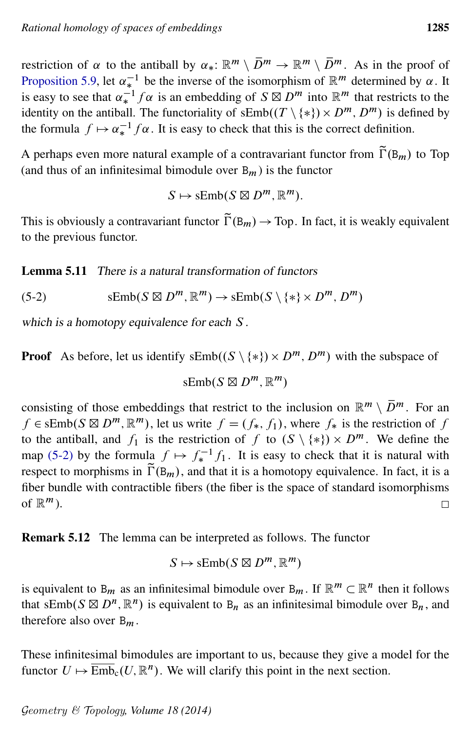restriction of  $\alpha$  to the antiball by  $\alpha_*: \mathbb{R}^m \setminus \overline{D}^m \to \mathbb{R}^m \setminus \overline{D}^m$ . As in the proof of [Proposition 5.9,](#page-21-0) let  $\alpha_*^{-1}$  be the inverse of the isomorphism of  $\mathbb{R}^m$  determined by  $\alpha$ . It is easy to see that  $\alpha_*^{-1} f \alpha$  is an embedding of  $S \boxtimes D^m$  into  $\mathbb{R}^m$  that restricts to the identity on the antiball. The functoriality of  $sEmb((T \setminus \{*\}) \times D^m, D^m)$  is defined by the formula  $f \mapsto \alpha_*^{-1} f \alpha$ . It is easy to check that this is the correct definition.

A perhaps even more natural example of a contravariant functor from  $\tilde{\Gamma}(B_m)$  to Top (and thus of an infinitesimal bimodule over  $B_m$ ) is the functor

<span id="page-24-0"></span>
$$
S \mapsto \mathrm{sEmb}(S \boxtimes D^m, \mathbb{R}^m).
$$

This is obviously a contravariant functor  $\tilde{\Gamma}(B_m) \to Top$ . In fact, it is weakly equivalent to the previous functor.

<span id="page-24-2"></span>Lemma 5.11 There is a natural transformation of functors

(5-2)  $\mathrm{sEmb}(S \boxtimes D^m, \mathbb{R}^m) \to \mathrm{sEmb}(S \setminus \{*\} \times D^m, D^m)$ 

which is a homotopy equivalence for each S.

**Proof** As before, let us identify  $sEmb((S \setminus \{*\}) \times D^m, D^m)$  with the subspace of

 $sEmb(S \boxtimes D^m, \mathbb{R}^m)$ 

consisting of those embeddings that restrict to the inclusion on  $\mathbb{R}^m \setminus \overline{D}^m$ . For an  $f \in sEmb(S \boxtimes D^m, \mathbb{R}^m)$ , let us write  $f = (f_*, f_1)$ , where  $f_*$  is the restriction of f to the antiball, and  $f_1$  is the restriction of f to  $(S \setminus \{*\}) \times D^m$ . We define the map [\(5-2\)](#page-24-0) by the formula  $f \mapsto f_*^{-1} f_1$ . It is easy to check that it is natural with respect to morphisms in  $\tilde{\Gamma}(\mathbf{B}_m)$ , and that it is a homotopy equivalence. In fact, it is a fiber bundle with contractible fibers (the fiber is the space of standard isomorphisms of  $\mathbb{R}^m$ ).  $\Box$ 

<span id="page-24-1"></span>Remark 5.12 The lemma can be interpreted as follows. The functor

$$
S \mapsto \mathrm{sEmb}(S \boxtimes D^m, \mathbb{R}^m)
$$

is equivalent to B<sub>m</sub> as an infinitesimal bimodule over B<sub>m</sub>. If  $\mathbb{R}^m \subset \mathbb{R}^n$  then it follows that sEmb( $S \boxtimes D^n$ ,  $\mathbb{R}^n$ ) is equivalent to  $B_n$  as an infinitesimal bimodule over  $B_n$ , and therefore also over  $B_m$ .

These infinitesimal bimodules are important to us, because they give a model for the functor  $U \mapsto \overline{\text{Emb}}_c(U, \mathbb{R}^n)$ . We will clarify this point in the next section.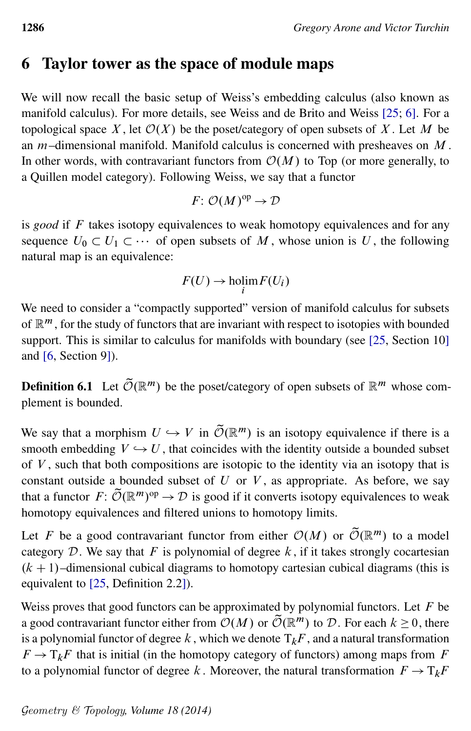### <span id="page-25-0"></span>6 Taylor tower as the space of module maps

We will now recall the basic setup of Weiss's embedding calculus (also known as manifold calculus). For more details, see Weiss and de Brito and Weiss [\[25;](#page-61-0) [6\]](#page-60-1). For a topological space X, let  $\mathcal{O}(X)$  be the poset/category of open subsets of X. Let M be an  $m$ –dimensional manifold. Manifold calculus is concerned with presheaves on  $M$ . In other words, with contravariant functors from  $\mathcal{O}(M)$  to Top (or more generally, to a Quillen model category). Following Weiss, we say that a functor

$$
F: \mathcal{O}(M)^{op} \to \mathcal{D}
$$

is *good* if F takes isotopy equivalences to weak homotopy equivalences and for any sequence  $U_0 \subset U_1 \subset \cdots$  of open subsets of M, whose union is U, the following natural map is an equivalence:

$$
F(U) \to \text{holim}_i F(U_i)
$$

We need to consider a "compactly supported" version of manifold calculus for subsets of  $\mathbb{R}^m$ , for the study of functors that are invariant with respect to isotopies with bounded support. This is similar to calculus for manifolds with boundary (see [\[25,](#page-61-0) Section 10] and [\[6,](#page-60-1) Section 9]).

**Definition 6.1** Let  $\widetilde{\mathcal{O}}(\mathbb{R}^m)$  be the poset/category of open subsets of  $\mathbb{R}^m$  whose complement is bounded.

We say that a morphism  $U \hookrightarrow V$  in  $\tilde{\mathcal{O}}(\mathbb{R}^m)$  is an isotopy equivalence if there is a smooth embedding  $V \hookrightarrow U$ , that coincides with the identity outside a bounded subset of  $V$ , such that both compositions are isotopic to the identity via an isotopy that is constant outside a bounded subset of  $U$  or  $V$ , as appropriate. As before, we say that a functor  $F: \widetilde{\mathcal{O}}(\mathbb{R}^m)^{op} \to \mathcal{D}$  is good if it converts isotopy equivalences to weak homotopy equivalences and filtered unions to homotopy limits.

Let F be a good contravariant functor from either  $\mathcal{O}(M)$  or  $\widetilde{\mathcal{O}}(\mathbb{R}^m)$  to a model category  $D$ . We say that F is polynomial of degree  $k$ , if it takes strongly cocartesian  $(k + 1)$ –dimensional cubical diagrams to homotopy cartesian cubical diagrams (this is equivalent to [\[25,](#page-61-0) Definition 2.2]).

Weiss proves that good functors can be approximated by polynomial functors. Let  $F$  be a good contravariant functor either from  $\mathcal{O}(M)$  or  $\tilde{\mathcal{O}}(\mathbb{R}^m)$  to  $\mathcal{D}$ . For each  $k \geq 0$ , there is a polynomial functor of degree k, which we denote  $T_kF$ , and a natural transformation  $F \to T_kF$  that is initial (in the homotopy category of functors) among maps from F to a polynomial functor of degree k. Moreover, the natural transformation  $F \to T_kF$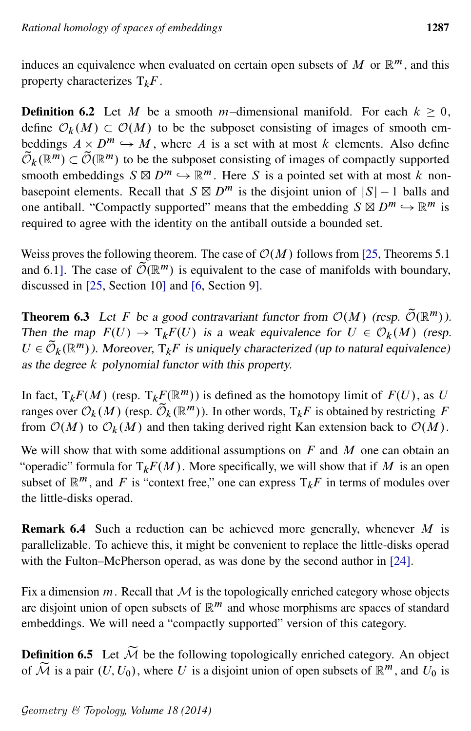induces an equivalence when evaluated on certain open subsets of  $M$  or  $\mathbb{R}^m$ , and this property characterizes  $T_kF$ .

**Definition 6.2** Let M be a smooth m-dimensional manifold. For each  $k \ge 0$ , define  $\mathcal{O}_k(M) \subset \mathcal{O}(M)$  to be the subposet consisting of images of smooth embeddings  $A \times D^m \hookrightarrow M$ , where A is a set with at most k elements. Also define  $\widetilde{\mathcal{O}}_k(\mathbb{R}^m) \subset \widetilde{\mathcal{O}}(\mathbb{R}^m)$  to be the subposet consisting of images of compactly supported smooth embeddings  $S \boxtimes D^m \hookrightarrow \mathbb{R}^m$ . Here S is a pointed set with at most k nonbasepoint elements. Recall that  $S \boxtimes D^m$  is the disjoint union of  $|S| - 1$  balls and one antiball. "Compactly supported" means that the embedding  $S \boxtimes D^m \hookrightarrow \mathbb{R}^m$  is required to agree with the identity on the antiball outside a bounded set.

Weiss proves the following theorem. The case of  $\mathcal{O}(M)$  follows from [\[25,](#page-61-0) Theorems 5.1] and 6.1]. The case of  $\tilde{\mathcal{O}}(\mathbb{R}^m)$  is equivalent to the case of manifolds with boundary, discussed in [\[25,](#page-61-0) Section 10] and [\[6,](#page-60-1) Section 9].

<span id="page-26-0"></span>**Theorem 6.3** Let F be a good contravariant functor from  $O(M)$  (resp.  $\widetilde{O}(\mathbb{R}^m)$ ). Then the map  $F(U) \to T_kF(U)$  is a weak equivalence for  $U \in \mathcal{O}_k(M)$  (resp.  $U \in \widetilde{\mathcal{O}}_k(\mathbb{R}^m)$ ). Moreover,  $T_k F$  is uniquely characterized (up to natural equivalence) as the degree k polynomial functor with this property.

In fact,  $T_kF(M)$  (resp.  $T_kF(\mathbb{R}^m)$ ) is defined as the homotopy limit of  $F(U)$ , as U ranges over  $\mathcal{O}_k(M)$  (resp.  $\widetilde{\mathcal{O}}_k(\mathbb{R}^m)$ ). In other words,  $T_kF$  is obtained by restricting F from  $\mathcal{O}(M)$  to  $\mathcal{O}_k(M)$  and then taking derived right Kan extension back to  $\mathcal{O}(M)$ .

We will show that with some additional assumptions on  $F$  and  $M$  one can obtain an "operadic" formula for  $T_kF(M)$ . More specifically, we will show that if M is an open subset of  $\mathbb{R}^m$ , and F is "context free," one can express  $T_kF$  in terms of modules over the little-disks operad.

**Remark 6.4** Such a reduction can be achieved more generally, whenever  $M$  is parallelizable. To achieve this, it might be convenient to replace the little-disks operad with the Fulton–McPherson operad, as was done by the second author in [\[24\]](#page-61-2).

Fix a dimension  $m$ . Recall that  $M$  is the topologically enriched category whose objects are disjoint union of open subsets of  $\mathbb{R}^m$  and whose morphisms are spaces of standard embeddings. We will need a "compactly supported" version of this category.

**Definition 6.5** Let  $\widetilde{M}$  be the following topologically enriched category. An object of  $\widetilde{\mathcal{M}}$  is a pair  $(U, U_0)$ , where U is a disjoint union of open subsets of  $\mathbb{R}^m$ , and  $U_0$  is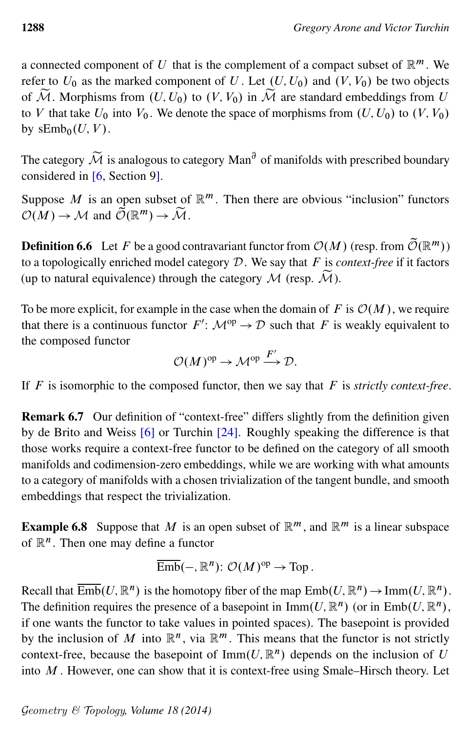a connected component of U that is the complement of a compact subset of  $\mathbb{R}^m$ . We refer to  $U_0$  as the marked component of U. Let  $(U, U_0)$  and  $(V, V_0)$  be two objects of  $\widetilde{\mathcal{M}}$ . Morphisms from  $(U, U_0)$  to  $(V, V_0)$  in  $\widetilde{\mathcal{M}}$  are standard embeddings from U to V that take  $U_0$  into  $V_0$ . We denote the space of morphisms from  $(U, U_0)$  to  $(V, V_0)$ . by  $sEmb_0(U, V)$ .

The category  $\widetilde{\mathcal{M}}$  is analogous to category Man<sup> $\partial$ </sup> of manifolds with prescribed boundary considered in [\[6,](#page-60-1) Section 9].

Suppose M is an open subset of  $\mathbb{R}^m$ . Then there are obvious "inclusion" functors  $\mathcal{O}(M) \to \mathcal{M}$  and  $\mathcal{\tilde{O}}(\mathbb{R}^m) \to \mathcal{\tilde{M}}$ .

**Definition 6.6** Let F be a good contravariant functor from  $O(M)$  (resp. from  $\tilde{O}(\mathbb{R}^m)$ ) to a topologically enriched model category D. We say that F is *context-free* if it factors (up to natural equivalence) through the category  $M$  (resp.  $\widetilde{M}$ ).

To be more explicit, for example in the case when the domain of F is  $\mathcal{O}(M)$ , we require that there is a continuous functor  $F' : \mathcal{M}^{\text{op}} \to \mathcal{D}$  such that F is weakly equivalent to the composed functor

$$
\mathcal{O}(M)^{op} \to \mathcal{M}^{op} \xrightarrow{F'} \mathcal{D}.
$$

If F is isomorphic to the composed functor, then we say that F is *strictly context-free*.

Remark 6.7 Our definition of "context-free" differs slightly from the definition given by de Brito and Weiss [\[6\]](#page-60-1) or Turchin [\[24\]](#page-61-2). Roughly speaking the difference is that those works require a context-free functor to be defined on the category of all smooth manifolds and codimension-zero embeddings, while we are working with what amounts to a category of manifolds with a chosen trivialization of the tangent bundle, and smooth embeddings that respect the trivialization.

<span id="page-27-0"></span>**Example 6.8** Suppose that M is an open subset of  $\mathbb{R}^m$ , and  $\mathbb{R}^m$  is a linear subspace of  $\mathbb{R}^n$ . Then one may define a functor

$$
\overline{\mathrm{Emb}}(-, \mathbb{R}^n) \colon \mathcal{O}(M)^{\mathrm{op}} \to \mathrm{Top}.
$$

Recall that  $\overline{\text{Emb}}(U, \mathbb{R}^n)$  is the homotopy fiber of the map  $\text{Emb}(U, \mathbb{R}^n) \to \text{Imm}(U, \mathbb{R}^n)$ . The definition requires the presence of a basepoint in  $\text{Imm}(U, \mathbb{R}^n)$  (or in  $\text{Emb}(U, \mathbb{R}^n)$ , if one wants the functor to take values in pointed spaces). The basepoint is provided by the inclusion of M into  $\mathbb{R}^n$ , via  $\mathbb{R}^m$ . This means that the functor is not strictly context-free, because the basepoint of  $\text{Imm}(U, \mathbb{R}^n)$  depends on the inclusion of U into  $M$ . However, one can show that it is context-free using Smale–Hirsch theory. Let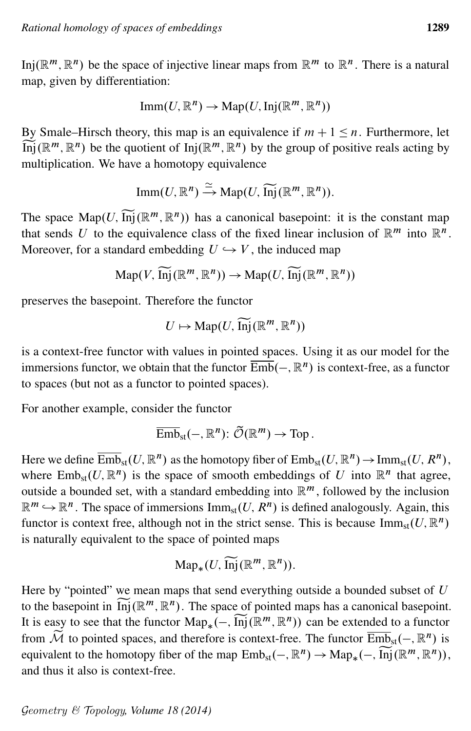Inj $(\mathbb{R}^m, \mathbb{R}^n)$  be the space of injective linear maps from  $\mathbb{R}^m$  to  $\mathbb{R}^n$ . There is a natural map, given by differentiation:

$$
\text{Imm}(U, \mathbb{R}^n) \to \text{Map}(U, \text{Inj}(\mathbb{R}^m, \mathbb{R}^n))
$$

By Smale–Hirsch theory, this map is an equivalence if  $m + 1 \le n$ . Furthermore, let  $\widetilde{\text{Inj}}(\mathbb{R}^m, \mathbb{R}^n)$  be the quotient of  $\text{Inj}(\mathbb{R}^m, \mathbb{R}^n)$  by the group of positive reals acting by multiplication. We have a homotopy equivalence

$$
\mathrm{Imm}(U, \mathbb{R}^n) \xrightarrow{\simeq} \mathrm{Map}(U, \widetilde{\mathrm{Inj}}(\mathbb{R}^m, \mathbb{R}^n)).
$$

The space  $\text{Map}(U, \overline{\text{Inj}}(\mathbb{R}^m, \mathbb{R}^n))$  has a canonical basepoint: it is the constant map that sends U to the equivalence class of the fixed linear inclusion of  $\mathbb{R}^m$  into  $\mathbb{R}^n$ . Moreover, for a standard embedding  $U \hookrightarrow V$ , the induced map

$$
\mathrm{Map}(V, \widetilde{\mathrm{Inj}}(\mathbb{R}^m, \mathbb{R}^n)) \to \mathrm{Map}(U, \widetilde{\mathrm{Inj}}(\mathbb{R}^m, \mathbb{R}^n))
$$

preserves the basepoint. Therefore the functor

$$
U \mapsto \mathrm{Map}(U, \widetilde{\mathrm{Inj}}(\mathbb{R}^m, \mathbb{R}^n))
$$

is a context-free functor with values in pointed spaces. Using it as our model for the immersions functor, we obtain that the functor  $\overline{\text{Emb}}(-, \mathbb{R}^n)$  is context-free, as a functor to spaces (but not as a functor to pointed spaces).

For another example, consider the functor

$$
\overline{\mathrm{Emb}}_{\mathrm{st}}(-, \mathbb{R}^n) \colon \widetilde{\mathcal{O}}(\mathbb{R}^m) \to \mathrm{Top}.
$$

Here we define  $\overline{\mathrm{Emb}}_{\mathrm{st}}(U,\mathbb{R}^n)$  as the homotopy fiber of  $\mathrm{Emb}_{\mathrm{st}}(U,\mathbb{R}^n)\to \mathrm{Imm}_{\mathrm{st}}(U,\mathcal{R}^n),$ where  $Emb_{st}(U, \mathbb{R}^{n})$  is the space of smooth embeddings of U into  $\mathbb{R}^{n}$  that agree, outside a bounded set, with a standard embedding into  $\mathbb{R}^m$ , followed by the inclusion  $\mathbb{R}^m \hookrightarrow \mathbb{R}^n$ . The space of immersions  $\text{Imm}_{st}(U, R^n)$  is defined analogously. Again, this functor is context free, although not in the strict sense. This is because  $\text{Imm}_{st}(U, \mathbb{R}^n)$ is naturally equivalent to the space of pointed maps

$$
\mathrm{Map}_*(U, \widetilde{\mathrm{Inj}}(\mathbb{R}^m, \mathbb{R}^n)).
$$

Here by "pointed" we mean maps that send everything outside a bounded subset of  $U$ to the basepoint in  $\widetilde{\text{Inj}}(\mathbb{R}^m, \mathbb{R}^n)$ . The space of pointed maps has a canonical basepoint. It is easy to see that the functor  $\text{Map}_*(-, \widetilde{\text{Inj}}(\mathbb{R}^m, \mathbb{R}^n))$  can be extended to a functor from  $\widetilde{\mathcal{M}}$  to pointed spaces, and therefore is context-free. The functor  $\overline{\text{Emb}}_{\text{st}}(-, \mathbb{R}^n)$  is equivalent to the homotopy fiber of the map  $Emb_{st}(-, \mathbb{R}^n) \to Map_*(-, \widetilde{Inj}(\mathbb{R}^m, \mathbb{R}^n)),$ and thus it also is context-free.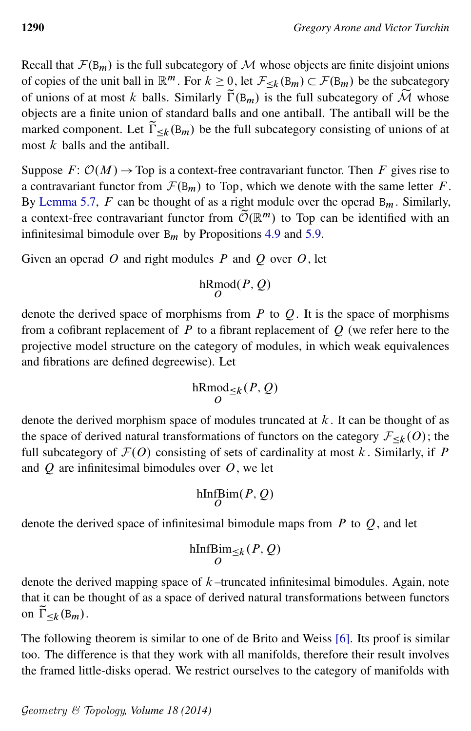Recall that  $\mathcal{F}(B_m)$  is the full subcategory of M whose objects are finite disjoint unions of copies of the unit ball in  $\mathbb{R}^m$ . For  $k \geq 0$ , let  $\mathcal{F}_{\leq k}(\mathbb{B}_m) \subset \mathcal{F}(\mathbb{B}_m)$  be the subcategory of unions of at most k balls. Similarly  $\tilde{\Gamma}(\mathbf{B}_m)$  is the full subcategory of  $\tilde{\mathcal{M}}$  whose objects are a finite union of standard balls and one antiball. The antiball will be the marked component. Let  $\tilde{\Gamma}_{\leq k}(B_m)$  be the full subcategory consisting of unions of at most  $k$  balls and the antiball.

Suppose  $F: \mathcal{O}(M) \to \text{Top}$  is a context-free contravariant functor. Then F gives rise to a contravariant functor from  $\mathcal{F}(B_m)$  to Top, which we denote with the same letter F. By [Lemma 5.7,](#page-21-1) F can be thought of as a right module over the operad  $B_m$ . Similarly, a context-free contravariant functor from  $\widetilde{\mathcal{O}}(\mathbb{R}^m)$  to Top can be identified with an infinitesimal bimodule over  $B_m$  by Propositions [4.9](#page-17-0) and [5.9.](#page-21-0)

Given an operad  $O$  and right modules  $P$  and  $O$  over  $O$ , let

$$
\mathop{\mathrm{hRmod}}_O(P,Q)
$$

denote the derived space of morphisms from  $P$  to  $Q$ . It is the space of morphisms from a cofibrant replacement of  $P$  to a fibrant replacement of  $Q$  (we refer here to the projective model structure on the category of modules, in which weak equivalences and fibrations are defined degreewise). Let

$$
\mathop{\rm hRmod}\nolimits_{\leq k}(P,Q)
$$

denote the derived morphism space of modules truncated at  $k$ . It can be thought of as the space of derived natural transformations of functors on the category  $\mathcal{F}_{\leq k}(O)$ ; the full subcategory of  $\mathcal{F}(O)$  consisting of sets of cardinality at most k. Similarly, if P and  $O$  are infinitesimal bimodules over  $O$ , we let

$$
\mathop{\rm hInf}\nolimits\limits_O\!\mathop{\rm Bim}\nolimits(P,Q)
$$

denote the derived space of infinitesimal bimodule maps from  $P$  to  $Q$ , and let

$$
\underset{O}{\text{hInfBim}_{\leq k}(P,Q)}
$$

denote the derived mapping space of  $k$ -truncated infinitesimal bimodules. Again, note that it can be thought of as a space of derived natural transformations between functors on  $\tilde{\Gamma}_{\leq k}(\mathsf{B}_m)$ .

The following theorem is similar to one of de Brito and Weiss [\[6\]](#page-60-1). Its proof is similar too. The difference is that they work with all manifolds, therefore their result involves the framed little-disks operad. We restrict ourselves to the category of manifolds with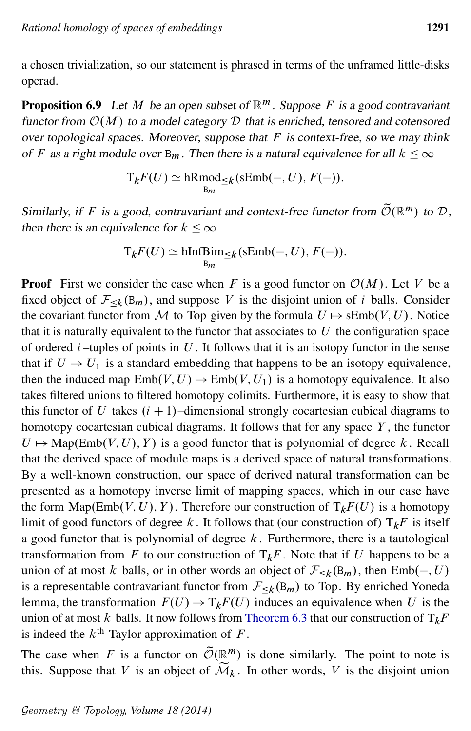a chosen trivialization, so our statement is phrased in terms of the unframed little-disks operad.

<span id="page-30-0"></span>**Proposition 6.9** Let M be an open subset of  $\mathbb{R}^m$ . Suppose F is a good contravariant functor from  $\mathcal{O}(M)$  to a model category  $\mathcal D$  that is enriched, tensored and cotensored over topological spaces. Moreover, suppose that  $F$  is context-free, so we may think of F as a right module over  $B_m$ . Then there is a natural equivalence for all  $k \leq \infty$ 

$$
T_k F(U) \simeq hRmod_{\leq k}(\mathrm{sEmb}(-, U), F(-)).
$$

Similarly, if F is a good, contravariant and context-free functor from  $\widetilde{\mathcal{O}}(\mathbb{R}^m)$  to D, then there is an equivalence for  $k \leq \infty$ 

$$
T_k F(U) \simeq \underset{B_m}{\text{hInfBim}} \leq k \left( \text{sEmb}(-, U), F(-) \right).
$$

**Proof** First we consider the case when F is a good functor on  $\mathcal{O}(M)$ . Let V be a fixed object of  $\mathcal{F}_{\leq k}(B_m)$ , and suppose V is the disjoint union of i balls. Consider the covariant functor from M to Top given by the formula  $U \mapsto \text{sEmb}(V, U)$ . Notice that it is naturally equivalent to the functor that associates to  $U$  the configuration space of ordered  $i$ -tuples of points in  $U$ . It follows that it is an isotopy functor in the sense that if  $U \rightarrow U_1$  is a standard embedding that happens to be an isotopy equivalence, then the induced map  $Emb(V, U) \rightarrow Emb(V, U_1)$  is a homotopy equivalence. It also takes filtered unions to filtered homotopy colimits. Furthermore, it is easy to show that this functor of U takes  $(i + 1)$ –dimensional strongly cocartesian cubical diagrams to homotopy cocartesian cubical diagrams. It follows that for any space  $Y$ , the functor  $U \mapsto \text{Map}(\text{Emb}(V, U), Y)$  is a good functor that is polynomial of degree k. Recall that the derived space of module maps is a derived space of natural transformations. By a well-known construction, our space of derived natural transformation can be presented as a homotopy inverse limit of mapping spaces, which in our case have the form  $\text{Map}(\text{Emb}(V, U), Y)$ . Therefore our construction of  $T_kF(U)$  is a homotopy limit of good functors of degree k. It follows that (our construction of)  $T_kF$  is itself a good functor that is polynomial of degree  $k$ . Furthermore, there is a tautological transformation from F to our construction of  $T_kF$ . Note that if U happens to be a union of at most k balls, or in other words an object of  $\mathcal{F}_{\leq k}(\mathsf{B}_m)$ , then  $\text{Emb}(-, U)$ is a representable contravariant functor from  $\mathcal{F}_{\leq k}(\mathbf{B}_m)$  to Top. By enriched Yoneda lemma, the transformation  $F(U) \to T_kF(U)$  induces an equivalence when U is the union of at most k balls. It now follows from [Theorem 6.3](#page-26-0) that our construction of  $T_kF$ is indeed the  $k^{\text{th}}$  Taylor approximation of F.

The case when F is a functor on  $\tilde{\mathcal{O}}(\mathbb{R}^m)$  is done similarly. The point to note is this. Suppose that V is an object of  $\widetilde{\mathcal{M}}_k$ . In other words, V is the disjoint union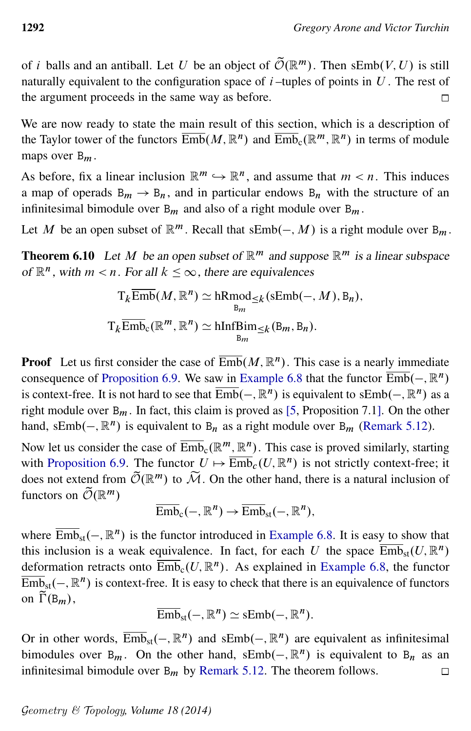of *i* balls and an antiball. Let U be an object of  $\tilde{\mathcal{O}}(\mathbb{R}^m)$ . Then sEmb $(V, U)$  is still naturally equivalent to the configuration space of  $i$ -tuples of points in  $U$ . The rest of the argument proceeds in the same way as before.  $\Box$ 

We are now ready to state the main result of this section, which is a description of the Taylor tower of the functors  $\overline{\mathrm{Emb}}(M,\mathbb{R}^n)$  and  $\overline{\mathrm{Emb}}_{c}(\mathbb{R}^m,\mathbb{R}^n)$  in terms of module maps over  $B_m$ .

As before, fix a linear inclusion  $\mathbb{R}^m \hookrightarrow \mathbb{R}^n$ , and assume that  $m < n$ . This induces a map of operads  $B_m \rightarrow B_n$ , and in particular endows  $B_n$  with the structure of an infinitesimal bimodule over  $B_m$  and also of a right module over  $B_m$ .

Let M be an open subset of  $\mathbb{R}^m$ . Recall that  $sEmb(-, M)$  is a right module over  $B_m$ .

<span id="page-31-0"></span>**Theorem 6.10** Let M be an open subset of  $\mathbb{R}^m$  and suppose  $\mathbb{R}^m$  is a linear subspace of  $\mathbb{R}^n$ , with  $m < n$ . For all  $k \leq \infty$ , there are equivalences

$$
T_k \overline{\text{Emb}}(M, \mathbb{R}^n) \simeq \text{hRmod}_{\leq k}(\text{sEmb}(-, M), B_n),
$$
  

$$
T_k \overline{\text{Emb}}_{c}(\mathbb{R}^m, \mathbb{R}^n) \simeq \text{hInfBim}_{\leq k}(\text{B}_m, \text{B}_n).
$$

**Proof** Let us first consider the case of  $\overline{\text{Emb}}(M, \mathbb{R}^n)$ . This case is a nearly immediate consequence of [Proposition 6.9.](#page-30-0) We saw in [Example 6.8](#page-27-0) that the functor  $\overline{\text{Emb}}(-, \mathbb{R}^n)$ is context-free. It is not hard to see that  $\overline{\text{Emb}}(-, \mathbb{R}^n)$  is equivalent to s $\text{Emb}(-, \mathbb{R}^n)$  as a right module over  $B_m$ . In fact, this claim is proved as [\[5,](#page-60-5) Proposition 7.1]. On the other hand, sEmb( $-$ ,  $\mathbb{R}^n$ ) is equivalent to B<sub>n</sub> as a right module over B<sub>m</sub> [\(Remark 5.12\)](#page-24-1).

Now let us consider the case of  $\overline{\mathrm{Emb}}_c(\mathbb{R}^m,\mathbb{R}^n)$ . This case is proved similarly, starting with [Proposition 6.9.](#page-30-0) The functor  $U \mapsto \overline{\text{Emb}}_c(U, \mathbb{R}^n)$  is not strictly context-free; it does not extend from  $\tilde{\mathcal{O}}(\mathbb{R}^m)$  to  $\tilde{\mathcal{M}}$ . On the other hand, there is a natural inclusion of functors on  $\widetilde{\mathcal{O}}(\mathbb{R}^m)$ 

$$
\overline{\mathrm{Emb}}_c(-, \mathbb{R}^n) \to \overline{\mathrm{Emb}}_{\mathrm{st}}(-, \mathbb{R}^n),
$$

where  $\overline{\text{Emb}}_{\text{st}}(-, \mathbb{R}^n)$  is the functor introduced in [Example 6.8.](#page-27-0) It is easy to show that this inclusion is a weak equivalence. In fact, for each U the space  $\overline{\text{Emb}}_{st}(U,\mathbb{R}^n)$ deformation retracts onto  $\overline{\mathrm{Emb}}_c(U,\mathbb{R}^n)$ . As explained in [Example 6.8,](#page-27-0) the functor  $\overline{\mathrm{Emb}}_{\mathrm{st}}(-, \mathbb{R}^n)$  is context-free. It is easy to check that there is an equivalence of functors on  $\widetilde{\Gamma}(\mathsf{B}_m)$ ,

$$
\overline{\mathrm{Emb}}_{\mathrm{st}}(-, \mathbb{R}^n) \simeq \mathrm{sEmb}(-, \mathbb{R}^n).
$$

Or in other words,  $\overline{\text{Emb}}_{st}(-, \mathbb{R}^n)$  and s $\text{Emb}(-, \mathbb{R}^n)$  are equivalent as infinitesimal bimodules over  $B_m$ . On the other hand, s $Emb(-, \mathbb{R}^n)$  is equivalent to  $B_n$  as an infinitesimal bimodule over  $B_m$  by [Remark 5.12.](#page-24-1) The theorem follows.  $\Box$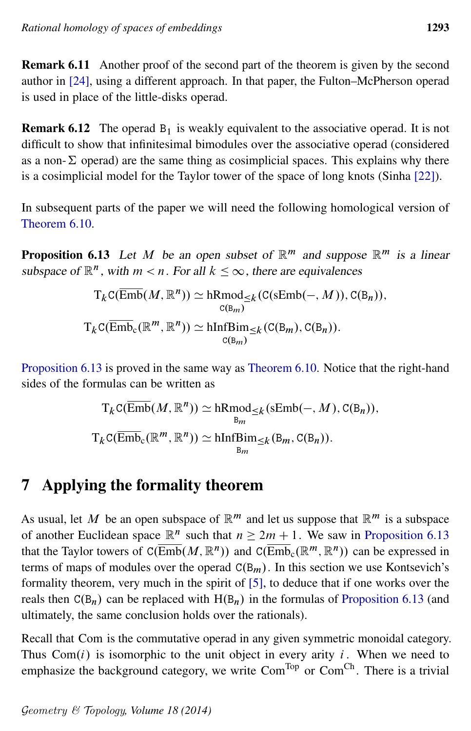Remark 6.11 Another proof of the second part of the theorem is given by the second author in [\[24\]](#page-61-2), using a different approach. In that paper, the Fulton–McPherson operad is used in place of the little-disks operad.

**Remark 6.12** The operad  $B_1$  is weakly equivalent to the associative operad. It is not difficult to show that infinitesimal bimodules over the associative operad (considered as a non- $\Sigma$  operad) are the same thing as cosimplicial spaces. This explains why there is a cosimplicial model for the Taylor tower of the space of long knots (Sinha [\[22\]](#page-61-1)).

In subsequent parts of the paper we will need the following homological version of [Theorem 6.10.](#page-31-0)

<span id="page-32-1"></span>**Proposition 6.13** Let M be an open subset of  $\mathbb{R}^m$  and suppose  $\mathbb{R}^m$  is a linear subspace of  $\mathbb{R}^n$ , with  $m < n$ . For all  $k \leq \infty$ , there are equivalences

$$
T_{k}C(\overline{\text{Emb}}(M, \mathbb{R}^{n})) \simeq \underset{\mathcal{C}(\mathbb{B}_{m})}{\text{hRmod}} \leq_{k}(\mathcal{C}(\text{sEmb}(-, M)), \mathcal{C}(\mathbb{B}_{n})),
$$
  

$$
T_{k}C(\overline{\text{Emb}}_{c}(\mathbb{R}^{m}, \mathbb{R}^{n})) \simeq \underset{\mathcal{C}(\mathbb{B}_{m})}{\text{hInfBim}} \leq_{k}(\mathcal{C}(\mathbb{B}_{m}), \mathcal{C}(\mathbb{B}_{n})).
$$

[Proposition 6.13](#page-32-1) is proved in the same way as [Theorem 6.10.](#page-31-0) Notice that the right-hand sides of the formulas can be written as

$$
T_{k}C(\overline{\text{Emb}}(M, \mathbb{R}^{n})) \simeq \text{hRmod}_{\leq k}(\text{sEmb}(-, M), C(B_{n})),
$$
  

$$
T_{k}C(\overline{\text{Emb}}_{c}(\mathbb{R}^{m}, \mathbb{R}^{n})) \simeq \text{hInfBin}_{\leq k}(B_{m}, C(B_{n})).
$$

# <span id="page-32-0"></span>7 Applying the formality theorem

As usual, let M be an open subspace of  $\mathbb{R}^m$  and let us suppose that  $\mathbb{R}^m$  is a subspace of another Euclidean space  $\mathbb{R}^n$  such that  $n \geq 2m + 1$ . We saw in [Proposition 6.13](#page-32-1) that the Taylor towers of  $C(\overline{\text{Emb}}(M,\mathbb{R}^n))$  and  $C(\overline{\text{Emb}}_{c}(\mathbb{R}^m,\mathbb{R}^n))$  can be expressed in terms of maps of modules over the operad  $C(B_m)$ . In this section we use Kontsevich's formality theorem, very much in the spirit of [\[5\]](#page-60-5), to deduce that if one works over the reals then  $C(B_n)$  can be replaced with  $H(B_n)$  in the formulas of [Proposition 6.13](#page-32-1) (and ultimately, the same conclusion holds over the rationals).

Recall that Com is the commutative operad in any given symmetric monoidal category. Thus  $Com(i)$  is isomorphic to the unit object in every arity i. When we need to emphasize the background category, we write Com<sup>Top</sup> or Com<sup>Ch</sup>. There is a trivial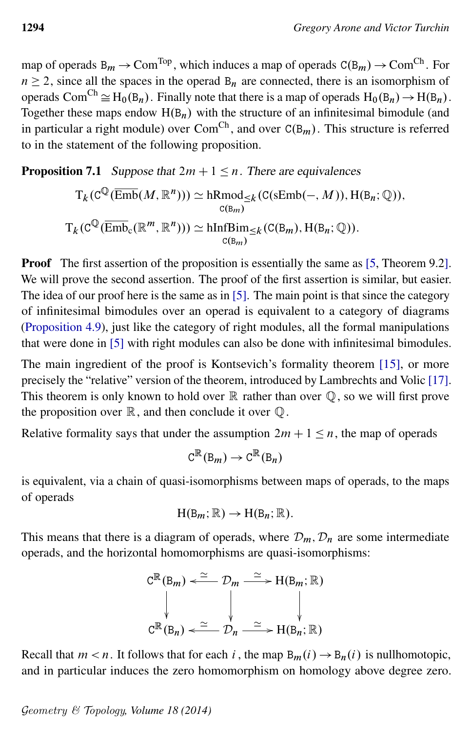map of operads  $B_m \to Com^{Top}$ , which induces a map of operads  $C(B_m) \to Com^{Ch}$ . For  $n \ge 2$ , since all the spaces in the operad  $B_n$  are connected, there is an isomorphism of operads Com<sup>Ch</sup>  $\cong$  H<sub>0</sub>(B<sub>n</sub>). Finally note that there is a map of operads H<sub>0</sub>(B<sub>n</sub>)  $\to$  H(B<sub>n</sub>). Together these maps endow  $H(B_n)$  with the structure of an infinitesimal bimodule (and in particular a right module) over Com<sup>Ch</sup>, and over  $C(B_m)$ . This structure is referred to in the statement of the following proposition.

#### <span id="page-33-0"></span>**Proposition 7.1** Suppose that  $2m + 1 \le n$ . There are equivalences

$$
T_k(\mathbf{C}^{\mathbb{Q}}(\overline{\mathrm{Emb}}(M, \mathbb{R}^n))) \simeq \mathrm{hRmod}_{\leq k}(\mathbf{C}(\mathrm{sEmb}(-, M)), \mathrm{H}(\mathrm{B}_n; \mathbb{Q})),
$$
  

$$
T_k(\mathbf{C}^{\mathbb{Q}}(\overline{\mathrm{Emb}}_{\mathbf{C}}(\mathbb{R}^m, \mathbb{R}^n))) \simeq \mathrm{hInf} \mathrm{Bim}_{\leq k}(\mathbf{C}(\mathrm{B}_m), \mathrm{H}(\mathrm{B}_n; \mathbb{Q})).
$$

**Proof** The first assertion of the proposition is essentially the same as [\[5,](#page-60-5) Theorem 9.2]. We will prove the second assertion. The proof of the first assertion is similar, but easier. The idea of our proof here is the same as in [\[5\]](#page-60-5). The main point is that since the category of infinitesimal bimodules over an operad is equivalent to a category of diagrams [\(Proposition 4.9\)](#page-17-0), just like the category of right modules, all the formal manipulations that were done in [\[5\]](#page-60-5) with right modules can also be done with infinitesimal bimodules.

The main ingredient of the proof is Kontsevich's formality theorem [\[15\]](#page-60-2), or more precisely the "relative" version of the theorem, introduced by Lambrechts and Volic [\[17\]](#page-60-3). This theorem is only known to hold over  $\mathbb R$  rather than over  $\mathbb Q$ , so we will first prove the proposition over  $\mathbb R$ , and then conclude it over  $\mathbb Q$ .

Relative formality says that under the assumption  $2m + 1 \le n$ , the map of operads

$$
C^{\mathbb{R}}(B_m) \to C^{\mathbb{R}}(B_n)
$$

is equivalent, via a chain of quasi-isomorphisms between maps of operads, to the maps of operads

$$
H(B_m; \mathbb{R}) \to H(B_n; \mathbb{R}).
$$

This means that there is a diagram of operads, where  $\mathcal{D}_m$ ,  $\mathcal{D}_n$  are some intermediate operads, and the horizontal homomorphisms are quasi-isomorphisms:

$$
C^{\mathbb{R}}(B_m) \xleftarrow{\simeq} \mathcal{D}_m \xrightarrow{\simeq} H(B_m; \mathbb{R})
$$
  

$$
\downarrow \qquad \qquad \downarrow \qquad \qquad \downarrow
$$
  

$$
C^{\mathbb{R}}(B_n) \xleftarrow{\simeq} \mathcal{D}_n \xrightarrow{\simeq} H(B_n; \mathbb{R})
$$

Recall that  $m < n$ . It follows that for each i, the map  $B_m(i) \to B_n(i)$  is nullhomotopic, and in particular induces the zero homomorphism on homology above degree zero.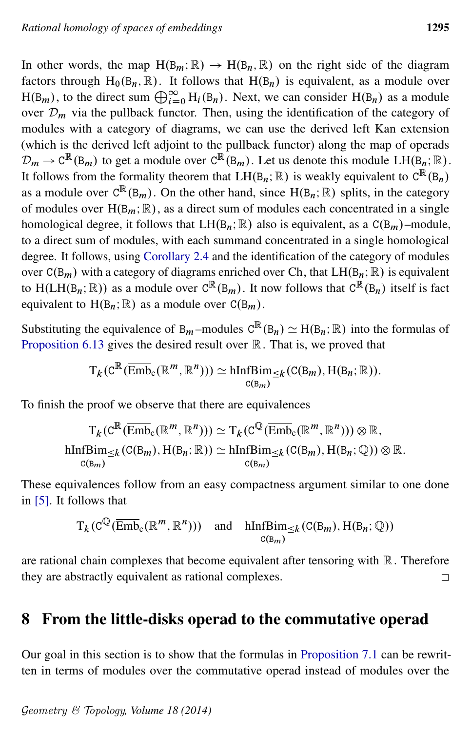In other words, the map  $H(B_m; \mathbb{R}) \to H(B_n, \mathbb{R})$  on the right side of the diagram factors through H<sub>0</sub>( $B_n$ ,  $\mathbb{R}$ ). It follows that H( $B_n$ ) is equivalent, as a module over  $H(B_m)$ , to the direct sum  $\bigoplus_{i=0}^{\infty} H_i(B_n)$ . Next, we can consider  $H(B_n)$  as a module over  $\mathcal{D}_m$  via the pullback functor. Then, using the identification of the category of modules with a category of diagrams, we can use the derived left Kan extension (which is the derived left adjoint to the pullback functor) along the map of operads  $\mathcal{D}_m \to \mathcal{C}^{\mathbb{R}}(\mathbb{B}_m)$  to get a module over  $\mathcal{C}^{\mathbb{R}}(\mathbb{B}_m)$ . Let us denote this module  $LH(\mathbb{B}_n;\mathbb{R})$ . It follows from the formality theorem that  $LH(B_n;\mathbb{R})$  is weakly equivalent to  $C^{\mathbb{R}}(B_n)$ as a module over  $C^{\mathbb{R}}(B_m)$ . On the other hand, since  $H(B_n; \mathbb{R})$  splits, in the category of modules over  $H(B_m; \mathbb{R})$ , as a direct sum of modules each concentrated in a single homological degree, it follows that  $LH(B_n;\mathbb{R})$  also is equivalent, as a  $C(B_m)$ –module, to a direct sum of modules, with each summand concentrated in a single homological degree. It follows, using [Corollary 2.4](#page-9-0) and the identification of the category of modules over  $C(B_m)$  with a category of diagrams enriched over Ch, that  $LH(B_n; \mathbb{R})$  is equivalent to H(LH(B<sub>n</sub>; R)) as a module over  $C^{\mathbb{R}}(B_m)$ . It now follows that  $C^{\mathbb{R}}(B_n)$  itself is fact equivalent to  $H(B_n; \mathbb{R})$  as a module over  $C(B_m)$ .

Substituting the equivalence of B<sub>m</sub>-modules  $C^{\mathbb{R}}(B_n) \simeq H(B_n; \mathbb{R})$  into the formulas of [Proposition 6.13](#page-32-1) gives the desired result over  $\mathbb R$ . That is, we proved that

$$
T_k(\mathrm{C}^{\mathbb{R}}(\overline{\mathrm{Emb}}_{\mathrm{c}}(\mathbb{R}^m,\mathbb{R}^n)))\simeq \underset{\mathrm{C}(\mathrm{B}_m)}{\mathrm{hInfBim}}_{\leq k}(\mathrm{C}(\mathrm{B}_m),\mathrm{H}(\mathrm{B}_n;\mathbb{R})).
$$

To finish the proof we observe that there are equivalences

$$
T_k(C^{\mathbb{R}}(\overline{\mathrm{Emb}}_c(\mathbb{R}^m, \mathbb{R}^n))) \simeq T_k(C^{\mathbb{Q}}(\overline{\mathrm{Emb}}_c(\mathbb{R}^m, \mathbb{R}^n))) \otimes \mathbb{R},
$$
  
hInfBin <sub>$\leq k$</sub>  $(C(B_m), H(B_n; \mathbb{R})) \simeq hInfBin_{\leq k}(C(B_m), H(B_n; \mathbb{Q})) \otimes \mathbb{R}.$   
 $_{C(B_m)}^{C(B_m)}$ 

These equivalences follow from an easy compactness argument similar to one done in [\[5\]](#page-60-5). It follows that

$$
T_k(\mathcal{C}^{\mathbb{Q}}(\overline{\mathrm{Emb}}_{\mathcal{C}}(\mathbb{R}^m, \mathbb{R}^n)))
$$
 and  $\mathrm{hInfBim}_{\leq k}(\mathcal{C}(\mathcal{B}_m), \mathrm{H}(\mathcal{B}_n; \mathbb{Q}))$   
 $c(\mathcal{B}_m)$ 

are rational chain complexes that become equivalent after tensoring with  $\mathbb R$ . Therefore they are abstractly equivalent as rational complexes.  $\Box$ 

### <span id="page-34-0"></span>8 From the little-disks operad to the commutative operad

Our goal in this section is to show that the formulas in [Proposition 7.1](#page-33-0) can be rewritten in terms of modules over the commutative operad instead of modules over the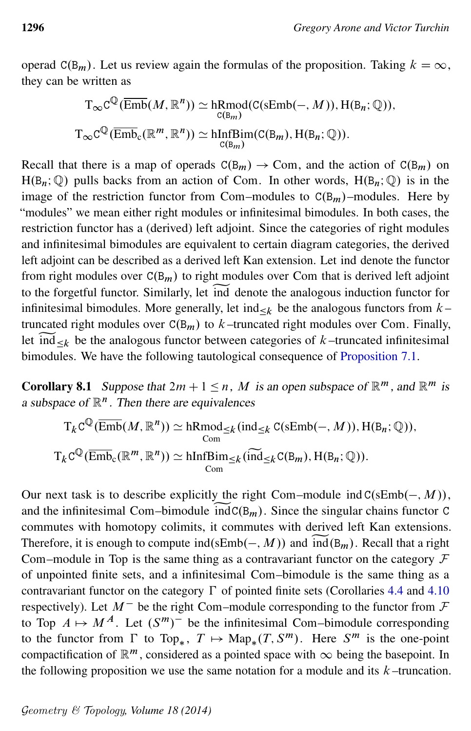operad  $C(B_m)$ . Let us review again the formulas of the proposition. Taking  $k = \infty$ , they can be written as

$$
T_{\infty}C^{\mathbb{Q}}(\overline{\text{Emb}}(M, \mathbb{R}^n)) \simeq \underset{\mathcal{C}(B_m)}{\text{hRmod}}(\mathcal{C}(\text{sEmb}(-, M)), \text{H}(B_n; \mathbb{Q})),
$$
  

$$
T_{\infty}C^{\mathbb{Q}}(\overline{\text{Emb}}_{\mathcal{C}}(\mathbb{R}^m, \mathbb{R}^n)) \simeq \underset{\mathcal{C}(B_m)}{\text{hInfBim}}(\mathcal{C}(B_m), \text{H}(B_n; \mathbb{Q})).
$$

Recall that there is a map of operads  $C(B_m) \rightarrow Com$ , and the action of  $C(B_m)$  on  $H(B_n; \mathbb{Q})$  pulls backs from an action of Com. In other words,  $H(B_n; \mathbb{Q})$  is in the image of the restriction functor from Com–modules to  $C(B_m)$ –modules. Here by "modules" we mean either right modules or infinitesimal bimodules. In both cases, the restriction functor has a (derived) left adjoint. Since the categories of right modules and infinitesimal bimodules are equivalent to certain diagram categories, the derived left adjoint can be described as a derived left Kan extension. Let ind denote the functor from right modules over  $C(B_m)$  to right modules over Com that is derived left adjoint to the forgetful functor. Similarly, let ind denote the analogous induction functor for to the forgetful functor. Similarly, let ind denote the analogous induction functor for infinitesimal bimodules. More generally, let ind  $\leq k$  be the analogous functors from  $k$ truncated right modules over  $C(B_m)$  to k-truncated right modules over Com. Finally, let  $ind_{\leq k}$  be the analogous functor between categories of k-truncated infinitesimal let ind  $\leq_k$  be the analogous functor between categories of k –truncated infinitesimal bimodules. We have the following tautological consequence of [Proposition 7.1.](#page-33-0)

<span id="page-35-1"></span>**Corollary 8.1** Suppose that  $2m + 1 \le n$ , M is an open subspace of  $\mathbb{R}^m$ , and  $\mathbb{R}^m$  is a subspace of  $\mathbb{R}^n$ . Then there are equivalences

$$
T_{k}C^{\mathbb{Q}}(\overline{\text{Emb}}(M, \mathbb{R}^{n})) \simeq \text{hRmod}_{\leq k}(\text{ind}_{\leq k} C(\text{sEmb}(-, M)), H(B_{n}; \mathbb{Q})),
$$
  

$$
T_{k}C^{\mathbb{Q}}(\overline{\text{Emb}}_{c}(\mathbb{R}^{m}, \mathbb{R}^{n})) \simeq \text{hInfBim}_{\leq k}(\widetilde{\text{ind}}_{\leq k} C(B_{m}), H(B_{n}; \mathbb{Q})).
$$

<span id="page-35-0"></span>Our next task is to describe explicitly the right Com–module ind  $C(\text{sEmb}(-, M)),$ and the infinitesimal Com–bimodule  $indC(B_m)$ . Since the singular chains functor C commutes with homotopy colimits, it commutes with derived left Kan extensions. Therefore, it is enough to compute ind(sEmb(-, M)) and  $\widetilde{ind}(B_m)$ . Recall that a right Com–module in Top is the same thing as a contravariant functor on the category  $\mathcal F$ of unpointed finite sets, and a infinitesimal Com–bimodule is the same thing as a contravariant functor on the category  $\Gamma$  of pointed finite sets (Corollaries [4.4](#page-16-1) and [4.10](#page-19-2) respectively). Let  $M^-$  be the right Com–module corresponding to the functor from  $\mathcal F$ to Top  $A \mapsto M^A$ . Let  $(S^m)^-$  be the infinitesimal Com–bimodule corresponding to the functor from  $\Gamma$  to Top<sub>\*</sub>,  $T \mapsto \text{Map}_*(T, S^m)$ . Here  $S^m$  is the one-point compactification of  $\mathbb{R}^m$ , considered as a pointed space with  $\infty$  being the basepoint. In the following proposition we use the same notation for a module and its  $k$ -truncation.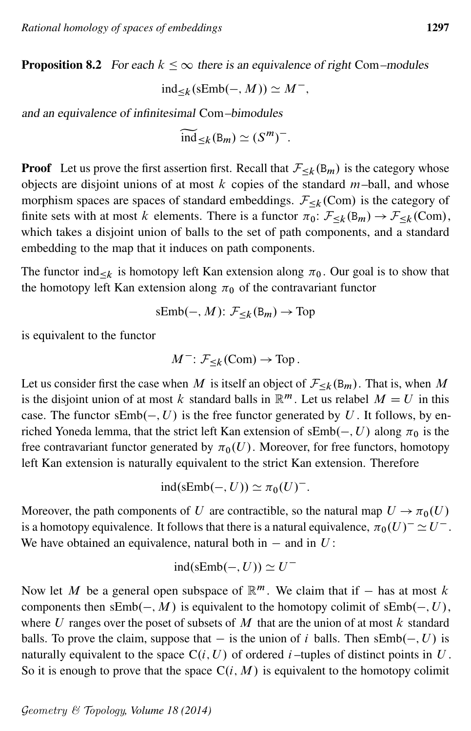**Proposition 8.2** For each  $k \leq \infty$  there is an equivalence of right Com–modules

$$
ind_{\leq k}(\mathrm{sEmb}(-,M)) \simeq M^-,
$$

and an equivalence of infinitesimal Com–bimodules

$$
\widetilde{\text{ind}}_{\leq k}(\mathsf{B}_m) \simeq (S^m)^{-}.
$$

**Proof** Let us prove the first assertion first. Recall that  $\mathcal{F}_{\leq k}(\mathbf{B}_m)$  is the category whose objects are disjoint unions of at most  $k$  copies of the standard  $m$ -ball, and whose morphism spaces are spaces of standard embeddings.  $\mathcal{F}_{\leq k}(\text{Com})$  is the category of finite sets with at most k elements. There is a functor  $\pi_0: \mathcal{F}_{\leq k}(\mathsf{B}_m) \to \mathcal{F}_{\leq k}(\mathsf{Com}),$ which takes a disjoint union of balls to the set of path components, and a standard embedding to the map that it induces on path components.

The functor ind<sub>k</sub> is homotopy left Kan extension along  $\pi_0$ . Our goal is to show that the homotopy left Kan extension along  $\pi_0$  of the contravariant functor

$$
sEmb(-, M): \mathcal{F}_{\leq k}(\mathsf{B}_m) \to \text{Top}
$$

is equivalent to the functor

$$
M^{-}: \mathcal{F}_{\leq k}(\text{Com}) \to \text{Top}.
$$

Let us consider first the case when M is itself an object of  $\mathcal{F}_{\leq k}(B_m)$ . That is, when M is the disjoint union of at most k standard balls in  $\mathbb{R}^m$ . Let us relabel  $M = U$  in this case. The functor  $sEmb(-, U)$  is the free functor generated by U. It follows, by enriched Yoneda lemma, that the strict left Kan extension of  $sEmb(-, U)$  along  $\pi_0$  is the free contravariant functor generated by  $\pi_0(U)$ . Moreover, for free functors, homotopy left Kan extension is naturally equivalent to the strict Kan extension. Therefore

$$
ind(sEmb(-, U)) \simeq \pi_0(U)^{-}.
$$

Moreover, the path components of U are contractible, so the natural map  $U \rightarrow \pi_0(U)$ is a homotopy equivalence. It follows that there is a natural equivalence,  $\pi_0(U)^{-} \simeq U^{-}$ . We have obtained an equivalence, natural both in  $-$  and in  $U$ :

$$
ind(sEmb(-, U)) \simeq U^-
$$

Now let M be a general open subspace of  $\mathbb{R}^m$ . We claim that if  $-$  has at most k components then  $sEmb(-, M)$  is equivalent to the homotopy colimit of  $sEmb(-, U)$ , where U ranges over the poset of subsets of  $M$  that are the union of at most  $k$  standard balls. To prove the claim, suppose that  $-$  is the union of i balls. Then  $sEmb(-, U)$  is naturally equivalent to the space  $C(i, U)$  of ordered *i*-tuples of distinct points in  $U$ . So it is enough to prove that the space  $C(i, M)$  is equivalent to the homotopy colimit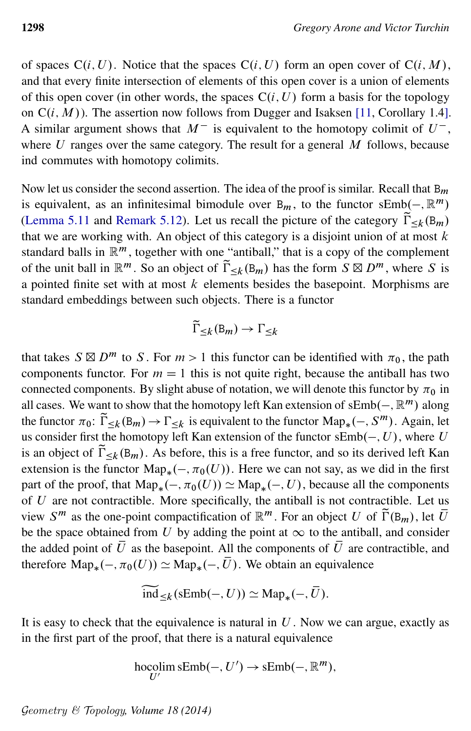of spaces  $C(i, U)$ . Notice that the spaces  $C(i, U)$  form an open cover of  $C(i, M)$ , and that every finite intersection of elements of this open cover is a union of elements of this open cover (in other words, the spaces  $C(i, U)$  form a basis for the topology on  $C(i, M)$ ). The assertion now follows from Dugger and Isaksen [\[11,](#page-60-10) Corollary 1.4]. A similar argument shows that  $M^-$  is equivalent to the homotopy colimit of  $U^-$ , where  $U$  ranges over the same category. The result for a general  $M$  follows, because ind commutes with homotopy colimits.

Now let us consider the second assertion. The idea of the proof is similar. Recall that  $B_m$ is equivalent, as an infinitesimal bimodule over  $B_m$ , to the functor  $sEmb(-, \mathbb{R}^m)$ [\(Lemma 5.11](#page-24-2) and [Remark 5.12\)](#page-24-1). Let us recall the picture of the category  $\tilde{\Gamma}_{\leq k}(\mathbf{B}_m)$ that we are working with. An object of this category is a disjoint union of at most  $k$ standard balls in  $\mathbb{R}^m$ , together with one "antiball," that is a copy of the complement of the unit ball in  $\mathbb{R}^m$ . So an object of  $\tilde{\Gamma}_{\leq k}(\mathbb{B}_m)$  has the form  $S \boxtimes D^m$ , where S is a pointed finite set with at most  $k$  elements besides the basepoint. Morphisms are standard embeddings between such objects. There is a functor

$$
\widetilde{\Gamma}_{\leq k}({\bf B}_m)\to \Gamma_{\leq k}
$$

that takes  $S \boxtimes D^m$  to S. For  $m > 1$  this functor can be identified with  $\pi_0$ , the path components functor. For  $m = 1$  this is not quite right, because the antiball has two connected components. By slight abuse of notation, we will denote this functor by  $\pi_0$  in all cases. We want to show that the homotopy left Kan extension of  $sEmb(-, \mathbb{R}^m)$  along the functor  $\pi_0$ :  $\widetilde{\Gamma}_{\leq k}(\mathbf{B}_m) \to \Gamma_{\leq k}$  is equivalent to the functor  $\mathrm{Map}_*(-, S^m)$ . Again, let us consider first the homotopy left Kan extension of the functor  $sEmb(-, U)$ , where U is an object of  $\tilde{\Gamma}_{\leq k}(\mathbf{B}_m)$ . As before, this is a free functor, and so its derived left Kan extension is the functor  $\text{Map}_*(-, \pi_0(U))$ . Here we can not say, as we did in the first part of the proof, that  $\text{Map}_*(-, \pi_0(U)) \simeq \text{Map}_*(-, U)$ , because all the components of  $U$  are not contractible. More specifically, the antiball is not contractible. Let us view  $S^m$  as the one-point compactification of  $\mathbb{R}^m$ . For an object U of  $\tilde{\Gamma}(\mathbb{B}_m)$ , let  $\overline{U}$ be the space obtained from U by adding the point at  $\infty$  to the antiball, and consider the added point of  $\overline{U}$  as the basepoint. All the components of  $\overline{U}$  are contractible, and therefore  $\text{Map}_*(-,\pi_0(U)) \simeq \text{Map}_*(-,\overline{U})$ . We obtain an equivalence

$$
\widetilde{\text{ind}}_{\leq k}(\text{sEmb}(-, U)) \simeq \text{Map}_*(-, \overline{U}).
$$

It is easy to check that the equivalence is natural in  $U$ . Now we can argue, exactly as in the first part of the proof, that there is a natural equivalence

$$
\underset{U'}{\text{hocolim}} \text{sEmb}(-, U') \to \text{sEmb}(-, \mathbb{R}^m),
$$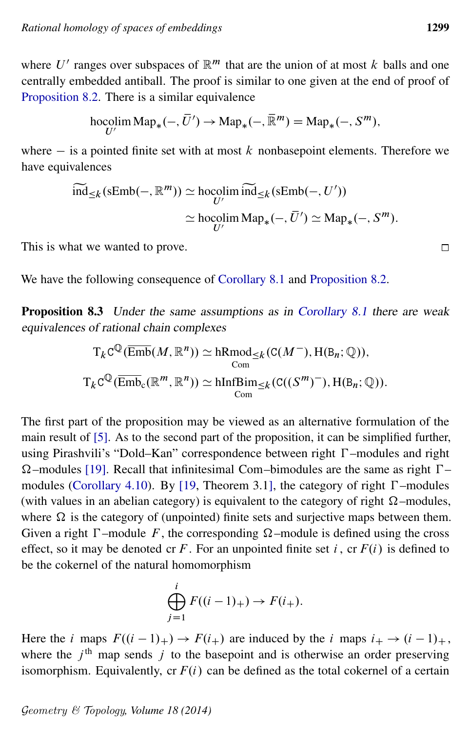where U' ranges over subspaces of  $\mathbb{R}^m$  that are the union of at most k balls and one centrally embedded antiball. The proof is similar to one given at the end of proof of [Proposition 8.2.](#page-35-0) There is a similar equivalence

$$
\operatorname*{hocolim}_{{U'}}\operatorname{Map}_*(-,\overline{U}') \to \operatorname*{Map}_*(-,\overline{\mathbb{R}}^m) = \operatorname*{Map}_*(-,S^m),
$$

where  $-$  is a pointed finite set with at most k nonbasepoint elements. Therefore we have equivalences

$$
\widetilde{\text{ind}}_{\leq k}(\text{sEmb}(-, \mathbb{R}^m)) \simeq \operatorname*{hocolim}_{U'} \widetilde{\text{ind}}_{\leq k}(\text{sEmb}(-, U'))
$$

$$
\simeq \operatorname*{hocolim}_{U'} \text{Map}_*(-, \overline{U}') \simeq \text{Map}_*(-, S^m).
$$

This is what we wanted to prove.

<span id="page-38-0"></span>We have the following consequence of [Corollary 8.1](#page-35-1) and [Proposition 8.2.](#page-35-0)

Proposition 8.3 Under the same assumptions as in [Corollary 8.1](#page-35-1) there are weak equivalences of rational chain complexes

$$
T_{k}C^{\mathbb{Q}}(\overline{\text{Emb}}(M, \mathbb{R}^{n})) \simeq \text{hRmod}_{\leq k}(C(M^{-}), H(B_{n}; \mathbb{Q})),
$$
  

$$
T_{k}C^{\mathbb{Q}}(\overline{\text{Emb}}_{c}(\mathbb{R}^{m}, \mathbb{R}^{n})) \simeq \text{hInfBim}_{\leq k}(C((S^{m})^{-}), H(B_{n}; \mathbb{Q})).
$$

The first part of the proposition may be viewed as an alternative formulation of the main result of [\[5\]](#page-60-5). As to the second part of the proposition, it can be simplified further, using Pirashvili's "Dold–Kan" correspondence between right  $\Gamma$ –modules and right  $\Omega$ –modules [\[19\]](#page-61-5). Recall that infinitesimal Com–bimodules are the same as right  $\Gamma$ – modules [\(Corollary 4.10\)](#page-19-2). By [\[19,](#page-61-5) Theorem 3.1], the category of right  $\Gamma$ -modules (with values in an abelian category) is equivalent to the category of right  $\Omega$ -modules, where  $\Omega$  is the category of (unpointed) finite sets and surjective maps between them. Given a right  $\Gamma$ -module F, the corresponding  $\Omega$ -module is defined using the cross effect, so it may be denoted cr F. For an unpointed finite set i, cr  $F(i)$  is defined to be the cokernel of the natural homomorphism

$$
\bigoplus_{j=1}^i F((i-1)_+) \to F(i_+).
$$

Here the *i* maps  $F((i - 1)_+) \rightarrow F(i_+)$  are induced by the *i* maps  $i_+ \rightarrow (i - 1)_+$ , where the  $j<sup>th</sup>$  map sends j to the basepoint and is otherwise an order preserving isomorphism. Equivalently, cr  $F(i)$  can be defined as the total cokernel of a certain

Geometry & Topology*, Volume 18 (2014)*

 $\Box$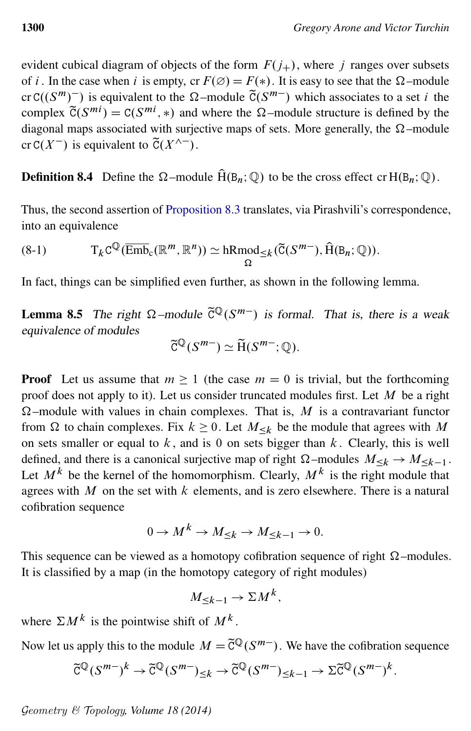evident cubical diagram of objects of the form  $F(j_{+})$ , where j ranges over subsets of *i*. In the case when *i* is empty, cr  $F(\emptyset) = F(*)$ . It is easy to see that the  $\Omega$ -module cr C( $(S^m)^-$ ) is equivalent to the  $\Omega$ -module  $\tilde{C}(S^{m-})$  which associates to a set i the complex  $\widetilde{C}(S^{mi}) = C(S^{mi}, *)$  and where the  $\Omega$ -module structure is defined by the diagonal maps associated with surjective maps of sets. More generally, the  $\Omega$ -module cr C(X<sup>-</sup>) is equivalent to  $\tilde{C}(X^{\wedge -})$ .

#### **Definition 8.4** Define the  $\Omega$ -module  $\hat{H}(B_n; \mathbb{Q})$  to be the cross effect cr  $H(B_n; \mathbb{Q})$ .

<span id="page-39-0"></span>Thus, the second assertion of [Proposition 8.3](#page-38-0) translates, via Pirashvili's correspondence, into an equivalence

(8-1) 
$$
T_{k}C^{\mathbb{Q}}(\overline{\text{Emb}}_{c}(\mathbb{R}^{m},\mathbb{R}^{n}))\simeq hRmod_{\leq k}(\widetilde{C}(S^{m-}),\widehat{H}(B_{n};\mathbb{Q})).
$$

<span id="page-39-1"></span>In fact, things can be simplified even further, as shown in the following lemma.

**Lemma 8.5** The right  $\Omega$ -module  $\tilde{C}^{\mathbb{Q}}(S^{m-})$  is formal. That is, there is a weak equivalence of modules

$$
\widetilde{C}^{\mathbb{Q}}(S^{m-}) \simeq \widetilde{H}(S^{m-}; \mathbb{Q}).
$$

**Proof** Let us assume that  $m \ge 1$  (the case  $m = 0$  is trivial, but the forthcoming proof does not apply to it). Let us consider truncated modules first. Let  $M$  be a right  $\Omega$ –module with values in chain complexes. That is, M is a contravariant functor from  $\Omega$  to chain complexes. Fix  $k \geq 0$ . Let  $M_{\leq k}$  be the module that agrees with M on sets smaller or equal to  $k$ , and is 0 on sets bigger than  $k$ . Clearly, this is well defined, and there is a canonical surjective map of right  $\Omega$ -modules  $M_{\leq k} \to M_{\leq k-1}$ . Let  $M^k$  be the kernel of the homomorphism. Clearly,  $M^k$  is the right module that agrees with M on the set with  $k$  elements, and is zero elsewhere. There is a natural cofibration sequence

$$
0 \to M^k \to M_{\leq k} \to M_{\leq k-1} \to 0.
$$

This sequence can be viewed as a homotopy cofibration sequence of right  $\Omega$ -modules. It is classified by a map (in the homotopy category of right modules)

$$
M_{\leq k-1} \to \Sigma M^k,
$$

where  $\Sigma M^k$  is the pointwise shift of  $M^k$ .

Now let us apply this to the module  $M = \tilde{C}^{\mathbb{Q}}(S^{m-})$ . We have the cofibration sequence

$$
\widetilde{C}^{\mathbb{Q}}(S^{m-})^k \to \widetilde{C}^{\mathbb{Q}}(S^{m-})_{\leq k} \to \widetilde{C}^{\mathbb{Q}}(S^{m-})_{\leq k-1} \to \Sigma \widetilde{C}^{\mathbb{Q}}(S^{m-})^k.
$$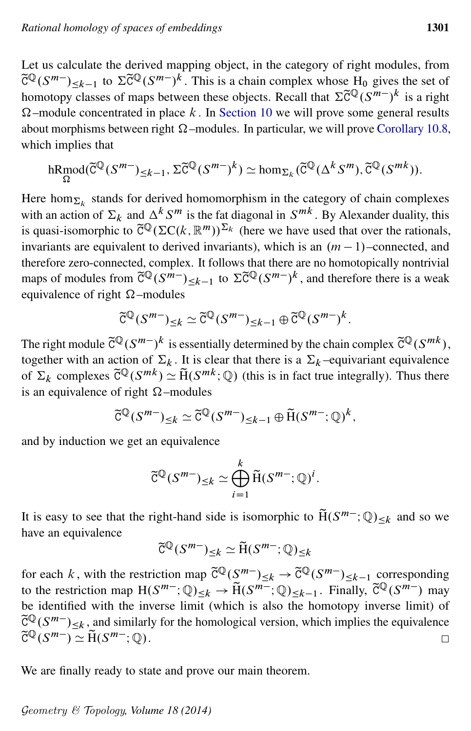Let us calculate the derived mapping object, in the category of right modules, from  $\tilde{C}^{\mathbb{Q}}(S^{m-}) \leq k-1$  to  $\Sigma \tilde{C}^{\mathbb{Q}}(S^{m-})^k$ . This is a chain complex whose  $H_0$  gives the set of homotopy classes of maps between these objects. Recall that  $\Sigma \tilde{C}^{\mathbb{Q}}(S^{m-})^k$  is a right  $\Omega$ -module concentrated in place k. In [Section 10](#page-43-0) we will prove some general results about morphisms between right  $\Omega$  –modules. In particular, we will prove [Corollary 10.8,](#page-47-0) which implies that

$$
\underset{\Omega}{\text{hRmod}}(\widetilde{C}^{\mathbb{Q}}(S^{m-})_{\leq k-1}, \Sigma \widetilde{C}^{\mathbb{Q}}(S^{m-})^k) \simeq \text{hom}_{\Sigma_k}(\widetilde{C}^{\mathbb{Q}}(\Delta^k S^m), \widetilde{C}^{\mathbb{Q}}(S^{mk})).
$$

Here hom $_{\Sigma_k}$  stands for derived homomorphism in the category of chain complexes with an action of  $\Sigma_k$  and  $\Delta^k S^m$  is the fat diagonal in  $S^{mk}$ . By Alexander duality, this is quasi-isomorphic to  $\tilde{C}^{\mathbb{Q}}(\Sigma C(k, \mathbb{R}^m))^{\Sigma_k}$  (here we have used that over the rationals, invariants are equivalent to derived invariants), which is an  $(m - 1)$ –connected, and therefore zero-connected, complex. It follows that there are no homotopically nontrivial maps of modules from  $\tilde{C}^{\mathbb{Q}}(S^{m-})_{\leq k-1}$  to  $\Sigma \tilde{C}^{\mathbb{Q}}(S^{m-})^k$ , and therefore there is a weak equivalence of right  $\Omega$ -modules

$$
\widetilde{C}^{\mathbb{Q}}(S^{m-})_{\leq k} \simeq \widetilde{C}^{\mathbb{Q}}(S^{m-})_{\leq k-1} \oplus \widetilde{C}^{\mathbb{Q}}(S^{m-})^k.
$$

The right module  $\tilde{C}^{\mathbb{Q}}(S^{m-})^k$  is essentially determined by the chain complex  $\tilde{C}^{\mathbb{Q}}(S^{mk})$ , together with an action of  $\Sigma_k$ . It is clear that there is a  $\Sigma_k$  –equivariant equivalence of  $\Sigma_k$  complexes  $\tilde{C}^{\mathbb{Q}}(S^{mk}) \simeq \tilde{H}(S^{mk}; \mathbb{Q})$  (this is in fact true integrally). Thus there is an equivalence of right  $\Omega$ -modules

$$
\widetilde{C}^{\mathbb{Q}}(S^{m-})_{\leq k} \simeq \widetilde{C}^{\mathbb{Q}}(S^{m-})_{\leq k-1} \oplus \widetilde{H}(S^{m-}; \mathbb{Q})^k,
$$

and by induction we get an equivalence

$$
\widetilde{C}^{\mathbb{Q}}(S^{m-})_{\leq k} \simeq \bigoplus_{i=1}^{k} \widetilde{H}(S^{m-}; \mathbb{Q})^{i}.
$$

It is easy to see that the right-hand side is isomorphic to  $\widetilde{H}(S^{m-};\mathbb{Q})_{\leq k}$  and so we have an equivalence

$$
\widetilde{\mathbf{C}}^{\mathbb{Q}}(S^{m-})_{\leq k} \simeq \widetilde{\mathbf{H}}(S^{m-}; \mathbb{Q})_{\leq k}
$$

for each k, with the restriction map  $\tilde{C}^{\mathbb{Q}}(S^{m-})_{\leq k} \to \tilde{C}^{\mathbb{Q}}(S^{m-})_{\leq k-1}$  corresponding to the restriction map  $H(S^{m-};Q)_{\leq k} \to \widetilde{H}(S^{m-};Q)_{\leq k-1}$ . Finally,  $\widetilde{C}^{\mathbb{Q}}(S^{m-})$  may be identified with the inverse limit (which is also the homotopy inverse limit) of  $\tilde{C}^{\mathbb{Q}}(S^{m-})_{\leq k}$ , and similarly for the homological version, which implies the equivalence  $\widetilde{C}^{\mathbb{Q}}(S^{m-}) \simeq \widetilde{H}(S^{m-}; {\mathbb{Q}}).$  $\Box$ 

<span id="page-40-0"></span>We are finally ready to state and prove our main theorem.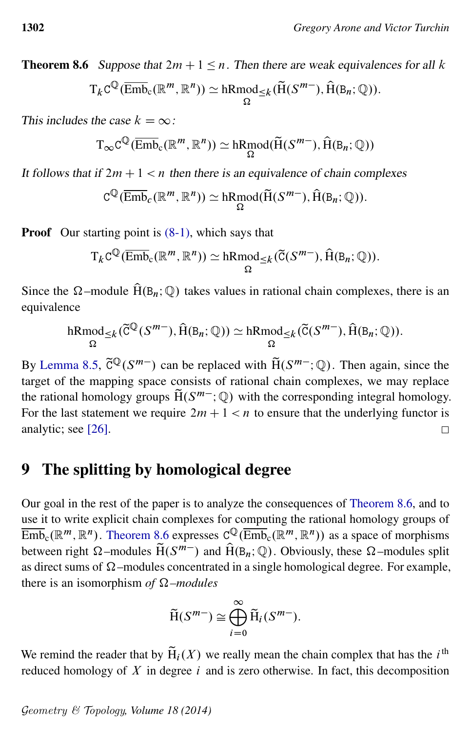**Theorem 8.6** Suppose that  $2m + 1 \le n$ . Then there are weak equivalences for all k

$$
T_{k}C^{\mathbb{Q}}(\overline{\mathrm{Emb}}_{c}(\mathbb{R}^{m},\mathbb{R}^{n}))\simeq \mathrm{hRmod}_{\leq k}(\widetilde{H}(S^{m-}),\widehat{H}(B_{n};\mathbb{Q})).
$$

This includes the case  $k = \infty$ :

$$
T_{\infty}C^{\mathbb{Q}}(\overline{\mathrm{Emb}}_{c}(\mathbb{R}^m,\mathbb{R}^n))\simeq\mathrm{hRmod}(\widetilde{H}(S^{m-}),\widehat{H}(B_n;\mathbb{Q}))
$$

It follows that if  $2m + 1 < n$  then there is an equivalence of chain complexes

$$
C^{\mathbb{Q}}(\overline{\text{Emb}}_c(\mathbb{R}^m, \mathbb{R}^n)) \simeq hRmod(\widetilde{H}(S^{m-}), \widehat{H}(B_n; \mathbb{Q})).
$$

**Proof** Our starting point is  $(8-1)$ , which says that

$$
T_{k}C^{\mathbb{Q}}(\overline{\text{Emb}}_{c}(\mathbb{R}^{m}, \mathbb{R}^{n})) \simeq \mathrm{hRmod}_{\leq k}(\widetilde{C}(S^{m-}), \widehat{H}(B_{n}; \mathbb{Q})).
$$

Since the  $\Omega$ -module  $\hat{H}(B_n;\mathbb{Q})$  takes values in rational chain complexes, there is an equivalence

$$
\underset{\Omega}{\mathrm{hRmod}}_{\leq k}(\widetilde{C}^{\mathbb{Q}}(S^{m-}), \widehat{H}(B_n; \mathbb{Q})) \simeq \underset{\Omega}{\mathrm{hRmod}}_{\leq k}(\widetilde{C}(S^{m-}), \widehat{H}(B_n; \mathbb{Q})).
$$

By [Lemma 8.5,](#page-39-1)  $\tilde{C}^{\mathbb{Q}}(S^{m-})$  can be replaced with  $\tilde{H}(S^{m-}; \mathbb{Q})$ . Then again, since the target of the mapping space consists of rational chain complexes, we may replace the rational homology groups  $\widetilde{H}(S^{m-};\mathbb{Q})$  with the corresponding integral homology. For the last statement we require  $2m + 1 < n$  to ensure that the underlying functor is analytic; see [\[26\]](#page-61-4).  $\Box$ 

#### <span id="page-41-0"></span>9 The splitting by homological degree

Our goal in the rest of the paper is to analyze the consequences of [Theorem 8.6,](#page-40-0) and to use it to write explicit chain complexes for computing the rational homology groups of  $\overline{\mathrm{Emb}}_c(\mathbb{R}^m,\mathbb{R}^n)$ . [Theorem 8.6](#page-40-0) expresses  $C^{\mathbb{Q}}(\overline{\mathrm{Emb}}_c(\mathbb{R}^m,\mathbb{R}^n))$  as a space of morphisms between right  $\Omega$ -modules  $\widetilde{H}(S^{m-})$  and  $\widehat{H}(B_n; \mathbb{Q})$ . Obviously, these  $\Omega$ -modules split as direct sums of  $\Omega$ -modules concentrated in a single homological degree. For example, there is an isomorphism *of*  $\Omega$ *–modules* 

$$
\widetilde{H}(S^{m-}) \cong \bigoplus_{i=0}^{\infty} \widetilde{H}_i(S^{m-}).
$$

We remind the reader that by  $\tilde{H}_i(X)$  we really mean the chain complex that has the *i*<sup>th</sup> reduced homology of  $X$  in degree  $i$  and is zero otherwise. In fact, this decomposition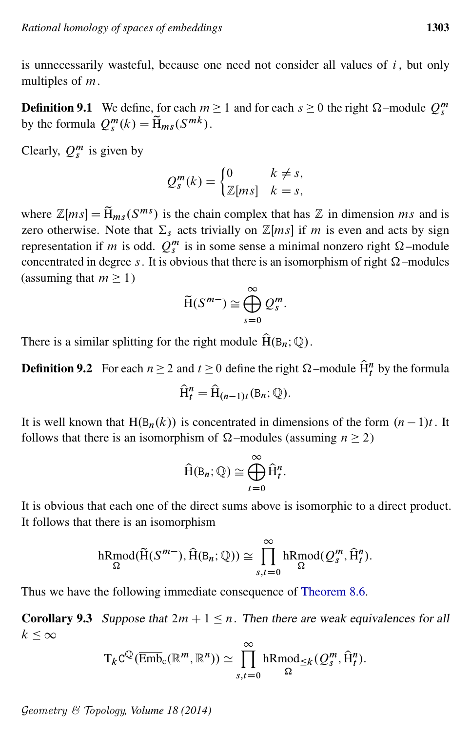is unnecessarily wasteful, because one need not consider all values of  $i$ , but only multiples of m.

**Definition 9.1** We define, for each  $m \ge 1$  and for each  $s \ge 0$  the right  $\Omega$ -module  $Q_s^m$ by the formula  $Q_s^m(k) = \widetilde{H}_{ms}(S^{mk})$ .

Clearly,  $Q_s^m$  is given by

$$
Q_s^m(k) = \begin{cases} 0 & k \neq s, \\ \mathbb{Z}[ms] & k = s, \end{cases}
$$

where  $\mathbb{Z}[ms] = \widetilde{H}_{ms}(S^{ms})$  is the chain complex that has  $\mathbb{Z}$  in dimension ms and is zero otherwise. Note that  $\Sigma_s$  acts trivially on  $\mathbb{Z}[ms]$  if m is even and acts by sign representation if *m* is odd.  $Q_s^m$  is in some sense a minimal nonzero right  $\Omega$ -module concentrated in degree s. It is obvious that there is an isomorphism of right  $\Omega$ -modules (assuming that  $m \geq 1$ )

$$
\widetilde{\mathrm{H}}(S^{m-}) \cong \bigoplus_{s=0}^{\infty} Q_s^m.
$$

There is a similar splitting for the right module  $\widehat{H}(B_n; \mathbb{Q})$ .

**Definition 9.2** For each  $n \ge 2$  and  $t \ge 0$  define the right  $\Omega$ -module  $\widehat{H}_t^n$  by the formula

$$
\widehat{\mathrm{H}}_t^n = \widehat{\mathrm{H}}_{(n-1)t}(\mathrm{B}_n; \mathbb{Q}).
$$

It is well known that H $(B_n(k))$  is concentrated in dimensions of the form  $(n - 1)t$ . It follows that there is an isomorphism of  $\Omega$ -modules (assuming  $n \ge 2$ )

$$
\widehat{H}(B_n; \mathbb{Q}) \cong \bigoplus_{t=0}^{\infty} \widehat{H}_t^n.
$$

It is obvious that each one of the direct sums above is isomorphic to a direct product. It follows that there is an isomorphism

$$
\underset{\Omega}{\text{hRmod}}(\widetilde{H}(S^{m-}), \widehat{H}(B_n; \mathbb{Q})) \cong \prod_{s,t=0}^{\infty} \underset{\Omega}{\text{hRmod}}(\mathcal{Q}_{s}^{m}, \widehat{H}_{t}^{n}).
$$

<span id="page-42-0"></span>Thus we have the following immediate consequence of [Theorem 8.6.](#page-40-0)

**Corollary 9.3** Suppose that  $2m + 1 \le n$ . Then there are weak equivalences for all  $k \leq \infty$ 

$$
T_{k}C^{\mathbb{Q}}(\overline{\mathrm{Emb}}_{c}(\mathbb{R}^{m},\mathbb{R}^{n}))\simeq \prod_{s,t=0}^{\infty} \mathrm{hRmod}_{\leq k}(Q_{s}^{m},\widehat{H}_{t}^{n}).
$$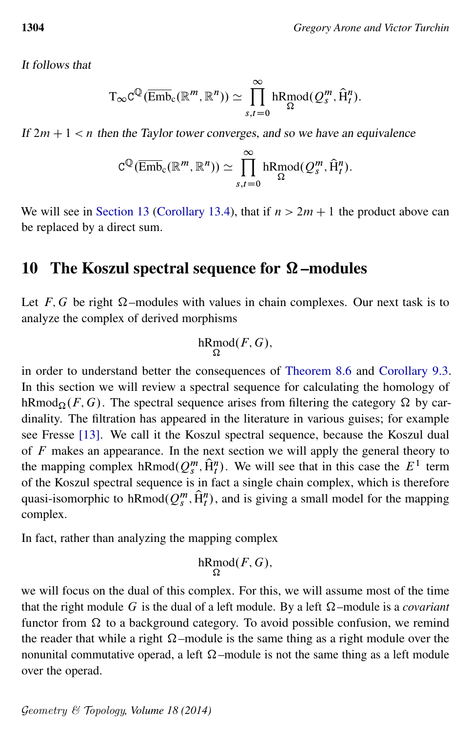It follows that

$$
\mathrm{T}_{\infty}C^{\mathbb{Q}}(\overline{\mathrm{Emb}}_{c}(\mathbb{R}^{m},\mathbb{R}^{n}))\simeq\prod_{s,t=0}^{\infty}\mathrm{hRmod}(Q^{m}_{s},\widehat{H}^{n}_{t}).
$$

If  $2m + 1 < n$  then the Taylor tower converges, and so we have an equivalence

$$
C^{\mathbb{Q}}(\overline{\mathrm{Emb}}_{c}(\mathbb{R}^m, \mathbb{R}^n)) \simeq \prod_{s,t=0}^{\infty} \mathrm{hRmod}(Q_s^m, \widehat{H}_t^n).
$$

We will see in [Section 13](#page-54-0) [\(Corollary 13.4\)](#page-56-0), that if  $n > 2m + 1$  the product above can be replaced by a direct sum.

### <span id="page-43-0"></span>10 The Koszul spectral sequence for  $\Omega$ -modules

Let F, G be right  $\Omega$ -modules with values in chain complexes. Our next task is to analyze the complex of derived morphisms

$$
\mathrm{hRmod}(F,G),
$$

in order to understand better the consequences of [Theorem 8.6](#page-40-0) and [Corollary 9.3.](#page-42-0) In this section we will review a spectral sequence for calculating the homology of hRmod $_{\Omega}(F, G)$ . The spectral sequence arises from filtering the category  $\Omega$  by cardinality. The filtration has appeared in the literature in various guises; for example see Fresse [\[13\]](#page-60-11). We call it the Koszul spectral sequence, because the Koszul dual of  $F$  makes an appearance. In the next section we will apply the general theory to the mapping complex hRmod $(Q_s^m, \hat{H}_t^n)$ . We will see that in this case the  $E^1$  term of the Koszul spectral sequence is in fact a single chain complex, which is therefore quasi-isomorphic to hRmod $(Q_s^m, \hat{H}_t^n)$ , and is giving a small model for the mapping complex.

In fact, rather than analyzing the mapping complex

$$
\mathrm{hRmod}(F,G),
$$

we will focus on the dual of this complex. For this, we will assume most of the time that the right module G is the dual of a left module. By a left  $\Omega$ -module is a *covariant* functor from  $\Omega$  to a background category. To avoid possible confusion, we remind the reader that while a right  $\Omega$ -module is the same thing as a right module over the nonunital commutative operad, a left  $\Omega$ -module is not the same thing as a left module over the operad.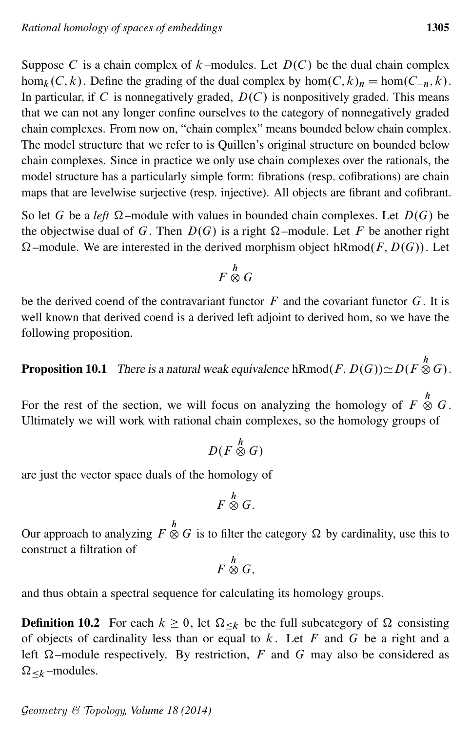Suppose C is a chain complex of  $k$ -modules. Let  $D(C)$  be the dual chain complex  $\hom_k(C, k)$ . Define the grading of the dual complex by  $\hom(C, k)_n = \hom(C_{-n}, k)$ . In particular, if C is nonnegatively graded,  $D(C)$  is nonpositively graded. This means that we can not any longer confine ourselves to the category of nonnegatively graded chain complexes. From now on, "chain complex" means bounded below chain complex. The model structure that we refer to is Quillen's original structure on bounded below chain complexes. Since in practice we only use chain complexes over the rationals, the model structure has a particularly simple form: fibrations (resp. cofibrations) are chain maps that are levelwise surjective (resp. injective). All objects are fibrant and cofibrant.

So let G be a *left*  $\Omega$ -module with values in bounded chain complexes. Let  $D(G)$  be the objectwise dual of G. Then  $D(G)$  is a right  $\Omega$ -module. Let F be another right  $\Omega$ –module. We are interested in the derived morphism object hRmod $(F, D(G))$ . Let

$$
F\stackrel{h}{\otimes}G
$$

be the derived coend of the contravariant functor  $F$  and the covariant functor  $G$ . It is well known that derived coend is a derived left adjoint to derived hom, so we have the following proposition.

<span id="page-44-0"></span>**Proposition 10.1** There is a natural weak equivalence hRmod $(F, D(G)) \simeq D(F \overset{h}{\otimes} G)$ .

For the rest of the section, we will focus on analyzing the homology of  $F \overset{h}{\otimes} G$ . Ultimately we will work with rational chain complexes, so the homology groups of

$$
D(F\overset{h}{\otimes}G)
$$

are just the vector space duals of the homology of

$$
F\stackrel{h}{\otimes}G.
$$

Our approach to analyzing  $F \overset{h}{\otimes} G$  is to filter the category  $\Omega$  by cardinality, use this to construct a filtration of

$$
F\stackrel{h}{\otimes}G,
$$

and thus obtain a spectral sequence for calculating its homology groups.

**Definition 10.2** For each  $k \ge 0$ , let  $\Omega_{\le k}$  be the full subcategory of  $\Omega$  consisting of objects of cardinality less than or equal to  $k$ . Let  $F$  and  $G$  be a right and a left  $\Omega$ -module respectively. By restriction, F and G may also be considered as  $\Omega_{< k}$  –modules.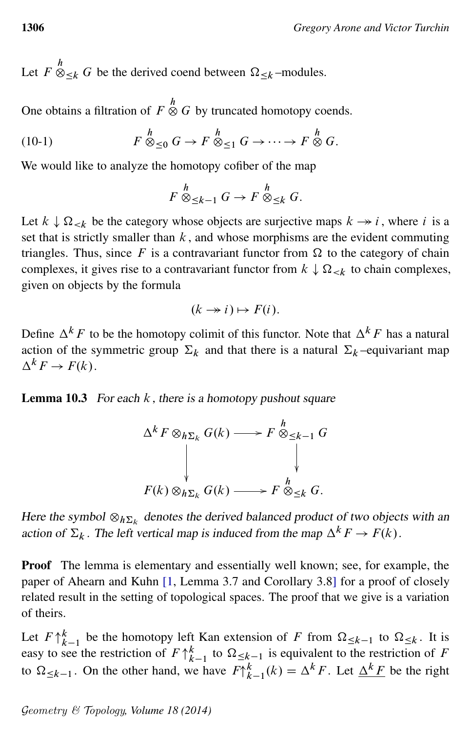Let  $F \otimes_{\leq k} G$  be the derived coend between  $\Omega_{\leq k}$ -modules.

One obtains a filtration of  $F \overset{h}{\otimes} G$  by truncated homotopy coends.

(10-1) 
$$
F \overset{h}{\otimes}_{\leq 0} G \to F \overset{h}{\otimes}_{\leq 1} G \to \cdots \to F \overset{h}{\otimes} G.
$$

We would like to analyze the homotopy cofiber of the map

<span id="page-45-0"></span>
$$
F \overset{h}{\otimes}_{\leq k-1} G \to F \overset{h}{\otimes}_{\leq k} G.
$$

Let  $k \downarrow \Omega_{\le k}$  be the category whose objects are surjective maps  $k \rightarrow i$ , where i is a set that is strictly smaller than  $k$ , and whose morphisms are the evident commuting triangles. Thus, since F is a contravariant functor from  $\Omega$  to the category of chain complexes, it gives rise to a contravariant functor from  $k \downarrow \Omega_{\leq k}$  to chain complexes, given on objects by the formula

$$
(k \rightarrow i) \mapsto F(i).
$$

Define  $\Delta^k F$  to be the homotopy colimit of this functor. Note that  $\Delta^k F$  has a natural action of the symmetric group  $\Sigma_k$  and that there is a natural  $\Sigma_k$  –equivariant map  $\Delta^k F \to F(k).$ 

**Lemma 10.3** For each  $k$ , there is a homotopy pushout square

$$
\Delta^k F \otimes_{h\Sigma_k} G(k) \longrightarrow F \otimes_{\leq k-1} G
$$
  
\n
$$
\downarrow \qquad \qquad \downarrow
$$
  
\n
$$
F(k) \otimes_{h\Sigma_k} G(k) \longrightarrow F \otimes_{\leq k} G.
$$

Here the symbol  $\otimes_{h \Sigma_k}$  denotes the derived balanced product of two objects with an action of  $\Sigma_k$ . The left vertical map is induced from the map  $\Delta^k F \to F(k)$ .

Proof The lemma is elementary and essentially well known; see, for example, the paper of Ahearn and Kuhn [\[1,](#page-59-0) Lemma 3.7 and Corollary 3.8] for a proof of closely related result in the setting of topological spaces. The proof that we give is a variation of theirs.

Let  $F \uparrow_{k-1}^k$  be the homotopy left Kan extension of F from  $\Omega_{\leq k-1}$  to  $\Omega_{\leq k}$ . It is easy to see the restriction of  $F \uparrow_{k-1}^k$  to  $\Omega_{\leq k-1}$  is equivalent to the restriction of F to  $\Omega_{\leq k-1}$ . On the other hand, we have  $F \uparrow_{k-1}^k(k) = \Delta^k F$ . Let  $\Delta^k F$  be the right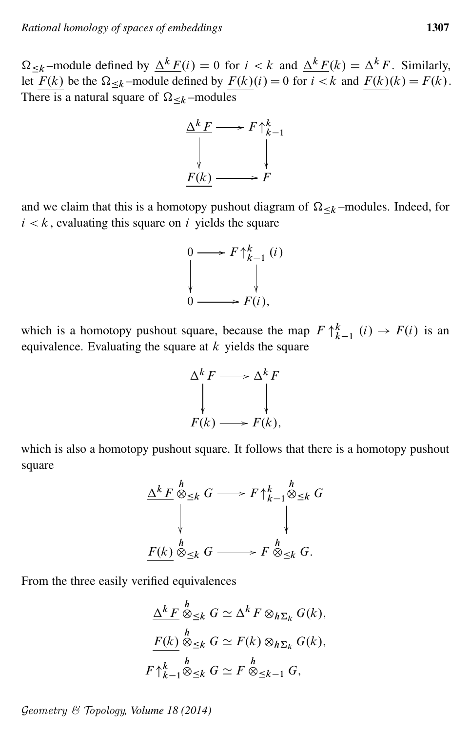$\Omega_{\le k}$  –module defined by  $\Delta^k F(i) = 0$  for  $i \le k$  and  $\Delta^k F(k) = \Delta^k F$ . Similarly, let  $F(k)$  be the  $\Omega_{\leq k}$ -module defined by  $F(k)(i) = 0$  for  $i \leq k$  and  $F(k)(k) = F(k)$ . There is a natural square of  $\Omega_{\leq k}$  –modules



and we claim that this is a homotopy pushout diagram of  $\Omega_{\leq k}$  –modules. Indeed, for  $i < k$ , evaluating this square on i yields the square

$$
\begin{array}{ccc}\n0 & \longrightarrow & F \uparrow_{k-1}^{k} (i) \\
\downarrow & & \downarrow \\
0 & \longrightarrow & F(i),\n\end{array}
$$

which is a homotopy pushout square, because the map  $F \uparrow_{k-1}^{k} (i) \rightarrow F(i)$  is an equivalence. Evaluating the square at  $k$  yields the square



which is also a homotopy pushout square. It follows that there is a homotopy pushout square



From the three easily verified equivalences

$$
\frac{\Delta^k F}{\Delta^k \otimes_{\leq k} G} \simeq \Delta^k F \otimes_{h\Sigma_k} G(k),
$$
  

$$
\frac{F(k)}{K} \otimes_{\leq k} G \simeq F(k) \otimes_{h\Sigma_k} G(k),
$$
  

$$
F \uparrow_{k-1}^k \otimes_{\leq k} G \simeq F \otimes_{\leq k-1} G,
$$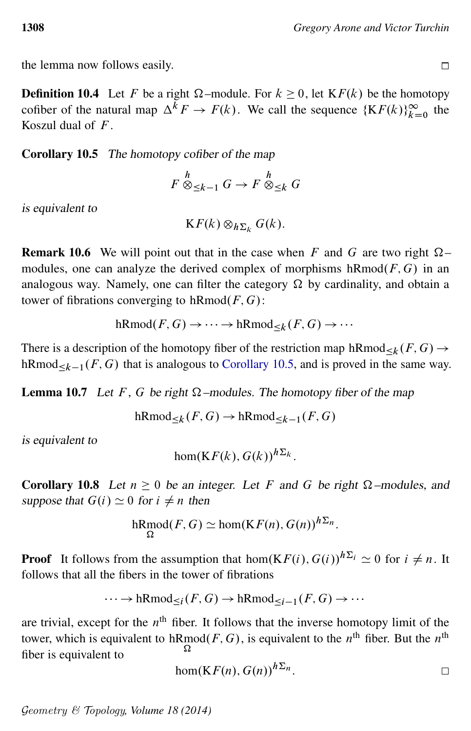the lemma now follows easily.

**Definition 10.4** Let F be a right  $\Omega$ -module. For  $k \ge 0$ , let  $KF(k)$  be the homotopy cofiber of the natural map  $\Delta^k F \to F(k)$ . We call the sequence  $\{KF(k)\}_{k=0}^{\infty}$  the Koszul dual of  $F$ .

<span id="page-47-1"></span>Corollary 10.5 The homotopy cofiber of the map

$$
F \overset{h}{\otimes}_{\leq k-1} G \to F \overset{h}{\otimes}_{\leq k} G
$$

is equivalent to

$$
\mathbf{K}F(k)\otimes_{h\Sigma_k}G(k).
$$

**Remark 10.6** We will point out that in the case when F and G are two right  $\Omega$ modules, one can analyze the derived complex of morphisms  $hRmod(F, G)$  in an analogous way. Namely, one can filter the category  $\Omega$  by cardinality, and obtain a tower of fibrations converging to  $hRmod(F, G)$ :

 $hRmod(F, G) \rightarrow \cdots \rightarrow hRmod_{\leq k}(F, G) \rightarrow \cdots$ 

There is a description of the homotopy fiber of the restriction map  $hRmod_{\leq k}(F, G) \rightarrow$ hRmod<sub> $\leq k-1$ </sub> (*F*, *G*) that is analogous to [Corollary 10.5,](#page-47-1) and is proved in the same way.

**Lemma 10.7** Let F, G be right  $\Omega$ -modules. The homotopy fiber of the map

 $hRmod_{\leq k}(F, G) \to hRmod_{\leq k-1}(F, G)$ 

is equivalent to

$$
\hom(\mathbf{K} F(k), G(k))^{h\Sigma_k}.
$$

<span id="page-47-0"></span>Corollary 10.8 Let  $n \geq 0$  be an integer. Let F and G be right  $\Omega$ -modules, and suppose that  $G(i) \simeq 0$  for  $i \neq n$  then

$$
\mathrm{hRmod}(F,G) \simeq \mathrm{hom}(KF(n), G(n))^{h\Sigma_n}.
$$

**Proof** It follows from the assumption that hom $(KF(i), G(i))^{h\sum_i} \approx 0$  for  $i \neq n$ . It follows that all the fibers in the tower of fibrations

$$
\cdots \to \mathrm{hRmod}_{\leq i}(F, G) \to \mathrm{hRmod}_{\leq i-1}(F, G) \to \cdots
$$

are trivial, except for the  $n<sup>th</sup>$  fiber. It follows that the inverse homotopy limit of the tower, which is equivalent to hRmod $(F, G)$ , is equivalent to the n<sup>th</sup> fiber. But the n<sup>th</sup> Ω fiber is equivalent to

$$
\hom(KF(n), G(n))^{h\Sigma_n}.
$$

$$
\Box
$$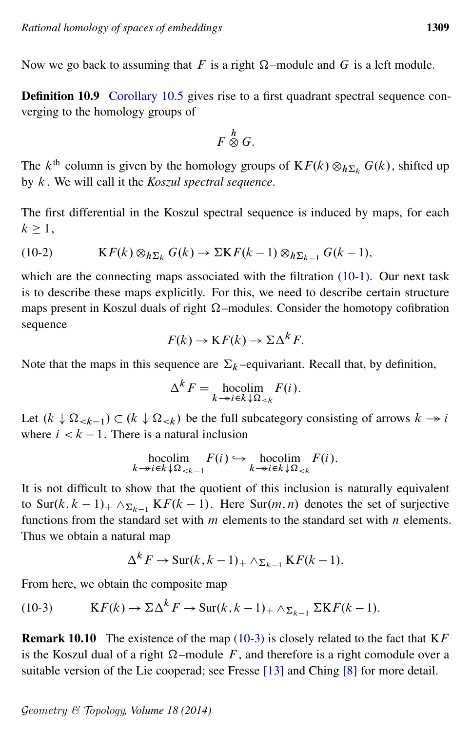Now we go back to assuming that F is a right  $\Omega$ -module and G is a left module.

Definition 10.9 [Corollary 10.5](#page-47-1) gives rise to a first quadrant spectral sequence converging to the homology groups of

$$
F\stackrel{h}{\otimes}G.
$$

The  $k^{\text{th}}$  column is given by the homology groups of  $\text{K}F(k) \otimes_{h \Sigma_k} G(k)$ , shifted up by k . We will call it the *Koszul spectral sequence*.

<span id="page-48-1"></span>The first differential in the Koszul spectral sequence is induced by maps, for each  $k \geq 1$ ,

(10-2) 
$$
KF(k) \otimes_{h\Sigma_k} G(k) \to \Sigma K F(k-1) \otimes_{h\Sigma_{k-1}} G(k-1),
$$

which are the connecting maps associated with the filtration [\(10-1\).](#page-45-0) Our next task is to describe these maps explicitly. For this, we need to describe certain structure maps present in Koszul duals of right  $\Omega$ -modules. Consider the homotopy cofibration sequence

$$
F(k) \to \mathbf{K} F(k) \to \Sigma \Delta^k F.
$$

Note that the maps in this sequence are  $\Sigma_k$  –equivariant. Recall that, by definition,

$$
\Delta^k F = \operatorname*{hocolim}_{k \to i \in k \downarrow \Omega_{< k}} F(i).
$$

Let  $(k \downarrow \Omega_{\leq k-1}) \subset (k \downarrow \Omega_{\leq k})$  be the full subcategory consisting of arrows  $k \rightarrow i$ where  $i < k - 1$ . There is a natural inclusion

$$
\operatorname*{hocolim}_{k \to i \in k \downarrow \Omega_{< k-1}} F(i) \hookrightarrow \operatorname*{hocolim}_{k \to i \in k \downarrow \Omega_{< k}} F(i).
$$

It is not difficult to show that the quotient of this inclusion is naturally equivalent to Sur $(k, k - 1)$  +  $\wedge_{\sum_{k=1}^{k} K F(k - 1)$ . Here Sur $(m, n)$  denotes the set of surjective functions from the standard set with  $m$  elements to the standard set with  $n$  elements. Thus we obtain a natural map

<span id="page-48-0"></span>
$$
\Delta^k F \to \text{Sur}(k, k-1)_+ \wedge_{\Sigma_{k-1}} \text{K} F(k-1).
$$

From here, we obtain the composite map

(10-3) 
$$
KF(k) \to \Sigma \Delta^k F \to Sur(k, k-1)_+ \wedge_{\Sigma_{k-1}} \Sigma K F(k-1).
$$

**Remark 10.10** The existence of the map [\(10-3\)](#page-48-0) is closely related to the fact that  $KF$ is the Koszul dual of a right  $\Omega$ -module F, and therefore is a right comodule over a suitable version of the Lie cooperad; see Fresse [\[13\]](#page-60-11) and Ching [\[8\]](#page-60-9) for more detail.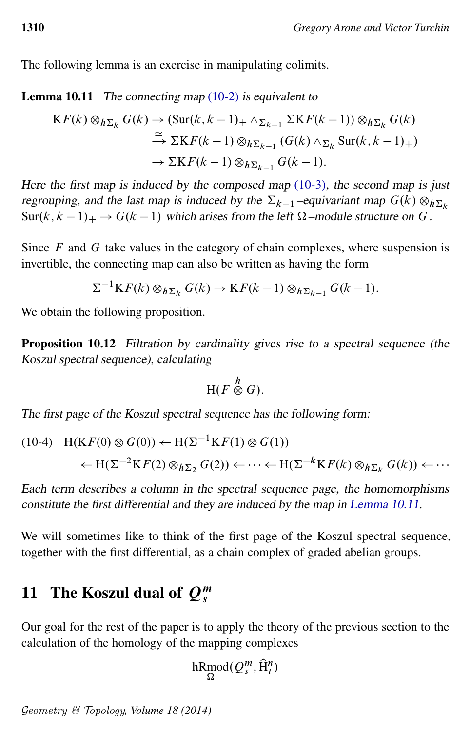<span id="page-49-1"></span>The following lemma is an exercise in manipulating colimits.

**Lemma 10.11** The connecting map  $(10-2)$  is equivalent to

$$
KF(k) \otimes_{h\Sigma_k} G(k) \to (\text{Sur}(k, k-1)_+ \wedge_{\Sigma_{k-1}} \Sigma \mathcal{K}F(k-1)) \otimes_{h\Sigma_k} G(k)
$$
  
\n
$$
\xrightarrow{\simeq} \Sigma \mathcal{K}F(k-1) \otimes_{h\Sigma_{k-1}} (G(k) \wedge_{\Sigma_k} \text{Sur}(k, k-1)_+)
$$
  
\n
$$
\to \Sigma \mathcal{K}F(k-1) \otimes_{h\Sigma_{k-1}} G(k-1).
$$

Here the first map is induced by the composed map  $(10-3)$ , the second map is just regrouping, and the last map is induced by the  $\Sigma_{k-1}$  –equivariant map  $G(k) \otimes_h \Sigma_k$  $\text{Sur}(k, k - 1)_+ \rightarrow G(k - 1)$  which arises from the left  $\Omega$ -module structure on G.

Since  $F$  and  $G$  take values in the category of chain complexes, where suspension is invertible, the connecting map can also be written as having the form

$$
\Sigma^{-1} \mathcal{K} F(k) \otimes_{h \Sigma_k} G(k) \to \mathcal{K} F(k-1) \otimes_{h \Sigma_{k-1}} G(k-1).
$$

<span id="page-49-3"></span>We obtain the following proposition.

Proposition 10.12 Filtration by cardinality gives rise to a spectral sequence (the Koszul spectral sequence), calculating

$$
H(F \overset{h}{\otimes} G).
$$

The first page of the Koszul spectral sequence has the following form:

<span id="page-49-2"></span>
$$
(10-4) \quad H(KF(0) \otimes G(0)) \leftarrow H(\Sigma^{-1} KF(1) \otimes G(1))
$$
  

$$
\leftarrow H(\Sigma^{-2} KF(2) \otimes_{h\Sigma_2} G(2)) \leftarrow \cdots \leftarrow H(\Sigma^{-k} KF(k) \otimes_{h\Sigma_k} G(k)) \leftarrow \cdots
$$

Each term describes a column in the spectral sequence page, the homomorphisms constitute the first differential and they are induced by the map in [Lemma 10.11.](#page-49-1)

We will sometimes like to think of the first page of the Koszul spectral sequence, together with the first differential, as a chain complex of graded abelian groups.

# <span id="page-49-0"></span>11 The Koszul dual of  $Q_s^m$

Our goal for the rest of the paper is to apply the theory of the previous section to the calculation of the homology of the mapping complexes

$$
\mathrm{hRmod}(Q_s^m, \widehat{\mathrm{H}}_t^n)
$$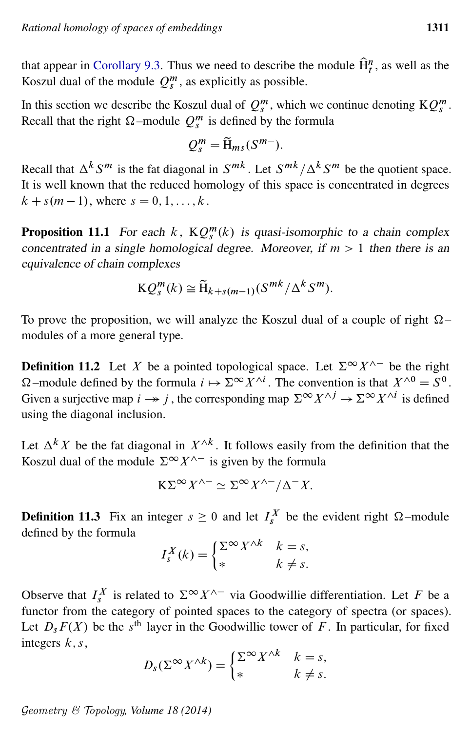that appear in [Corollary 9.3.](#page-42-0) Thus we need to describe the module  $\hat{H}_t^n$ , as well as the Koszul dual of the module  $Q_s^m$ , as explicitly as possible.

In this section we describe the Koszul dual of  $Q_s^m$ , which we continue denoting  $KQ_s^m$ . Recall that the right  $\Omega$ -module  $Q_s^m$  is defined by the formula

$$
Q_s^m = \widetilde{H}_{ms}(S^{m-}).
$$

Recall that  $\Delta^k S^m$  is the fat diagonal in  $S^{mk}$ . Let  $S^{mk}/\Delta^k S^m$  be the quotient space. It is well known that the reduced homology of this space is concentrated in degrees  $k + s(m - 1)$ , where  $s = 0, 1, ..., k$ .

<span id="page-50-0"></span>**Proposition 11.1** For each  $k$ ,  $KQ_s^m(k)$  is quasi-isomorphic to a chain complex concentrated in a single homological degree. Moreover, if  $m > 1$  then there is an equivalence of chain complexes

$$
KQ_s^m(k) \cong \widetilde{H}_{k+s(m-1)}(S^{mk}/\Delta^k S^m).
$$

To prove the proposition, we will analyze the Koszul dual of a couple of right  $\Omega$ modules of a more general type.

**Definition 11.2** Let X be a pointed topological space. Let  $\Sigma^{\infty} X^{\wedge -}$  be the right  $\Omega$  –module defined by the formula  $i \mapsto \Sigma^{\infty} X^{\wedge i}$ . The convention is that  $X^{\wedge 0} = S^0$ . Given a surjective map  $i \to j$ , the corresponding map  $\Sigma^{\infty} X^{\wedge j} \to \Sigma^{\infty} X^{\wedge i}$  is defined using the diagonal inclusion.

Let  $\Delta^k X$  be the fat diagonal in  $X^{\wedge k}$ . It follows easily from the definition that the Koszul dual of the module  $\Sigma^{\infty} X^{\wedge -}$  is given by the formula

$$
K\Sigma^{\infty} X^{\wedge -} \simeq \Sigma^{\infty} X^{\wedge -} / \Delta^{-} X.
$$

<span id="page-50-1"></span>**Definition 11.3** Fix an integer  $s \ge 0$  and let  $I_s^X$  be the evident right  $\Omega$ -module defined by the formula

$$
I_s^X(k) = \begin{cases} \sum_{k=1}^{\infty} X^{\wedge k} & k = s, \\ * & k \neq s. \end{cases}
$$

Observe that  $I_s^X$  is related to  $\Sigma^\infty X^{\wedge -}$  via Goodwillie differentiation. Let F be a functor from the category of pointed spaces to the category of spectra (or spaces). Let  $D_s F(X)$  be the s<sup>th</sup> layer in the Goodwillie tower of F. In particular, for fixed integers  $k, s$ ,

$$
D_s(\Sigma^{\infty} X^{\wedge k}) = \begin{cases} \Sigma^{\infty} X^{\wedge k} & k = s, \\ * & k \neq s. \end{cases}
$$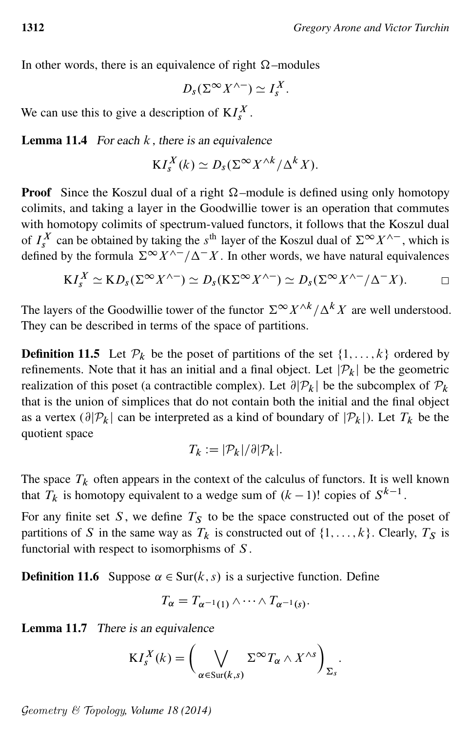In other words, there is an equivalence of right  $\Omega$ -modules

$$
D_s(\Sigma^\infty X^{\wedge -}) \simeq I_s^X.
$$

<span id="page-51-0"></span>We can use this to give a description of  $KI_s^X$ .

**Lemma 11.4** For each  $k$ , there is an equivalence

$$
KI_s^X(k) \simeq D_s(\Sigma^{\infty} X^{\wedge k}/\Delta^k X).
$$

**Proof** Since the Koszul dual of a right  $\Omega$ -module is defined using only homotopy colimits, and taking a layer in the Goodwillie tower is an operation that commutes with homotopy colimits of spectrum-valued functors, it follows that the Koszul dual of  $I_s^X$  can be obtained by taking the s<sup>th</sup> layer of the Koszul dual of  $\Sigma^{\infty} X^{\wedge -}$ , which is defined by the formula  $\sum^{\infty} X^{\wedge -}/\Delta - X$ . In other words, we have natural equivalences

$$
KI_s^X \simeq KD_s(\Sigma^\infty X^{\wedge -}) \simeq D_s(K\Sigma^\infty X^{\wedge -}) \simeq D_s(\Sigma^\infty X^{\wedge -}/\Delta^- X). \qquad \Box
$$

The layers of the Goodwillie tower of the functor  $\Sigma^{\infty} X^{\wedge k}/\Delta^k X$  are well understood. They can be described in terms of the space of partitions.

**Definition 11.5** Let  $\mathcal{P}_k$  be the poset of partitions of the set  $\{1, \ldots, k\}$  ordered by refinements. Note that it has an initial and a final object. Let  $|\mathcal{P}_k|$  be the geometric realization of this poset (a contractible complex). Let  $\partial |P_k|$  be the subcomplex of  $P_k$ that is the union of simplices that do not contain both the initial and the final object as a vertex  $(\partial |\mathcal{P}_k|)$  can be interpreted as a kind of boundary of  $|\mathcal{P}_k|$ ). Let  $T_k$  be the quotient space

$$
T_k := |\mathcal{P}_k| / \partial |\mathcal{P}_k|.
$$

The space  $T_k$  often appears in the context of the calculus of functors. It is well known that  $T_k$  is homotopy equivalent to a wedge sum of  $(k-1)!$  copies of  $S^{k-1}$ .

For any finite set S, we define  $T<sub>S</sub>$  to be the space constructed out of the poset of partitions of S in the same way as  $T_k$  is constructed out of  $\{1, \ldots, k\}$ . Clearly,  $T_S$  is functorial with respect to isomorphisms of S .

**Definition 11.6** Suppose  $\alpha \in \text{Sur}(k, s)$  is a surjective function. Define

$$
T_{\alpha}=T_{\alpha^{-1}(1)}\wedge\cdots\wedge T_{\alpha^{-1}(s)}.
$$

<span id="page-51-1"></span>Lemma 11.7 There is an equivalence

$$
KI_s^X(k) = \left(\bigvee_{\alpha \in \text{Sur}(k,s)} \Sigma^{\infty} T_{\alpha} \wedge X^{\wedge s}\right)_{\Sigma_s}.
$$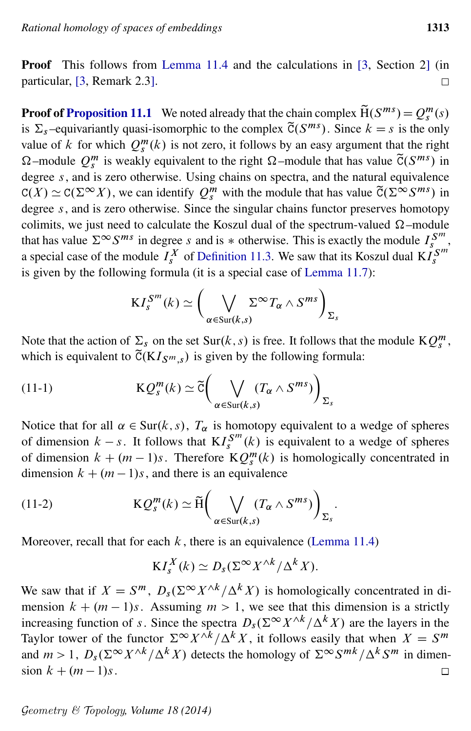Proof This follows from [Lemma 11.4](#page-51-0) and the calculations in [\[3,](#page-60-12) Section 2] (in particular, [\[3,](#page-60-12) Remark 2.3].  $\Box$ 

**Proof of [Proposition 11.1](#page-50-0)** We noted already that the chain complex  $\widetilde{H}(S^{ms}) = Q_s^m(s)$ is  $\Sigma_s$ -equivariantly quasi-isomorphic to the complex  $\tilde{C}(S^{ms})$ . Since  $k = s$  is the only value of k for which  $Q_s^m(k)$  is not zero, it follows by an easy argument that the right  $\Omega$ -module  $Q_s^m$  is weakly equivalent to the right  $\Omega$ -module that has value  $\tilde{C}(S^{ms})$  in degree  $s$ , and is zero otherwise. Using chains on spectra, and the natural equivalence  $C(X) \simeq C(\Sigma^{\infty} X)$ , we can identify  $Q_s^m$  with the module that has value  $\tilde{C}(\Sigma^{\infty} S^{ms})$  in degree  $s$ , and is zero otherwise. Since the singular chains functor preserves homotopy colimits, we just need to calculate the Koszul dual of the spectrum-valued  $\Omega$ -module that has value  $\Sigma^{\infty} S^{ms}$  in degree s and is  $*$  otherwise. This is exactly the module  $I_s^{S^m}$ , a special case of the module  $I_s^X$  of [Definition 11.3.](#page-50-1) We saw that its Koszul dual  $K I_s^{S^m}$ is given by the following formula (it is a special case of [Lemma 11.7\)](#page-51-1):

$$
KI_s^{S^m}(k) \simeq \bigg(\bigvee_{\alpha \in \text{Sur}(k,s)} \Sigma^{\infty} T_{\alpha} \wedge S^{ms}\bigg)_{\Sigma_s}
$$

Note that the action of  $\Sigma_s$  on the set Sur(k, s) is free. It follows that the module  $KQ_s^m$ , which is equivalent to  $\tilde{C}(KI_{S^m,s})$  is given by the following formula:

(11-1) 
$$
KQ_s^m(k) \simeq \tilde{c}\bigg(\bigvee_{\alpha \in Sur(k,s)} (T_\alpha \wedge S^{ms})\bigg)_{\Sigma_s}
$$

Notice that for all  $\alpha \in \text{Sur}(k, s)$ ,  $T_{\alpha}$  is homotopy equivalent to a wedge of spheres of dimension  $k - s$ . It follows that  $\mathbf{K} I_{s}^{S^{m}}(k)$  is equivalent to a wedge of spheres of dimension  $k + (m - 1)s$ . Therefore  $KQ_s^m(k)$  is homologically concentrated in dimension  $k + (m - 1)s$ , and there is an equivalence

<span id="page-52-0"></span>:

(11-2) 
$$
KQ_s^m(k) \simeq \widetilde{H}\bigg(\bigvee_{\alpha \in \text{Sur}(k,s)} (T_\alpha \wedge S^{ms})\bigg)_{\Sigma_s}
$$

Moreover, recall that for each  $k$ , there is an equivalence [\(Lemma 11.4\)](#page-51-0)

$$
KI_s^X(k) \simeq D_s(\Sigma^{\infty} X^{\wedge k}/\Delta^k X).
$$

We saw that if  $X = S^m$ ,  $D_s(\Sigma^{\infty} X^{\wedge k}/\Delta^k X)$  is homologically concentrated in dimension  $k + (m - 1)s$ . Assuming  $m > 1$ , we see that this dimension is a strictly increasing function of s. Since the spectra  $D_s(\Sigma^{\infty} X^{\wedge k}/\Delta^k X)$  are the layers in the Taylor tower of the functor  $\Sigma^{\infty} X^{\wedge k}/\Delta^k X$ , it follows easily that when  $X = S^m$ and  $m > 1$ ,  $D_s(\Sigma^{\infty} X^{\wedge k}/\Delta^k X)$  detects the homology of  $\Sigma^{\infty} S^{mk}/\Delta^k S^m$  in dimension  $k + (m - 1)s$ .  $\Box$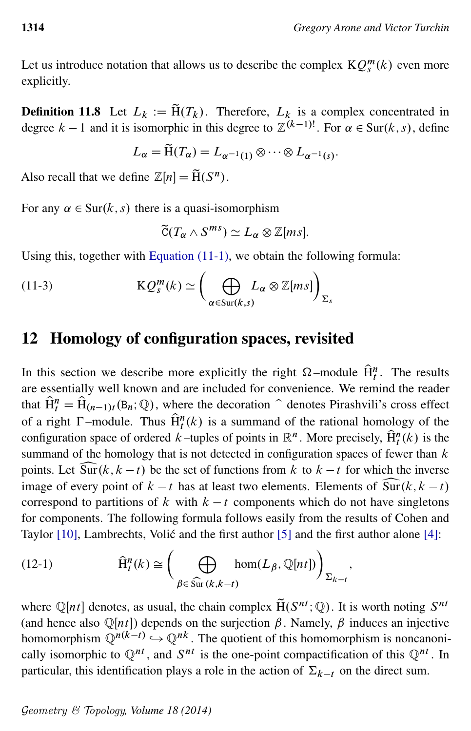Let us introduce notation that allows us to describe the complex  $KQ_s^m(k)$  even more explicitly.

**Definition 11.8** Let  $L_k := \tilde{H}(T_k)$ . Therefore,  $L_k$  is a complex concentrated in degree  $k-1$  and it is isomorphic in this degree to  $\mathbb{Z}^{(k-1)!}$ . For  $\alpha \in \text{Sur}(k, s)$ , define

$$
L_{\alpha} = \widetilde{H}(T_{\alpha}) = L_{\alpha^{-1}(1)} \otimes \cdots \otimes L_{\alpha^{-1}(s)}.
$$

Also recall that we define  $\mathbb{Z}[n] = \widetilde{H}(S^n)$ .

For any  $\alpha \in \text{Sur}(k, s)$  there is a quasi-isomorphism

<span id="page-53-1"></span>
$$
\widetilde{C}(T_{\alpha} \wedge S^{ms}) \simeq L_{\alpha} \otimes \mathbb{Z}[ms].
$$

Using this, together with [Equation \(11-1\),](#page-52-0) we obtain the following formula:

(11-3) 
$$
KQ_s^m(k) \simeq \left(\bigoplus_{\alpha \in \text{Sur}(k,s)} L_{\alpha} \otimes \mathbb{Z}[ms]\right)_{\Sigma_s}
$$

### <span id="page-53-0"></span>12 Homology of configuration spaces, revisited

In this section we describe more explicitly the right  $\Omega$ -module  $\hat{H}_t^n$ . The results are essentially well known and are included for convenience. We remind the reader that  $\hat{H}_t^n = \hat{H}_{(n-1)t}(B_n; \mathbb{Q})$ , where the decoration  $\hat{ }$  denotes Pirashvili's cross effect of a right  $\Gamma$ -module. Thus  $\widehat{H}^n_t(k)$  is a summand of the rational homology of the configuration space of ordered k–tuples of points in  $\mathbb{R}^n$ . More precisely,  $\hat{H}_t^n(k)$  is the summand of the homology that is not detected in configuration spaces of fewer than  $k$ points. Let  $\widehat{\text{Sur}}(k, k - t)$  be the set of functions from k to  $k - t$  for which the inverse image of every point of  $k - t$  has at least two elements. Elements of  $\widehat{\text{Sur}}(k, k - t)$ image of every point of  $k - t$  has at least two elements. Elements of  $\widehat{Sur}(k, k - t)$  correspond to partitions of k with  $k - t$  components which do not have singletons correspond to partitions of k with  $k - t$  components which do not have singletons for components. The following formula follows easily from the results of Cohen and Taylor  $[10]$ , Lambrechts, Volić and the first author  $[5]$  and the first author alone  $[4]$ :

(12-1) 
$$
\widehat{H}^{n}_{t}(k) \cong \left(\bigoplus_{\beta \in \widehat{\mathrm{Sur}}(k,k-t)} \text{hom}(L_{\beta}, \mathbb{Q}[nt])\right)_{\Sigma_{k-t}},
$$

where  $\mathbb{Q}[nt]$  denotes, as usual, the chain complex  $\tilde{H}(S^{nt}; \mathbb{Q})$ . It is worth noting  $S^{nt}$ (and hence also  $\mathbb{Q}[nt]$ ) depends on the surjection  $\beta$ . Namely,  $\beta$  induces an injective homomorphism  $\mathbb{Q}^{n(k-t)} \hookrightarrow \mathbb{Q}^{nk}$ . The quotient of this homomorphism is noncanonically isomorphic to  $\mathbb{Q}^{nt}$ , and  $S^{nt}$  is the one-point compactification of this  $\mathbb{Q}^{nt}$ . In particular, this identification plays a role in the action of  $\Sigma_{k-t}$  on the direct sum.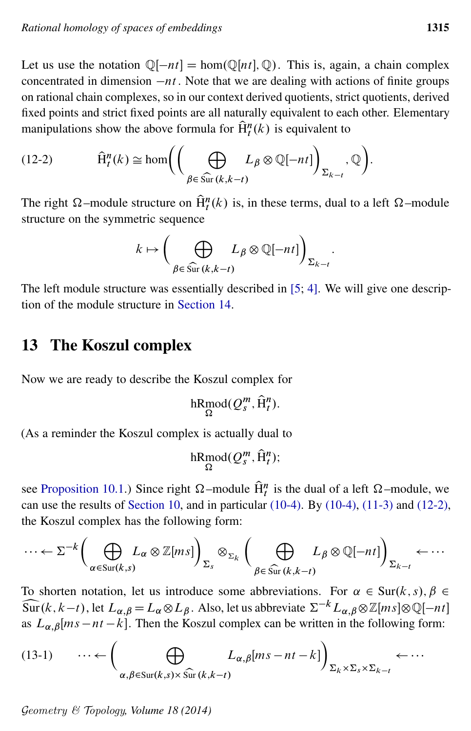Let us use the notation  $\mathbb{Q}[-nt] = \text{hom}(\mathbb{Q}[nt], \mathbb{Q})$ . This is, again, a chain complex concentrated in dimension  $-nt$ . Note that we are dealing with actions of finite groups on rational chain complexes, so in our context derived quotients, strict quotients, derived fixed points and strict fixed points are all naturally equivalent to each other. Elementary manipulations show the above formula for  $\hat{H}^n(t(k))$  is equivalent to

(12-2) 
$$
\widehat{H}^{n}_{t}(k) \cong \text{hom}\left(\left(\bigoplus_{\beta \in \widehat{\text{Sur}}(k,k-t)} L_{\beta} \otimes \mathbb{Q}[-nt]\right)_{\Sigma_{k-t}}, \mathbb{Q}\right)
$$

The right  $\Omega$ -module structure on  $\hat{H}_t^n(k)$  is, in these terms, dual to a left  $\Omega$ -module structure on the symmetric sequence

$$
k \mapsto \bigg(\bigoplus_{\beta \in \widehat{\mathrm{Sur}}(k,k-t)} L_{\beta} \otimes \mathbb{Q}[-nt]\bigg)_{\Sigma_{k-t}}.
$$

The left module structure was essentially described in [\[5;](#page-60-5) [4\]](#page-60-14). We will give one description of the module structure in [Section 14.](#page-57-0)

# <span id="page-54-0"></span>13 The Koszul complex

Now we are ready to describe the Koszul complex for

$$
\mathop{\mathrm{hRmod}}_\Omega(Q^m_s, \widehat{\mathrm{H}}^n_t).
$$

(As a reminder the Koszul complex is actually dual to

<span id="page-54-2"></span>hRmod $(Q_s^m, \hat{H}_t^n);$ 

see [Proposition 10.1.](#page-44-0)) Since right  $\Omega$ -module  $\hat{H}_t^n$  is the dual of a left  $\Omega$ -module, we can use the results of [Section 10,](#page-43-0) and in particular [\(10-4\).](#page-49-2) By [\(10-4\),](#page-49-2) [\(11-3\)](#page-53-1) and [\(12-2\),](#page-54-1) the Koszul complex has the following form:

$$
\cdots \leftarrow \Sigma^{-k} \bigg( \bigoplus_{\alpha \in \text{Sur}(k,s)} L_{\alpha} \otimes \mathbb{Z}[ms] \bigg)_{\Sigma_{s}} \otimes_{\Sigma_{k}} \bigg( \bigoplus_{\beta \in \widehat{\text{Sur}}(k,k-t)} L_{\beta} \otimes \mathbb{Q}[-nt] \bigg)_{\Sigma_{k-t}} \leftarrow \cdots
$$

To shorten notation, let us introduce some abbreviations. For  $\alpha \in \text{Sur}(k, s)$ ,  $\beta \in$  $\widehat{\text{Sur}}(k, k-t)$ , let  $L_{\alpha, \beta} = L_{\alpha} \otimes L_{\beta}$ . Also, let us abbreviate  $\Sigma^{-k}L_{\alpha, \beta} \otimes \mathbb{Z}[ms] \otimes \mathbb{Q}[-nt]$ as  $L_{\alpha,\beta}[ms - nt - k]$ . Then the Koszul complex can be written in the following form:

$$
(13-1) \qquad \cdots \leftarrow \left(\bigoplus_{\alpha,\beta \in \text{Sur}(k,s) \times \widehat{\text{Sur}}(k,k-t)} L_{\alpha,\beta}[ms-nt-k]\right)_{\Sigma_k \times \Sigma_s \times \Sigma_{k-t}} \leftarrow \cdots
$$

Geometry & Topology*, Volume 18 (2014)*

<span id="page-54-1"></span>: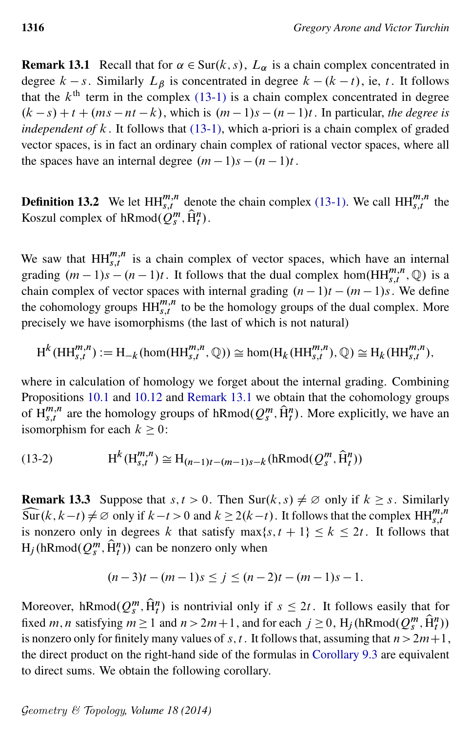<span id="page-55-1"></span>**Remark 13.1** Recall that for  $\alpha \in \text{Sur}(k, s)$ ,  $L_{\alpha}$  is a chain complex concentrated in degree  $k - s$ . Similarly  $L_{\beta}$  is concentrated in degree  $k - (k - t)$ , ie, t. It follows that the  $k<sup>th</sup>$  term in the complex [\(13-1\)](#page-54-2) is a chain complex concentrated in degree  $(k - s) + t + (ms - nt - k)$ , which is  $(m - 1)s - (n - 1)t$ . In particular, *the degree is independent of*  $k$ . It follows that  $(13-1)$ , which a-priori is a chain complex of graded vector spaces, is in fact an ordinary chain complex of rational vector spaces, where all the spaces have an internal degree  $(m - 1)s - (n - 1)t$ .

**Definition 13.2** We let  $HH_{s,t}^{m,n}$  denote the chain complex [\(13-1\).](#page-54-2) We call  $HH_{s,t}^{m,n}$  the Koszul complex of hRmod $(Q_s^n, \hat{H}_t^n)$ .

We saw that  $HH_{s,t}^{m,n}$  is a chain complex of vector spaces, which have an internal grading  $(m-1)s - (n-1)t$ . It follows that the dual complex hom $(HH_{s,t}^{m,n}, \mathbb{Q})$  is a chain complex of vector spaces with internal grading  $(n - 1)t - (m - 1)s$ . We define the cohomology groups  $HH_{s,t}^{m,n}$  to be the homology groups of the dual complex. More precisely we have isomorphisms (the last of which is not natural)

$$
\text{H}^k(\text{HH}_{s,t}^{m,n}) := \text{H}_{-k}(\text{hom}(\text{HH}_{s,t}^{m,n}, \mathbb{Q})) \cong \text{hom}(\text{H}_k(\text{HH}_{s,t}^{m,n}), \mathbb{Q}) \cong \text{H}_k(\text{HH}_{s,t}^{m,n}),
$$

where in calculation of homology we forget about the internal grading. Combining Propositions [10.1](#page-44-0) and [10.12](#page-49-3) and [Remark 13.1](#page-55-1) we obtain that the cohomology groups of  $H^{m,n}_{s,t}$  ${}_{s,t}^{m,n}$  are the homology groups of hRmod $(Q_s^m, \hat{H}_t^n)$ . More explicitly, we have an isomorphism for each  $k \geq 0$ :

(13-2) 
$$
H^{k}(H^{m,n}_{s,t}) \cong H_{(n-1)t-(m-1)s-k}(hRmod(Q^{m}_{s}, \hat{H}^{n}_{t}))
$$

<span id="page-55-0"></span>**Remark 13.3** Suppose that  $s, t > 0$ . Then Sur( $k, s$ )  $\neq \emptyset$  only if  $k \geq s$ . Similarly  $\widehat{\text{Sur}}(k, k-t) \neq \emptyset$  only if  $k-t > 0$  and  $k \geq 2(k-t)$ . It follows that the complex  $HH_{s,t}^{m,n}$  is nonzero only in degrees k that satisfy max{s, t + 1}  $\leq k \leq 2t$ . It follows that s;t is nonzero only in degrees k that satisfy  $\max\{s, t + 1\} \le k \le 2t$ . It follows that  $H_j$ (hRmod $(Q_s^m, \hat{H}_t^n)$ ) can be nonzero only when

$$
(n-3)t - (m-1)s \le j \le (n-2)t - (m-1)s - 1.
$$

Moreover, hRmod $(Q_s^m, \hat{H}_t^n)$  is nontrivial only if  $s \leq 2t$ . It follows easily that for fixed m, n satisfying  $m \ge 1$  and  $n > 2m+1$ , and for each  $j \ge 0$ , H<sub>j</sub> (hRmod $(Q_s^m, \hat{H}_t^n)$ ) is nonzero only for finitely many values of s, t. It follows that, assuming that  $n>2m+1$ , the direct product on the right-hand side of the formulas in [Corollary 9.3](#page-42-0) are equivalent to direct sums. We obtain the following corollary.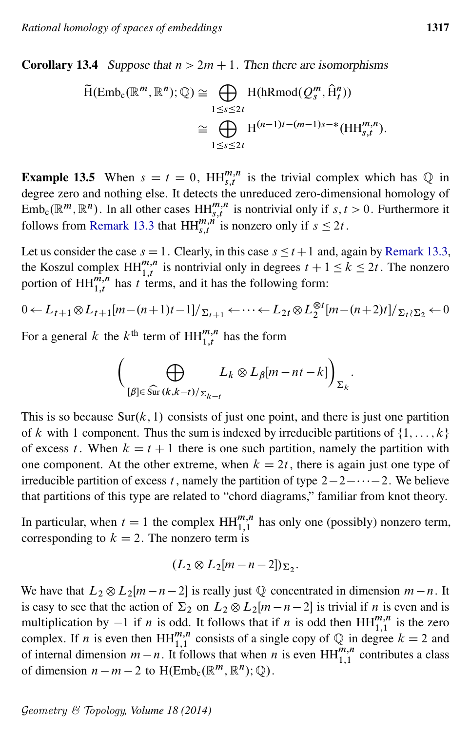<span id="page-56-0"></span>**Corollary 13.4** Suppose that  $n > 2m + 1$ . Then there are isomorphisms

$$
\widetilde{\mathrm{H}}(\overline{\mathrm{Emb}}_{c}(\mathbb{R}^{m}, \mathbb{R}^{n}); \mathbb{Q}) \cong \bigoplus_{1 \leq s \leq 2t} \mathrm{H}(\mathrm{hRmod}(\mathcal{Q}_{s}^{m}, \widehat{\mathrm{H}}_{t}^{n}))
$$
\n
$$
\cong \bigoplus_{1 \leq s \leq 2t} \mathrm{H}^{(n-1)t-(m-1)s-\ast}(\mathrm{HH}_{s,t}^{m,n}).
$$

**Example 13.5** When  $s = t = 0$ ,  $HH_{s,t}^{m,n}$  is the trivial complex which has Q in degree zero and nothing else. It detects the unreduced zero-dimensional homology of  $\overline{\mathrm{Emb}}_{\mathrm{c}}(\mathbb{R}^m, \mathbb{R}^n)$ . In all other cases  $\mathrm{HH}_{s,t}^{m,n}$  is nontrivial only if  $s, t > 0$ . Furthermore it follows from [Remark 13.3](#page-55-0) that  $HH_{s,t}^{m,n}$  is nonzero only if  $s \leq 2t$ .

Let us consider the case  $s = 1$ . Clearly, in this case  $s \le t + 1$  and, again by [Remark 13.3,](#page-55-0) the Koszul complex  $HH_{1,t}^{m,n}$  is nontrivial only in degrees  $t + 1 \le k \le 2t$ . The nonzero portion of  $HH_{1,t}^{\overline{n},n}$  has t terms, and it has the following form:

$$
0 \leftarrow L_{t+1} \otimes L_{t+1}[m - (n+1)t-1]/\sum_{t+1} \leftarrow \cdots \leftarrow L_{2t} \otimes L_2^{\otimes t}[m - (n+2)t]/\sum_{t} \sum_{2} \leftarrow 0
$$

For a general k the  $k^{\text{th}}$  term of  $HH_{1,t}^{m,n}$  has the form

$$
\left(\bigoplus_{[\beta]\in\widehat{\mathrm{Sur}}\,(k,k-t)/\Sigma_{k-t}}L_k\otimes L_\beta[m-nt-k]\right)_{\Sigma_k}.
$$

This is so because  $\text{Sur}(k, 1)$  consists of just one point, and there is just one partition of k with 1 component. Thus the sum is indexed by irreducible partitions of  $\{1, \ldots, k\}$ of excess t. When  $k = t + 1$  there is one such partition, namely the partition with one component. At the other extreme, when  $k = 2t$ , there is again just one type of irreducible partition of excess t, namely the partition of type  $2-2-\cdots-2$ . We believe that partitions of this type are related to "chord diagrams," familiar from knot theory.

In particular, when  $t = 1$  the complex  $HH_{1,1}^{m,n}$  has only one (possibly) nonzero term, corresponding to  $k = 2$ . The nonzero term is

$$
(L_2 \otimes L_2[m-n-2])_{\Sigma_2}.
$$

We have that  $L_2 \otimes L_2[m-n-2]$  is really just  $\mathbb Q$  concentrated in dimension  $m-n$ . It is easy to see that the action of  $\Sigma_2$  on  $L_2 \otimes L_2[m - n - 2]$  is trivial if n is even and is multiplication by  $-1$  if *n* is odd. It follows that if *n* is odd then  $HH_{1,1}^{m,n}$  is the zero complex. If *n* is even then  $HH_{1,1}^{m,n}$  consists of a single copy of Q in degree  $k = 2$  and of internal dimension  $m - n$ . It follows that when n is even  $HH_{1,1}^{m,n}$  contributes a class of dimension  $n - m - 2$  to  $H(\overline{\text{Emb}}_c(\mathbb{R}^m, \mathbb{R}^n); \mathbb{Q})$ .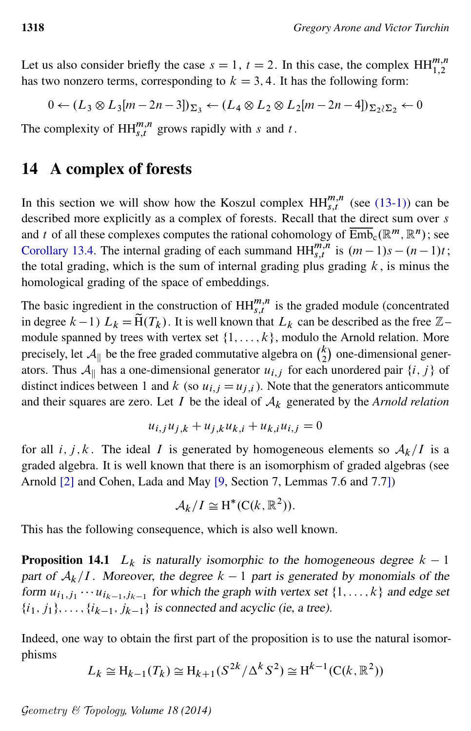Let us also consider briefly the case  $s = 1$ ,  $t = 2$ . In this case, the complex  $HH_{1,2}^{m,n}$ has two nonzero terms, corresponding to  $k = 3, 4$ . It has the following form:

$$
0 \leftarrow (L_3 \otimes L_3[m-2n-3])_{\Sigma_3} \leftarrow (L_4 \otimes L_2 \otimes L_2[m-2n-4])_{\Sigma_2 \wr \Sigma_2} \leftarrow 0
$$

The complexity of  $HH_{s,t}^{m,n}$  grows rapidly with s and t.

### <span id="page-57-0"></span>14 A complex of forests

In this section we will show how the Koszul complex  $HH_{s,t}^{m,n}$  (see [\(13-1\)\)](#page-54-2) can be described more explicitly as a complex of forests. Recall that the direct sum over s and t of all these complexes computes the rational cohomology of  $\overline{\mathrm{Emb}}_c(\mathbb{R}^m,\mathbb{R}^n)$ ; see [Corollary 13.4.](#page-56-0) The internal grading of each summand  $HH_{s,t}^{m,n}$  is  $(m-1)s - (n-1)t$ ; the total grading, which is the sum of internal grading plus grading  $k$ , is minus the homological grading of the space of embeddings.

The basic ingredient in the construction of  $HH_{s,t}^{m,n}$  is the graded module (concentrated in degree  $k-1$ )  $L_k = \tilde{H}(T_k)$ . It is well known that  $L_k$  can be described as the free  $\mathbb{Z}$ – module spanned by trees with vertex set  $\{1, \ldots, k\}$ , modulo the Arnold relation. More precisely, let  $\mathcal{A}_{\parallel}$  be the free graded commutative algebra on  $\binom{k}{2}$  $k_2$ ) one-dimensional generators. Thus  $A_{\parallel}$  has a one-dimensional generator  $u_{i,j}$  for each unordered pair  $\{i, j\}$  of distinct indices between 1 and k (so  $u_{i,j} = u_{j,i}$ ). Note that the generators anticommute and their squares are zero. Let  $I$  be the ideal of  $A_k$  generated by the *Arnold relation* 

$$
u_{i,j}u_{j,k} + u_{j,k}u_{k,i} + u_{k,i}u_{i,j} = 0
$$

for all i, j, k. The ideal I is generated by homogeneous elements so  $A_k/I$  is a graded algebra. It is well known that there is an isomorphism of graded algebras (see Arnold [\[2\]](#page-60-15) and Cohen, Lada and May [\[9,](#page-60-16) Section 7, Lemmas 7.6 and 7.7])

$$
\mathcal{A}_k/I \cong H^*(C(k,\mathbb{R}^2)).
$$

This has the following consequence, which is also well known.

**Proposition 14.1**  $L_k$  is naturally isomorphic to the homogeneous degree  $k - 1$ part of  $A_k/I$ . Moreover, the degree  $k - 1$  part is generated by monomials of the form  $u_{i_1,j_1} \cdots u_{i_{k-1},j_{k-1}}$  for which the graph with vertex set  $\{1,\ldots,k\}$  and edge set  $\{i_1, j_1\}, \ldots, \{i_{k-1}, j_{k-1}\}\$  is connected and acyclic (ie, a tree).

Indeed, one way to obtain the first part of the proposition is to use the natural isomorphisms

$$
L_k \cong H_{k-1}(T_k) \cong H_{k+1}(S^{2k}/\Delta^k S^2) \cong H^{k-1}(C(k, \mathbb{R}^2))
$$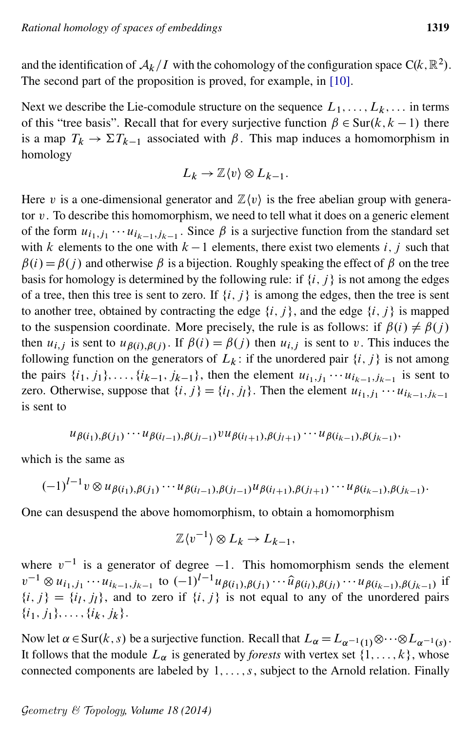and the identification of  $\mathcal{A}_k/I$  with the cohomology of the configuration space C(k,  $\mathbb{R}^2$ ). The second part of the proposition is proved, for example, in [\[10\]](#page-60-13).

Next we describe the Lie-comodule structure on the sequence  $L_1, \ldots, L_k, \ldots$  in terms of this "tree basis". Recall that for every surjective function  $\beta \in \text{Sur}(k, k - 1)$  there is a map  $T_k \to \Sigma T_{k-1}$  associated with  $\beta$ . This map induces a homomorphism in homology

$$
L_k \to \mathbb{Z}\langle v \rangle \otimes L_{k-1}.
$$

Here v is a one-dimensional generator and  $\mathbb{Z}\langle v \rangle$  is the free abelian group with generator  $v$ . To describe this homomorphism, we need to tell what it does on a generic element of the form  $u_{i_1,j_1}\cdots u_{i_{k-1},j_{k-1}}$ . Since  $\beta$  is a surjective function from the standard set with k elements to the one with  $k-1$  elements, there exist two elements i, j such that  $\beta(i) = \beta(i)$  and otherwise  $\beta$  is a bijection. Roughly speaking the effect of  $\beta$  on the tree basis for homology is determined by the following rule: if  $\{i, j\}$  is not among the edges of a tree, then this tree is sent to zero. If  $\{i, j\}$  is among the edges, then the tree is sent to another tree, obtained by contracting the edge  $\{i, j\}$ , and the edge  $\{i, j\}$  is mapped to the suspension coordinate. More precisely, the rule is as follows: if  $\beta(i) \neq \beta(j)$ . then  $u_{i,j}$  is sent to  $u_{\beta(i),\beta(j)}$ . If  $\beta(i) = \beta(j)$  then  $u_{i,j}$  is sent to v. This induces the following function on the generators of  $L_k$ : if the unordered pair  $\{i, j\}$  is not among the pairs  $\{i_1, j_1\}, \ldots, \{i_{k-1}, j_{k-1}\}\$ , then the element  $u_{i_1, j_1} \cdots u_{i_{k-1}, j_{k-1}}\$  is sent to zero. Otherwise, suppose that  $\{i, j\} = \{i_l, j_l\}$ . Then the element  $u_{i_1, j_1} \cdots u_{i_{k-1}, j_{k-1}}$ is sent to

$$
u_{\beta(i_1),\beta(j_1)}\cdots u_{\beta(i_{l-1}),\beta(j_{l-1})}vu_{\beta(i_{l+1}),\beta(j_{l+1})}\cdots u_{\beta(i_{k-1}),\beta(j_{k-1})},
$$

which is the same as

$$
(-1)^{l-1} v \otimes u_{\beta(i_1),\beta(j_1)} \cdots u_{\beta(i_{l-1}),\beta(j_{l-1})} u_{\beta(i_{l+1}),\beta(j_{l+1})} \cdots u_{\beta(i_{k-1}),\beta(j_{k-1})}.
$$

One can desuspend the above homomorphism, to obtain a homomorphism

$$
\mathbb{Z}\langle v^{-1}\rangle \otimes L_k \to L_{k-1},
$$

where  $v^{-1}$  is a generator of degree  $-1$ . This homomorphism sends the element  $v^{-1} \otimes u_{i_1, j_1} \cdots u_{i_{k-1}, j_{k-1}}$  to  $(-1)^{l-1} u_{\beta(i_1), \beta(j_1)} \cdots \hat{u}_{\beta(i_l), \beta(j_l)} \cdots u_{\beta(i_{k-1}), \beta(j_{k-1})}$  if  $\{i, j\} = \{i_l, j_l\}$ , and to zero if  $\{i, j\}$  is not equal to any of the unordered pairs  $\{i_1, j_1\}, \ldots, \{i_k, j_k\}.$ 

Now let  $\alpha \in \text{Sur}(k, s)$  be a surjective function. Recall that  $L_{\alpha} = L_{\alpha^{-1}(1)} \otimes \cdots \otimes L_{\alpha^{-1}(s)}$ . It follows that the module  $L_{\alpha}$  is generated by *forests* with vertex set  $\{1, \ldots, k\}$ , whose connected components are labeled by  $1, \ldots, s$ , subject to the Arnold relation. Finally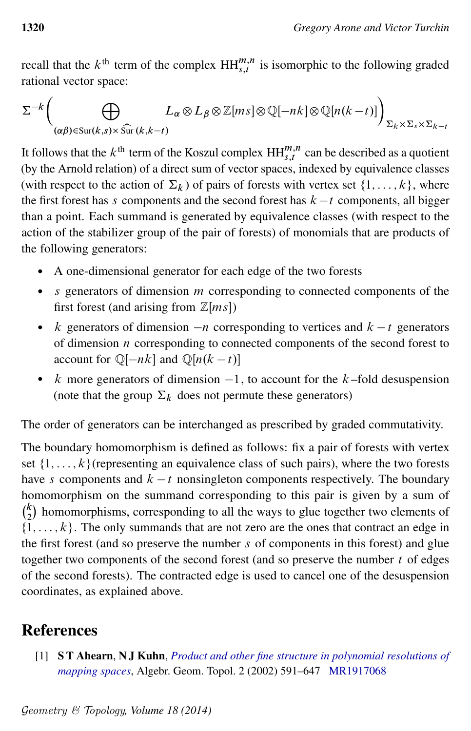recall that the  $k^{\text{th}}$  term of the complex  $HH_{s,t}^{m,n}$  is isomorphic to the following graded rational vector space:

$$
\Sigma^{-k}\left(\bigoplus_{(\alpha\beta)\in\text{Sur}(k,s)\times\widehat{\text{Sur}}(k,k-t)} L_{\alpha}\otimes L_{\beta}\otimes\mathbb{Z}[ms]\otimes\mathbb{Q}[-nk]\otimes\mathbb{Q}[n(k-t)]\right)_{\Sigma_{k}\times\Sigma_{s}\times\Sigma_{k-t}}
$$

It follows that the  $k^{\text{th}}$  term of the Koszul complex  $\mathbf{HH}^{m,n}_{s,t}$  can be described as a quotient (by the Arnold relation) of a direct sum of vector spaces, indexed by equivalence classes (with respect to the action of  $\Sigma_k$ ) of pairs of forests with vertex set  $\{1, \ldots, k\}$ , where the first forest has s components and the second forest has  $k - t$  components, all bigger than a point. Each summand is generated by equivalence classes (with respect to the action of the stabilizer group of the pair of forests) of monomials that are products of the following generators:

- A one-dimensional generator for each edge of the two forests
- $\bullet$  s generators of dimension m corresponding to connected components of the first forest (and arising from  $\mathbb{Z}[ms]$ )
- k generators of dimension  $-n$  corresponding to vertices and  $k t$  generators of dimension  $n$  corresponding to connected components of the second forest to account for  $\mathbb{Q}[-nk]$  and  $\mathbb{Q}[n(k - t)]$
- $k$  more generators of dimension  $-1$ , to account for the  $k$ -fold desuspension (note that the group  $\Sigma_k$  does not permute these generators)

The order of generators can be interchanged as prescribed by graded commutativity.

The boundary homomorphism is defined as follows: fix a pair of forests with vertex set  $\{1, \ldots, k\}$  (representing an equivalence class of such pairs), where the two forests have s components and  $k - t$  nonsingleton components respectively. The boundary homomorphism on the summand corresponding to this pair is given by a sum of  $\binom{k}{2}$  $\binom{k}{2}$  homomorphisms, corresponding to all the ways to glue together two elements of  $\{1,\ldots,k\}$ . The only summands that are not zero are the ones that contract an edge in the first forest (and so preserve the number s of components in this forest) and glue together two components of the second forest (and so preserve the number  $t$  of edges of the second forests). The contracted edge is used to cancel one of the desuspension coordinates, as explained above.

# References

<span id="page-59-0"></span>[1] S T Ahearn, N J Kuhn, *[Product and other fine structure in polynomial resolutions of](http://dx.doi.org/10.2140/agt.2002.2.591) [mapping spaces](http://dx.doi.org/10.2140/agt.2002.2.591)*, Algebr. Geom. Topol. 2 (2002) 591–647 [MR1917068](http://www.ams.org/mathscinet-getitem?mr=1917068)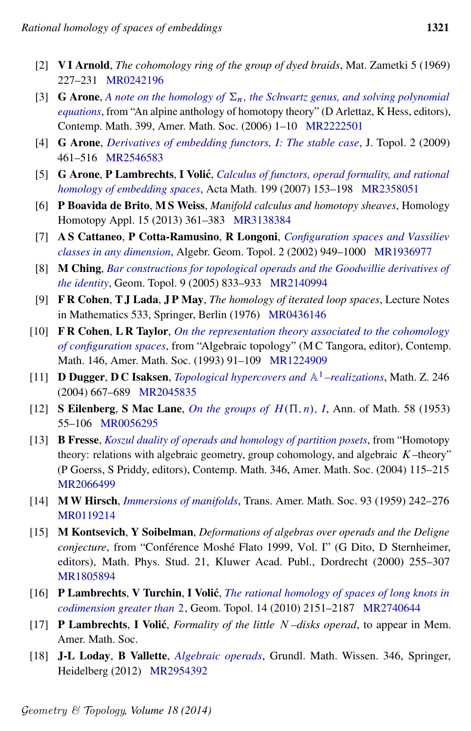- <span id="page-60-15"></span>[2] V I Arnold, *The cohomology ring of the group of dyed braids*, Mat. Zametki 5 (1969) 227–231 [MR0242196](http://www.ams.org/mathscinet-getitem?mr=0242196)
- <span id="page-60-12"></span>[3] **G Arone**, *A note on the homology of*  $\Sigma_n$ [, the Schwartz genus, and solving polynomial](http://dx.doi.org/10.1090/conm/399/07509) *[equations](http://dx.doi.org/10.1090/conm/399/07509)*, from "An alpine anthology of homotopy theory" (D Arlettaz, K Hess, editors), Contemp. Math. 399, Amer. Math. Soc. (2006) 1–10 [MR2222501](http://www.ams.org/mathscinet-getitem?mr=2222501)
- <span id="page-60-14"></span>[4] G Arone, *[Derivatives of embedding functors, I: The stable case](http://dx.doi.org/10.1112/jtopol/jtp019)*, J. Topol. 2 (2009) 461–516 [MR2546583](http://www.ams.org/mathscinet-getitem?mr=2546583)
- <span id="page-60-5"></span>[5] **G Arone, P Lambrechts, I Volić,** *[Calculus of functors, operad formality, and rational](http://dx.doi.org/10.1007/s11511-007-0019-7) [homology of embedding spaces](http://dx.doi.org/10.1007/s11511-007-0019-7)*, Acta Math. 199 (2007) 153–198 [MR2358051](http://www.ams.org/mathscinet-getitem?mr=2358051)
- <span id="page-60-1"></span>[6] P Boavida de Brito, M S Weiss, *Manifold calculus and homotopy sheaves*, Homology Homotopy Appl. 15 (2013) 361–383 [MR3138384](http://www.ams.org/mathscinet-getitem?mr=3138384)
- <span id="page-60-6"></span>[7] A S Cattaneo, P Cotta-Ramusino, R Longoni, *[Configuration spaces and Vassiliev](http://dx.doi.org/10.2140/agt.2002.2.949) [classes in any dimension](http://dx.doi.org/10.2140/agt.2002.2.949)*, Algebr. Geom. Topol. 2 (2002) 949–1000 [MR1936977](http://www.ams.org/mathscinet-getitem?mr=1936977)
- <span id="page-60-9"></span>[8] M Ching, *[Bar constructions for topological operads and the Goodwillie derivatives of](http://dx.doi.org/10.2140/gt.2005.9.833) [the identity](http://dx.doi.org/10.2140/gt.2005.9.833)*, Geom. Topol. 9 (2005) 833–933 [MR2140994](http://www.ams.org/mathscinet-getitem?mr=2140994)
- <span id="page-60-16"></span>[9] F R Cohen, T J Lada, J P May, *The homology of iterated loop spaces*, Lecture Notes in Mathematics 533, Springer, Berlin (1976) [MR0436146](http://www.ams.org/mathscinet-getitem?mr=0436146)
- <span id="page-60-13"></span>[10] F R Cohen, L R Taylor, *[On the representation theory associated to the cohomology](http://dx.doi.org/10.1090/conm/146/01217) [of configuration spaces](http://dx.doi.org/10.1090/conm/146/01217)*, from "Algebraic topology" (M C Tangora, editor), Contemp. Math. 146, Amer. Math. Soc. (1993) 91–109 [MR1224909](http://www.ams.org/mathscinet-getitem?mr=1224909)
- <span id="page-60-10"></span>[11] **D Dugger, D C Isaksen,** *[Topological hypercovers and](http://dx.doi.org/10.1007/s00209-003-0607-y)*  $\mathbb{A}^1$ *–realizations*, Math. Z. 246 (2004) 667–689 [MR2045835](http://www.ams.org/mathscinet-getitem?mr=2045835)
- <span id="page-60-7"></span>[12] **S Eilenberg, S Mac Lane,** *[On the groups of](http://dx.doi.org/10.2307/1969820)*  $H(\Pi, n)$ , *I*, Ann. of Math. 58 (1953) 55–106 [MR0056295](http://www.ams.org/mathscinet-getitem?mr=0056295)
- <span id="page-60-11"></span>[13] B Fresse, *[Koszul duality of operads and homology of partition posets](http://dx.doi.org/10.1090/conm/346/06287)*, from "Homotopy theory: relations with algebraic geometry, group cohomology, and algebraic  $K$ –theory" (P Goerss, S Priddy, editors), Contemp. Math. 346, Amer. Math. Soc. (2004) 115–215 [MR2066499](http://www.ams.org/mathscinet-getitem?mr=2066499)
- <span id="page-60-0"></span>[14] M W Hirsch, *[Immersions of manifolds](http://dx.doi.org/10.2307/1993453)*, Trans. Amer. Math. Soc. 93 (1959) 242–276 [MR0119214](http://www.ams.org/mathscinet-getitem?mr=0119214)
- <span id="page-60-2"></span>[15] M Kontsevich, Y Soibelman, *Deformations of algebras over operads and the Deligne conjecture*, from "Conférence Moshé Flato 1999, Vol. I" (G Dito, D Sternheimer, editors), Math. Phys. Stud. 21, Kluwer Acad. Publ., Dordrecht (2000) 255–307 [MR1805894](http://www.ams.org/mathscinet-getitem?mr=1805894)
- <span id="page-60-4"></span>[16] P Lambrechts, V Turchin, I Volic´, *[The rational homology of spaces of long knots in](http://dx.doi.org/10.2140/gt.2010.14.2151) [codimension greater than](http://dx.doi.org/10.2140/gt.2010.14.2151)* 2, Geom. Topol. 14 (2010) 2151–2187 [MR2740644](http://www.ams.org/mathscinet-getitem?mr=2740644)
- <span id="page-60-3"></span>[17] P Lambrechts, I Volic´, *Formality of the little* N *–disks operad*, to appear in Mem. Amer. Math. Soc.
- <span id="page-60-8"></span>[18] J-L Loday, B Vallette, *[Algebraic operads](http://dx.doi.org/10.1007/978-3-642-30362-3)*, Grundl. Math. Wissen. 346, Springer, Heidelberg (2012) [MR2954392](http://www.ams.org/mathscinet-getitem?mr=2954392)